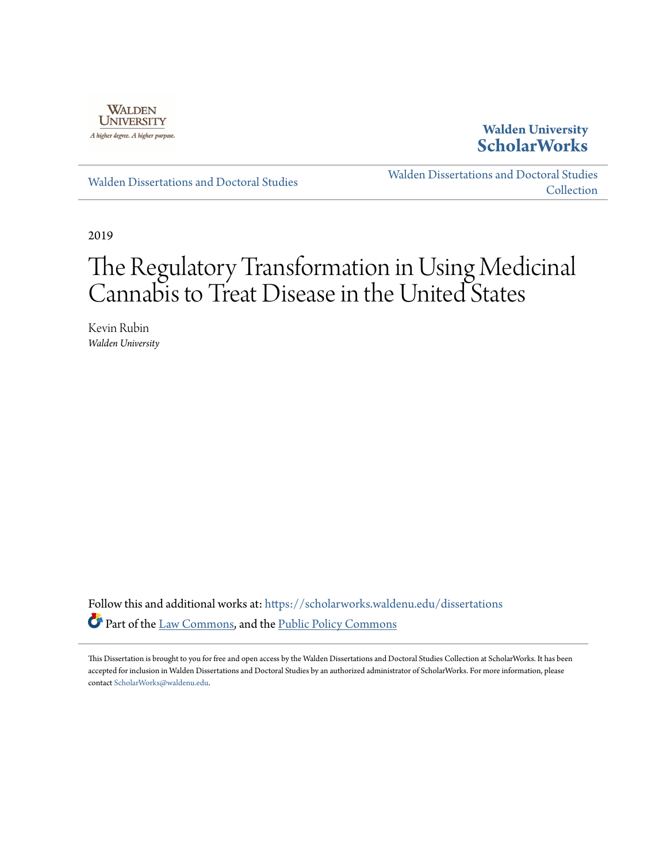

### **Walden University [ScholarWorks](https://scholarworks.waldenu.edu?utm_source=scholarworks.waldenu.edu%2Fdissertations%2F6804&utm_medium=PDF&utm_campaign=PDFCoverPages)**

[Walden Dissertations and Doctoral Studies](https://scholarworks.waldenu.edu/dissertations?utm_source=scholarworks.waldenu.edu%2Fdissertations%2F6804&utm_medium=PDF&utm_campaign=PDFCoverPages)

[Walden Dissertations and Doctoral Studies](https://scholarworks.waldenu.edu/dissanddoc?utm_source=scholarworks.waldenu.edu%2Fdissertations%2F6804&utm_medium=PDF&utm_campaign=PDFCoverPages) **[Collection](https://scholarworks.waldenu.edu/dissanddoc?utm_source=scholarworks.waldenu.edu%2Fdissertations%2F6804&utm_medium=PDF&utm_campaign=PDFCoverPages)** 

2019

# The Regulatory Transformation in Using Medicinal Cannabis to Treat Disease in the United States

Kevin Rubin *Walden University*

Follow this and additional works at: [https://scholarworks.waldenu.edu/dissertations](https://scholarworks.waldenu.edu/dissertations?utm_source=scholarworks.waldenu.edu%2Fdissertations%2F6804&utm_medium=PDF&utm_campaign=PDFCoverPages) Part of the [Law Commons,](http://network.bepress.com/hgg/discipline/578?utm_source=scholarworks.waldenu.edu%2Fdissertations%2F6804&utm_medium=PDF&utm_campaign=PDFCoverPages) and the [Public Policy Commons](http://network.bepress.com/hgg/discipline/400?utm_source=scholarworks.waldenu.edu%2Fdissertations%2F6804&utm_medium=PDF&utm_campaign=PDFCoverPages)

This Dissertation is brought to you for free and open access by the Walden Dissertations and Doctoral Studies Collection at ScholarWorks. It has been accepted for inclusion in Walden Dissertations and Doctoral Studies by an authorized administrator of ScholarWorks. For more information, please contact [ScholarWorks@waldenu.edu](mailto:ScholarWorks@waldenu.edu).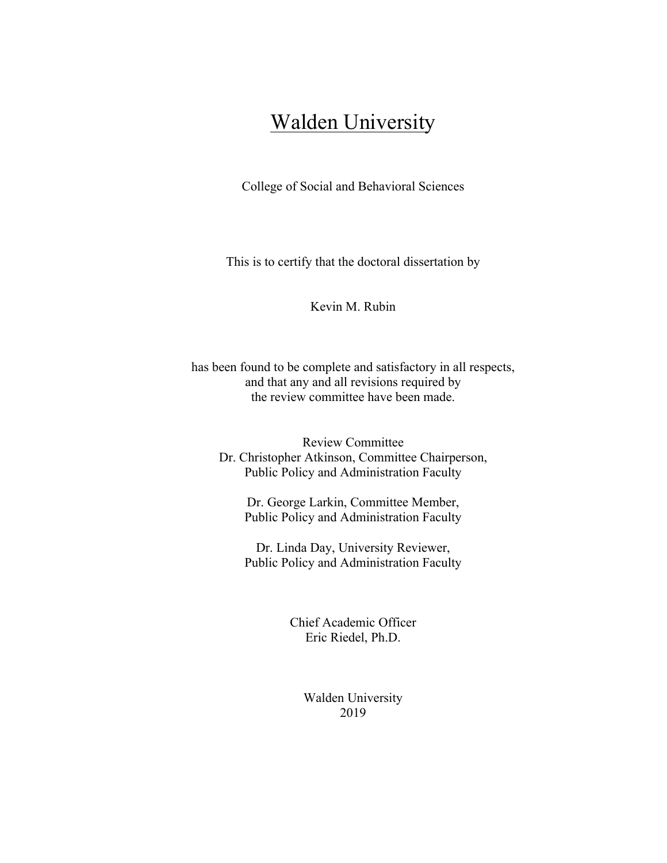# Walden University

College of Social and Behavioral Sciences

This is to certify that the doctoral dissertation by

Kevin M. Rubin

has been found to be complete and satisfactory in all respects, and that any and all revisions required by the review committee have been made.

Review Committee Dr. Christopher Atkinson, Committee Chairperson, Public Policy and Administration Faculty

Dr. George Larkin, Committee Member, Public Policy and Administration Faculty

Dr. Linda Day, University Reviewer, Public Policy and Administration Faculty

> Chief Academic Officer Eric Riedel, Ph.D.

> > Walden University 2019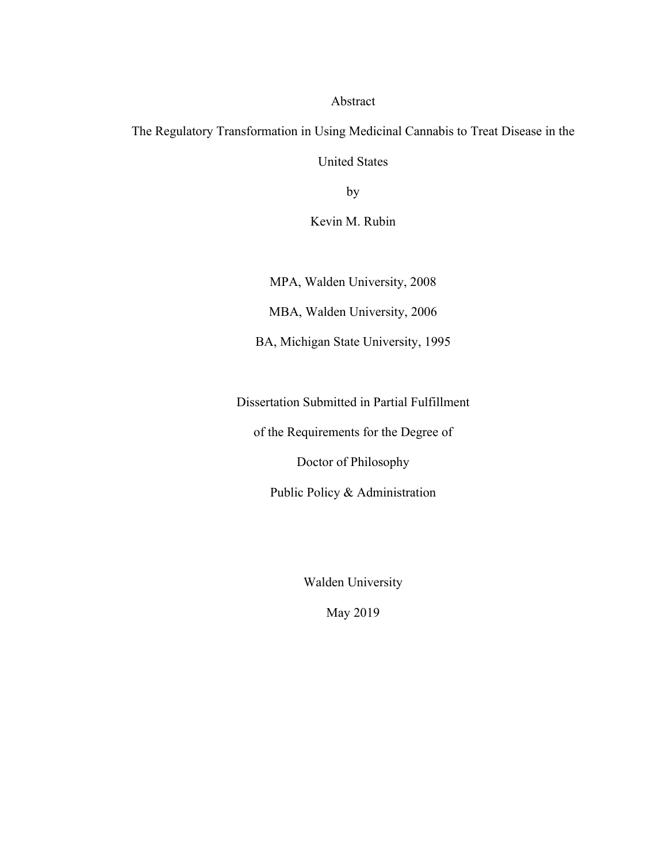#### Abstract

The Regulatory Transformation in Using Medicinal Cannabis to Treat Disease in the

United States

by

Kevin M. Rubin

MPA, Walden University, 2008

MBA, Walden University, 2006

BA, Michigan State University, 1995

Dissertation Submitted in Partial Fulfillment

of the Requirements for the Degree of

Doctor of Philosophy

Public Policy & Administration

Walden University

May 2019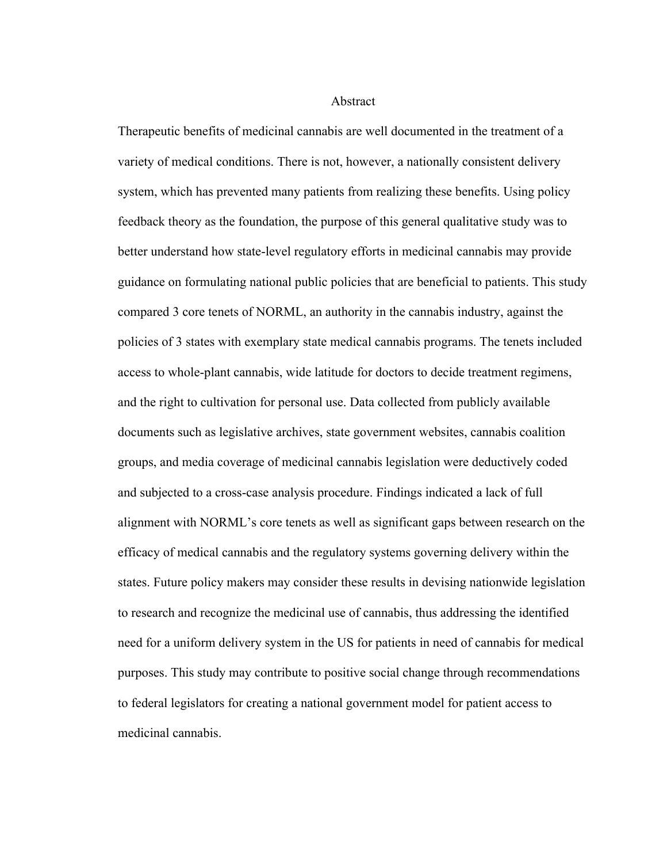Abstract

Therapeutic benefits of medicinal cannabis are well documented in the treatment of a variety of medical conditions. There is not, however, a nationally consistent delivery system, which has prevented many patients from realizing these benefits. Using policy feedback theory as the foundation, the purpose of this general qualitative study was to better understand how state-level regulatory efforts in medicinal cannabis may provide guidance on formulating national public policies that are beneficial to patients. This study compared 3 core tenets of NORML, an authority in the cannabis industry, against the policies of 3 states with exemplary state medical cannabis programs. The tenets included access to whole-plant cannabis, wide latitude for doctors to decide treatment regimens, and the right to cultivation for personal use. Data collected from publicly available documents such as legislative archives, state government websites, cannabis coalition groups, and media coverage of medicinal cannabis legislation were deductively coded and subjected to a cross-case analysis procedure. Findings indicated a lack of full alignment with NORML's core tenets as well as significant gaps between research on the efficacy of medical cannabis and the regulatory systems governing delivery within the states. Future policy makers may consider these results in devising nationwide legislation to research and recognize the medicinal use of cannabis, thus addressing the identified need for a uniform delivery system in the US for patients in need of cannabis for medical purposes. This study may contribute to positive social change through recommendations to federal legislators for creating a national government model for patient access to medicinal cannabis.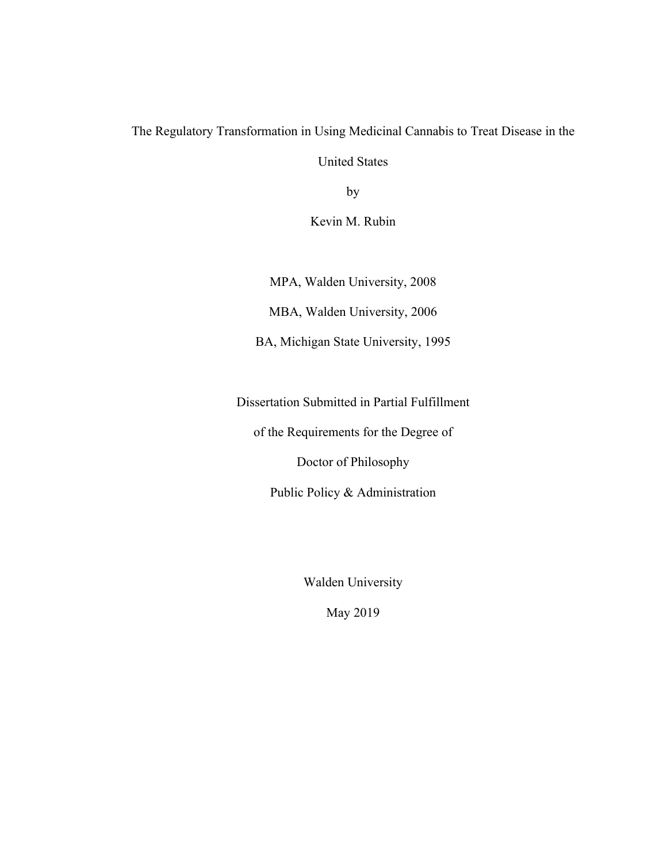The Regulatory Transformation in Using Medicinal Cannabis to Treat Disease in the

United States

by

Kevin M. Rubin

MPA, Walden University, 2008

MBA, Walden University, 2006

BA, Michigan State University, 1995

Dissertation Submitted in Partial Fulfillment

of the Requirements for the Degree of

Doctor of Philosophy

Public Policy & Administration

Walden University

May 2019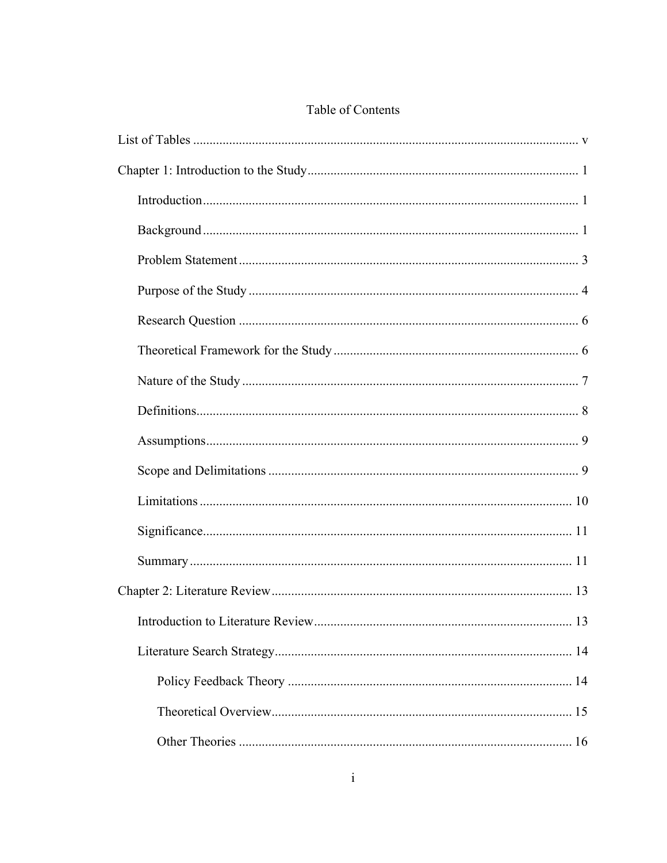| 13 |  |
|----|--|
|    |  |
|    |  |
|    |  |
|    |  |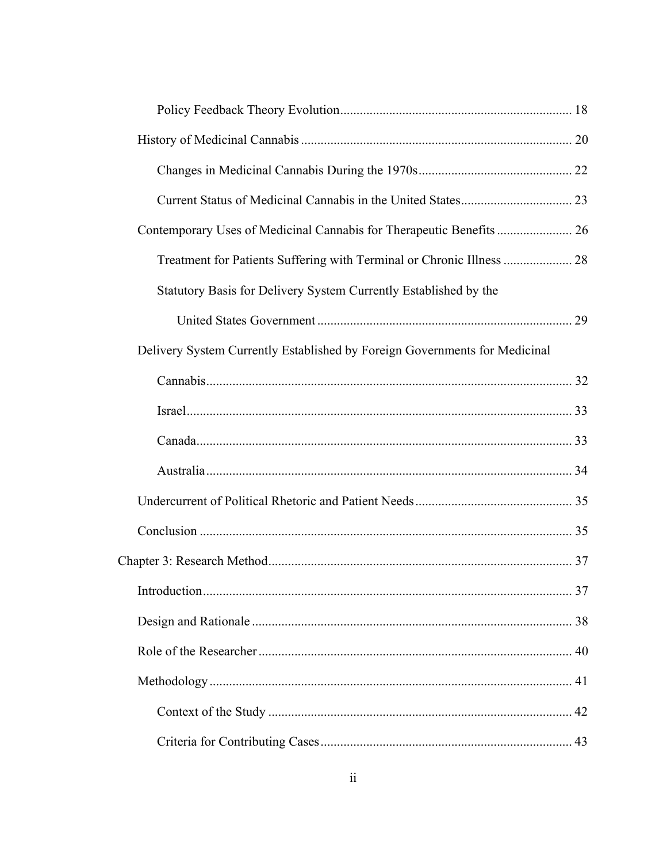| Contemporary Uses of Medicinal Cannabis for Therapeutic Benefits 26        |    |
|----------------------------------------------------------------------------|----|
| Treatment for Patients Suffering with Terminal or Chronic Illness  28      |    |
| Statutory Basis for Delivery System Currently Established by the           |    |
|                                                                            |    |
| Delivery System Currently Established by Foreign Governments for Medicinal |    |
|                                                                            |    |
|                                                                            |    |
|                                                                            |    |
|                                                                            |    |
|                                                                            |    |
|                                                                            |    |
|                                                                            |    |
|                                                                            | 37 |
|                                                                            |    |
|                                                                            |    |
|                                                                            |    |
|                                                                            |    |
|                                                                            |    |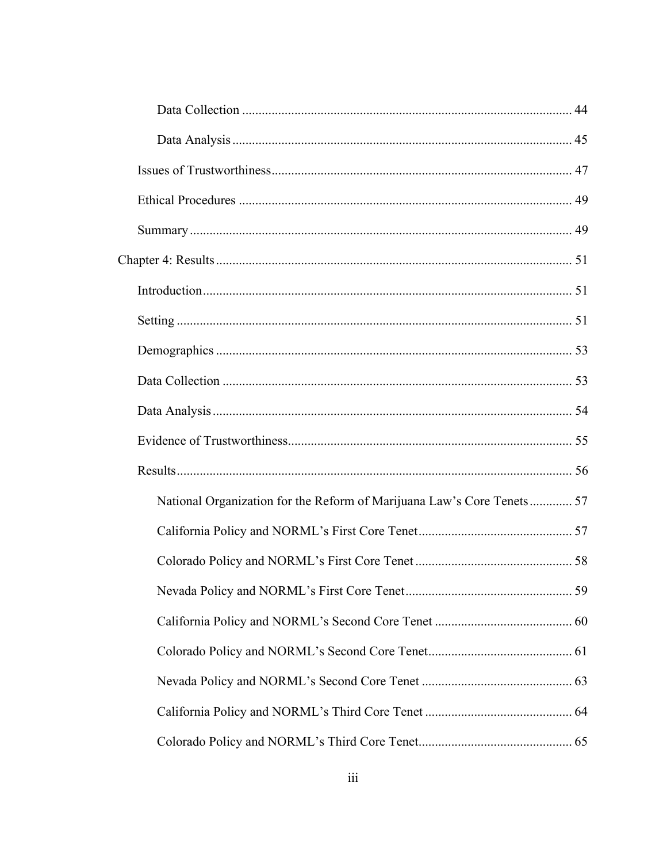| National Organization for the Reform of Marijuana Law's Core Tenets 57 |    |
|------------------------------------------------------------------------|----|
|                                                                        |    |
|                                                                        |    |
|                                                                        | 59 |
|                                                                        |    |
|                                                                        |    |
|                                                                        |    |
|                                                                        |    |
|                                                                        |    |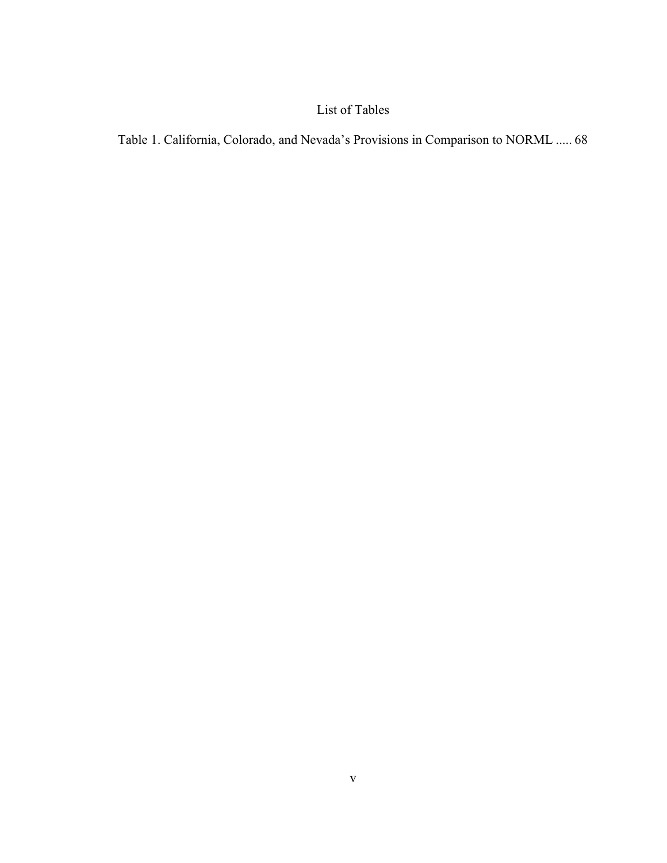## List of Tables

Table 1. California, Colorado, and Nevada's Provisions in Comparison to NORML ..... 68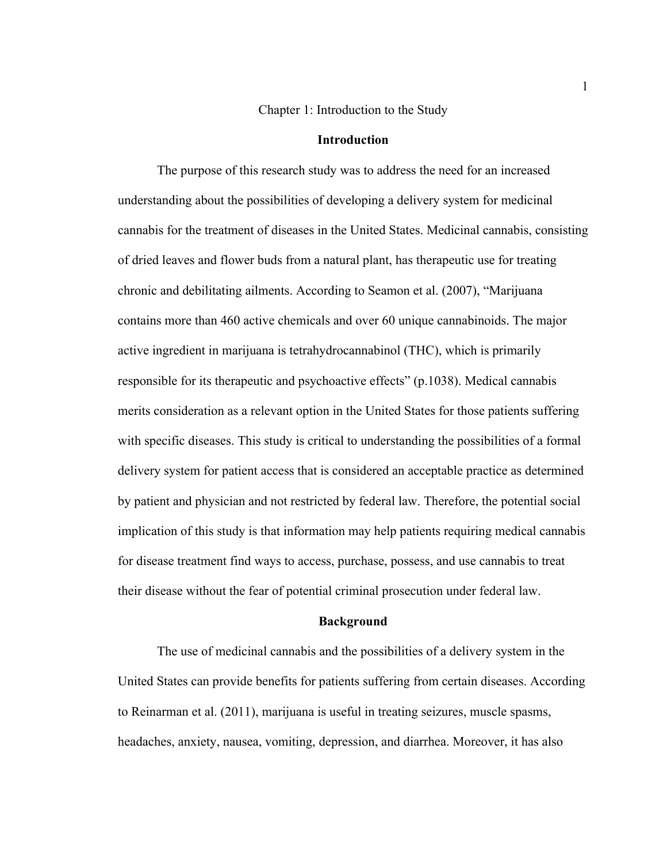#### Chapter 1: Introduction to the Study

#### **Introduction**

The purpose of this research study was to address the need for an increased understanding about the possibilities of developing a delivery system for medicinal cannabis for the treatment of diseases in the United States. Medicinal cannabis, consisting of dried leaves and flower buds from a natural plant, has therapeutic use for treating chronic and debilitating ailments. According to Seamon et al. (2007), "Marijuana contains more than 460 active chemicals and over 60 unique cannabinoids. The major active ingredient in marijuana is tetrahydrocannabinol (THC), which is primarily responsible for its therapeutic and psychoactive effects" (p.1038). Medical cannabis merits consideration as a relevant option in the United States for those patients suffering with specific diseases. This study is critical to understanding the possibilities of a formal delivery system for patient access that is considered an acceptable practice as determined by patient and physician and not restricted by federal law. Therefore, the potential social implication of this study is that information may help patients requiring medical cannabis for disease treatment find ways to access, purchase, possess, and use cannabis to treat their disease without the fear of potential criminal prosecution under federal law.

#### **Background**

The use of medicinal cannabis and the possibilities of a delivery system in the United States can provide benefits for patients suffering from certain diseases. According to Reinarman et al. (2011), marijuana is useful in treating seizures, muscle spasms, headaches, anxiety, nausea, vomiting, depression, and diarrhea. Moreover, it has also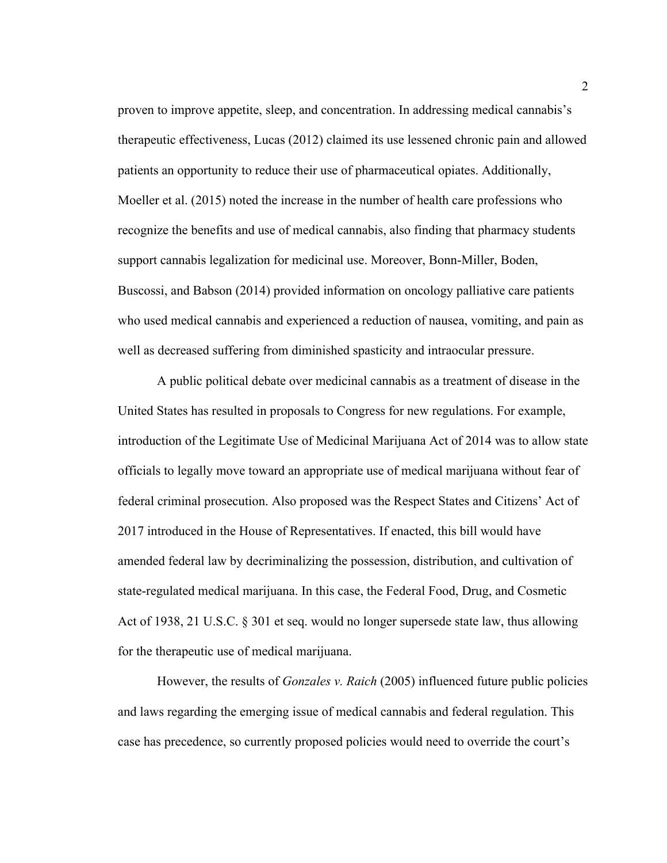proven to improve appetite, sleep, and concentration. In addressing medical cannabis's therapeutic effectiveness, Lucas (2012) claimed its use lessened chronic pain and allowed patients an opportunity to reduce their use of pharmaceutical opiates. Additionally, Moeller et al. (2015) noted the increase in the number of health care professions who recognize the benefits and use of medical cannabis, also finding that pharmacy students support cannabis legalization for medicinal use. Moreover, Bonn-Miller, Boden, Buscossi, and Babson (2014) provided information on oncology palliative care patients who used medical cannabis and experienced a reduction of nausea, vomiting, and pain as well as decreased suffering from diminished spasticity and intraocular pressure.

A public political debate over medicinal cannabis as a treatment of disease in the United States has resulted in proposals to Congress for new regulations. For example, introduction of the Legitimate Use of Medicinal Marijuana Act of 2014 was to allow state officials to legally move toward an appropriate use of medical marijuana without fear of federal criminal prosecution. Also proposed was the Respect States and Citizens' Act of 2017 introduced in the House of Representatives. If enacted, this bill would have amended federal law by decriminalizing the possession, distribution, and cultivation of state-regulated medical marijuana. In this case, the Federal Food, Drug, and Cosmetic Act of 1938, 21 U.S.C. § 301 et seq. would no longer supersede state law, thus allowing for the therapeutic use of medical marijuana.

However, the results of *Gonzales v. Raich* (2005) influenced future public policies and laws regarding the emerging issue of medical cannabis and federal regulation. This case has precedence, so currently proposed policies would need to override the court's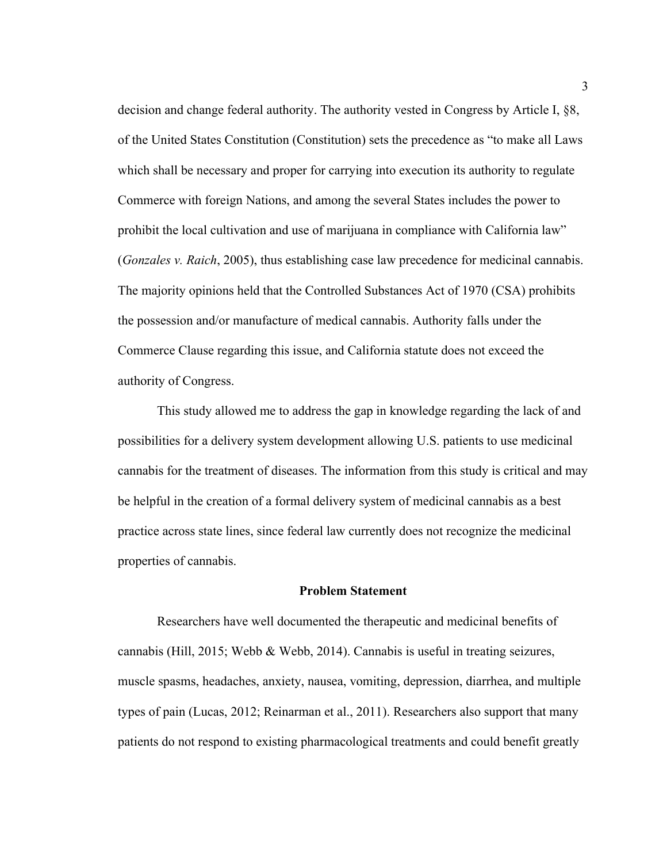decision and change federal authority. The authority vested in Congress by Article I, §8, of the United States Constitution (Constitution) sets the precedence as "to make all Laws which shall be necessary and proper for carrying into execution its authority to regulate Commerce with foreign Nations, and among the several States includes the power to prohibit the local cultivation and use of marijuana in compliance with California law" (*Gonzales v. Raich*, 2005), thus establishing case law precedence for medicinal cannabis. The majority opinions held that the Controlled Substances Act of 1970 (CSA) prohibits the possession and/or manufacture of medical cannabis. Authority falls under the Commerce Clause regarding this issue, and California statute does not exceed the authority of Congress.

This study allowed me to address the gap in knowledge regarding the lack of and possibilities for a delivery system development allowing U.S. patients to use medicinal cannabis for the treatment of diseases. The information from this study is critical and may be helpful in the creation of a formal delivery system of medicinal cannabis as a best practice across state lines, since federal law currently does not recognize the medicinal properties of cannabis.

#### **Problem Statement**

Researchers have well documented the therapeutic and medicinal benefits of cannabis (Hill, 2015; Webb & Webb, 2014). Cannabis is useful in treating seizures, muscle spasms, headaches, anxiety, nausea, vomiting, depression, diarrhea, and multiple types of pain (Lucas, 2012; Reinarman et al., 2011). Researchers also support that many patients do not respond to existing pharmacological treatments and could benefit greatly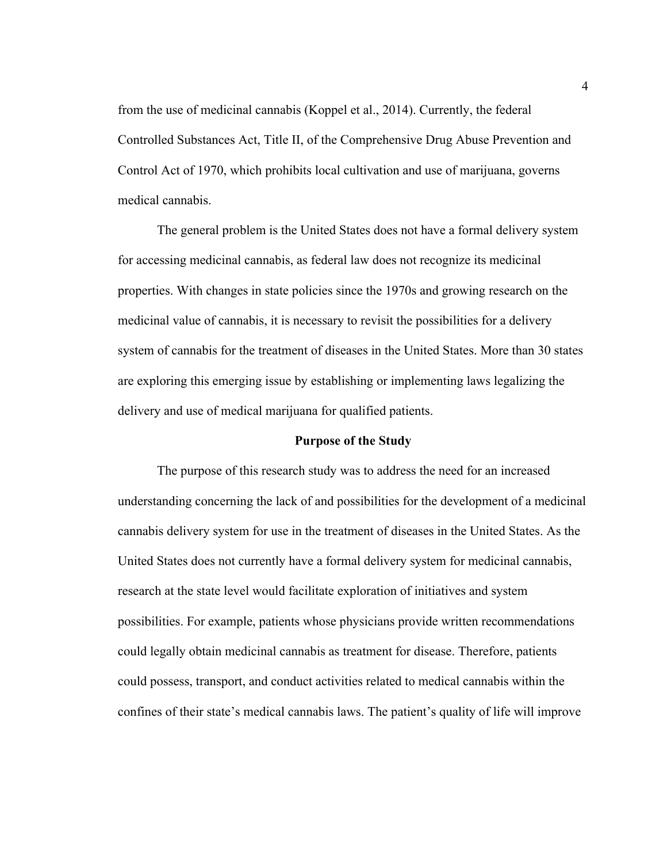from the use of medicinal cannabis (Koppel et al., 2014). Currently, the federal Controlled Substances Act, Title II, of the Comprehensive Drug Abuse Prevention and Control Act of 1970, which prohibits local cultivation and use of marijuana, governs medical cannabis.

The general problem is the United States does not have a formal delivery system for accessing medicinal cannabis, as federal law does not recognize its medicinal properties. With changes in state policies since the 1970s and growing research on the medicinal value of cannabis, it is necessary to revisit the possibilities for a delivery system of cannabis for the treatment of diseases in the United States. More than 30 states are exploring this emerging issue by establishing or implementing laws legalizing the delivery and use of medical marijuana for qualified patients.

#### **Purpose of the Study**

The purpose of this research study was to address the need for an increased understanding concerning the lack of and possibilities for the development of a medicinal cannabis delivery system for use in the treatment of diseases in the United States. As the United States does not currently have a formal delivery system for medicinal cannabis, research at the state level would facilitate exploration of initiatives and system possibilities. For example, patients whose physicians provide written recommendations could legally obtain medicinal cannabis as treatment for disease. Therefore, patients could possess, transport, and conduct activities related to medical cannabis within the confines of their state's medical cannabis laws. The patient's quality of life will improve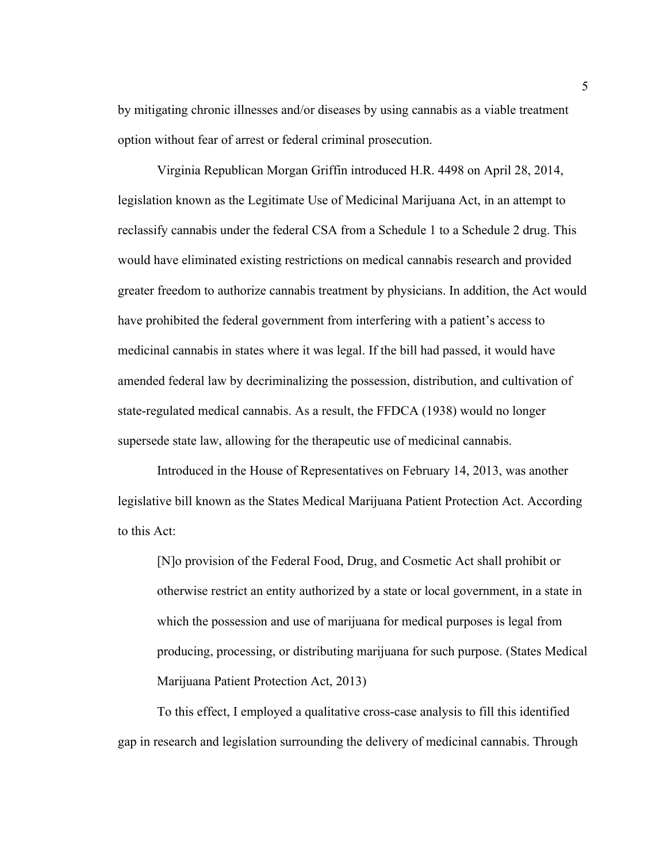by mitigating chronic illnesses and/or diseases by using cannabis as a viable treatment option without fear of arrest or federal criminal prosecution.

Virginia Republican Morgan Griffin introduced H.R. 4498 on April 28, 2014, legislation known as the Legitimate Use of Medicinal Marijuana Act, in an attempt to reclassify cannabis under the federal CSA from a Schedule 1 to a Schedule 2 drug. This would have eliminated existing restrictions on medical cannabis research and provided greater freedom to authorize cannabis treatment by physicians. In addition, the Act would have prohibited the federal government from interfering with a patient's access to medicinal cannabis in states where it was legal. If the bill had passed, it would have amended federal law by decriminalizing the possession, distribution, and cultivation of state-regulated medical cannabis. As a result, the FFDCA (1938) would no longer supersede state law, allowing for the therapeutic use of medicinal cannabis.

Introduced in the House of Representatives on February 14, 2013, was another legislative bill known as the States Medical Marijuana Patient Protection Act. According to this Act:

[N]o provision of the Federal Food, Drug, and Cosmetic Act shall prohibit or otherwise restrict an entity authorized by a state or local government, in a state in which the possession and use of marijuana for medical purposes is legal from producing, processing, or distributing marijuana for such purpose. (States Medical Marijuana Patient Protection Act, 2013)

To this effect, I employed a qualitative cross-case analysis to fill this identified gap in research and legislation surrounding the delivery of medicinal cannabis. Through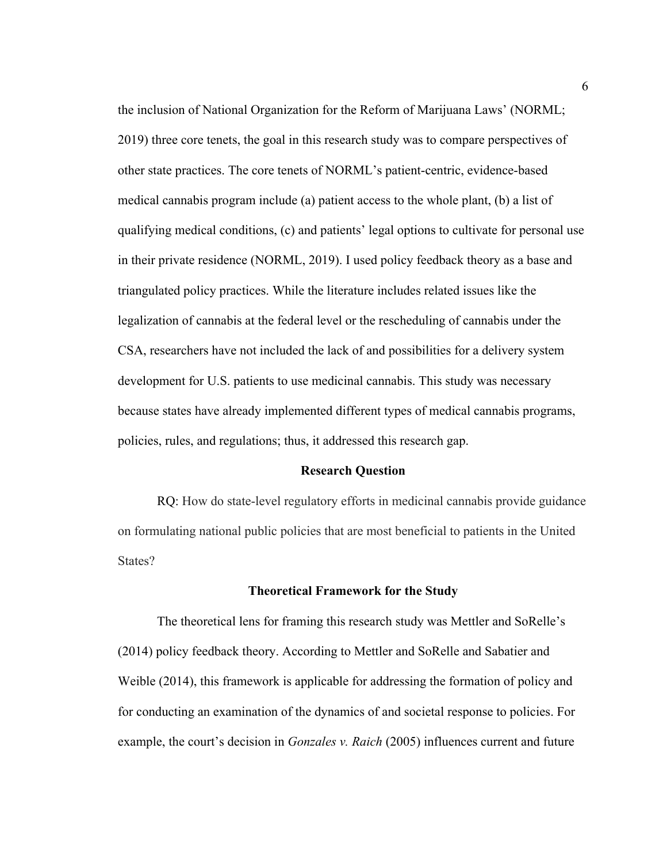the inclusion of National Organization for the Reform of Marijuana Laws' (NORML; 2019) three core tenets, the goal in this research study was to compare perspectives of other state practices. The core tenets of NORML's patient-centric, evidence-based medical cannabis program include (a) patient access to the whole plant, (b) a list of qualifying medical conditions, (c) and patients' legal options to cultivate for personal use in their private residence (NORML, 2019). I used policy feedback theory as a base and triangulated policy practices. While the literature includes related issues like the legalization of cannabis at the federal level or the rescheduling of cannabis under the CSA, researchers have not included the lack of and possibilities for a delivery system development for U.S. patients to use medicinal cannabis. This study was necessary because states have already implemented different types of medical cannabis programs, policies, rules, and regulations; thus, it addressed this research gap.

#### **Research Question**

RQ: How do state-level regulatory efforts in medicinal cannabis provide guidance on formulating national public policies that are most beneficial to patients in the United States?

#### **Theoretical Framework for the Study**

The theoretical lens for framing this research study was Mettler and SoRelle's (2014) policy feedback theory. According to Mettler and SoRelle and Sabatier and Weible (2014), this framework is applicable for addressing the formation of policy and for conducting an examination of the dynamics of and societal response to policies. For example, the court's decision in *Gonzales v. Raich* (2005) influences current and future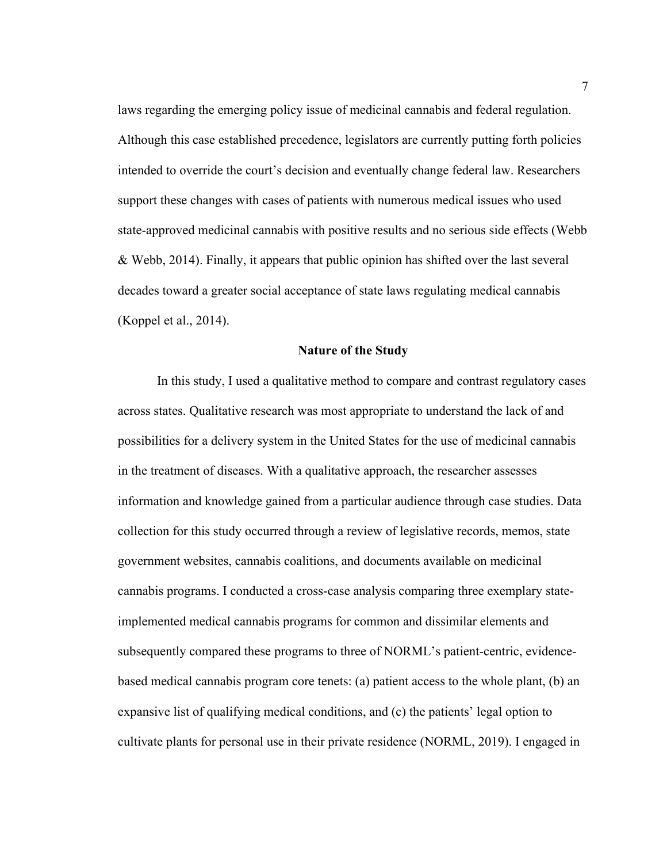laws regarding the emerging policy issue of medicinal cannabis and federal regulation. Although this case established precedence, legislators are currently putting forth policies intended to override the court's decision and eventually change federal law. Researchers support these changes with cases of patients with numerous medical issues who used state-approved medicinal cannabis with positive results and no serious side effects (Webb & Webb, 2014). Finally, it appears that public opinion has shifted over the last several decades toward a greater social acceptance of state laws regulating medical cannabis (Koppel et al., 2014).

#### **Nature of the Study**

In this study, I used a qualitative method to compare and contrast regulatory cases across states. Qualitative research was most appropriate to understand the lack of and possibilities for a delivery system in the United States for the use of medicinal cannabis in the treatment of diseases. With a qualitative approach, the researcher assesses information and knowledge gained from a particular audience through case studies. Data collection for this study occurred through a review of legislative records, memos, state government websites, cannabis coalitions, and documents available on medicinal cannabis programs. I conducted a cross-case analysis comparing three exemplary stateimplemented medical cannabis programs for common and dissimilar elements and subsequently compared these programs to three of NORML's patient-centric, evidencebased medical cannabis program core tenets: (a) patient access to the whole plant, (b) an expansive list of qualifying medical conditions, and (c) the patients' legal option to cultivate plants for personal use in their private residence (NORML, 2019). I engaged in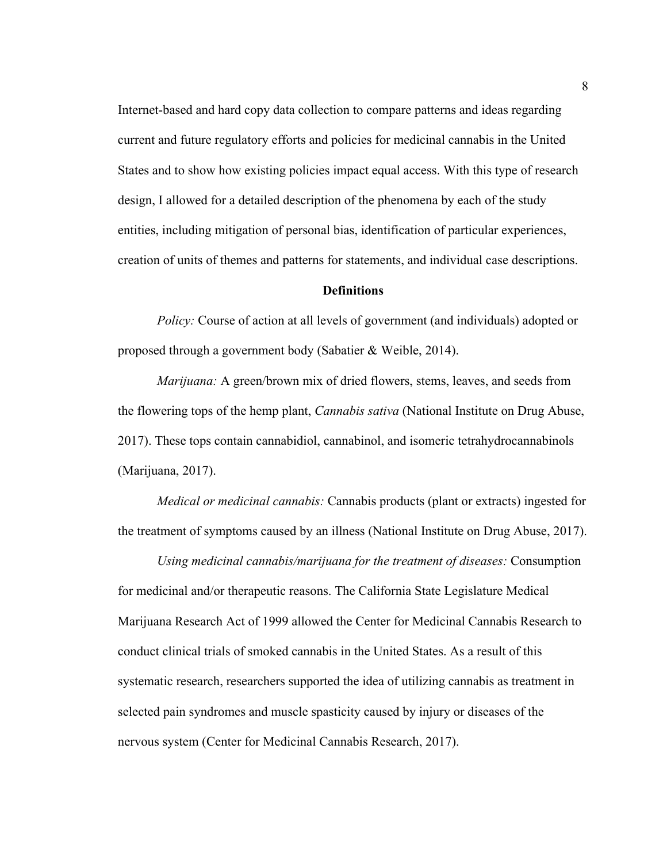Internet-based and hard copy data collection to compare patterns and ideas regarding current and future regulatory efforts and policies for medicinal cannabis in the United States and to show how existing policies impact equal access. With this type of research design, I allowed for a detailed description of the phenomena by each of the study entities, including mitigation of personal bias, identification of particular experiences, creation of units of themes and patterns for statements, and individual case descriptions.

#### **Definitions**

*Policy:* Course of action at all levels of government (and individuals) adopted or proposed through a government body (Sabatier & Weible, 2014).

*Marijuana:* A green/brown mix of dried flowers, stems, leaves, and seeds from the flowering tops of the hemp plant, *Cannabis sativa* (National Institute on Drug Abuse, 2017). These tops contain cannabidiol, cannabinol, and isomeric tetrahydrocannabinols (Marijuana, 2017).

*Medical or medicinal cannabis:* Cannabis products (plant or extracts) ingested for the treatment of symptoms caused by an illness (National Institute on Drug Abuse, 2017).

*Using medicinal cannabis/marijuana for the treatment of diseases:* Consumption for medicinal and/or therapeutic reasons. The California State Legislature Medical Marijuana Research Act of 1999 allowed the Center for Medicinal Cannabis Research to conduct clinical trials of smoked cannabis in the United States. As a result of this systematic research, researchers supported the idea of utilizing cannabis as treatment in selected pain syndromes and muscle spasticity caused by injury or diseases of the nervous system (Center for Medicinal Cannabis Research, 2017).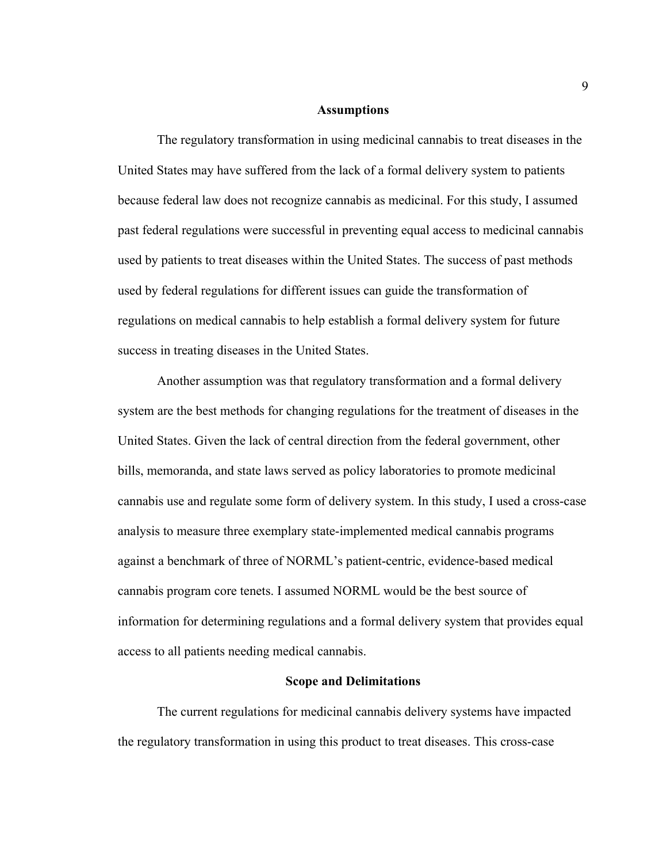#### **Assumptions**

The regulatory transformation in using medicinal cannabis to treat diseases in the United States may have suffered from the lack of a formal delivery system to patients because federal law does not recognize cannabis as medicinal. For this study, I assumed past federal regulations were successful in preventing equal access to medicinal cannabis used by patients to treat diseases within the United States. The success of past methods used by federal regulations for different issues can guide the transformation of regulations on medical cannabis to help establish a formal delivery system for future success in treating diseases in the United States.

Another assumption was that regulatory transformation and a formal delivery system are the best methods for changing regulations for the treatment of diseases in the United States. Given the lack of central direction from the federal government, other bills, memoranda, and state laws served as policy laboratories to promote medicinal cannabis use and regulate some form of delivery system. In this study, I used a cross-case analysis to measure three exemplary state-implemented medical cannabis programs against a benchmark of three of NORML's patient-centric, evidence-based medical cannabis program core tenets. I assumed NORML would be the best source of information for determining regulations and a formal delivery system that provides equal access to all patients needing medical cannabis.

#### **Scope and Delimitations**

The current regulations for medicinal cannabis delivery systems have impacted the regulatory transformation in using this product to treat diseases. This cross-case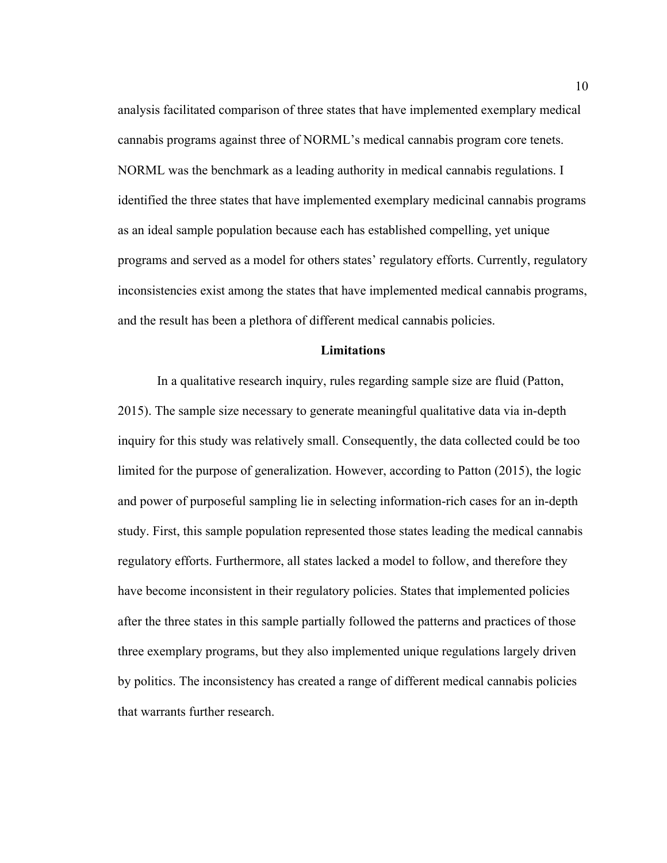analysis facilitated comparison of three states that have implemented exemplary medical cannabis programs against three of NORML's medical cannabis program core tenets. NORML was the benchmark as a leading authority in medical cannabis regulations. I identified the three states that have implemented exemplary medicinal cannabis programs as an ideal sample population because each has established compelling, yet unique programs and served as a model for others states' regulatory efforts. Currently, regulatory inconsistencies exist among the states that have implemented medical cannabis programs, and the result has been a plethora of different medical cannabis policies.

#### **Limitations**

In a qualitative research inquiry, rules regarding sample size are fluid (Patton, 2015). The sample size necessary to generate meaningful qualitative data via in-depth inquiry for this study was relatively small. Consequently, the data collected could be too limited for the purpose of generalization. However, according to Patton (2015), the logic and power of purposeful sampling lie in selecting information-rich cases for an in-depth study. First, this sample population represented those states leading the medical cannabis regulatory efforts. Furthermore, all states lacked a model to follow, and therefore they have become inconsistent in their regulatory policies. States that implemented policies after the three states in this sample partially followed the patterns and practices of those three exemplary programs, but they also implemented unique regulations largely driven by politics. The inconsistency has created a range of different medical cannabis policies that warrants further research.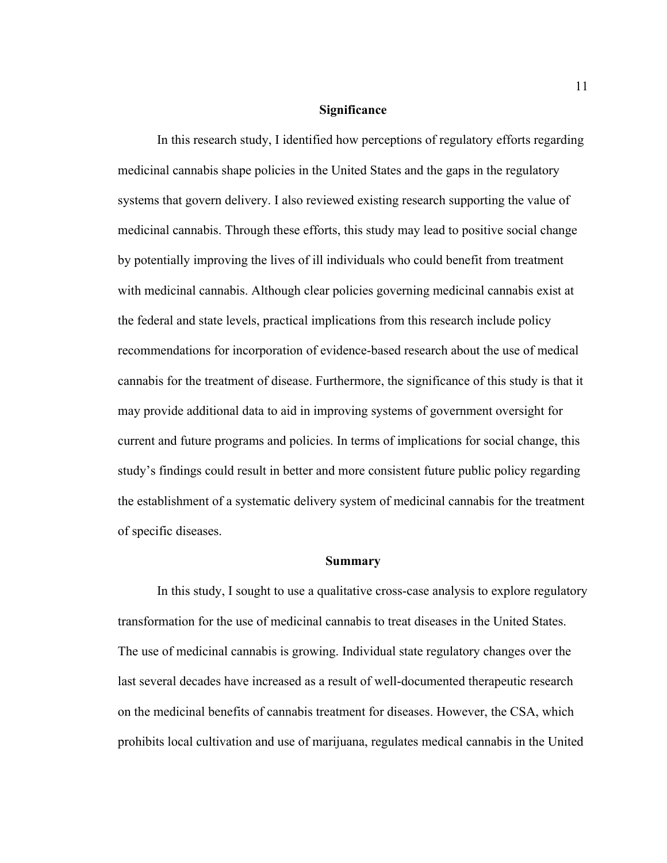#### **Significance**

In this research study, I identified how perceptions of regulatory efforts regarding medicinal cannabis shape policies in the United States and the gaps in the regulatory systems that govern delivery. I also reviewed existing research supporting the value of medicinal cannabis. Through these efforts, this study may lead to positive social change by potentially improving the lives of ill individuals who could benefit from treatment with medicinal cannabis. Although clear policies governing medicinal cannabis exist at the federal and state levels, practical implications from this research include policy recommendations for incorporation of evidence-based research about the use of medical cannabis for the treatment of disease. Furthermore, the significance of this study is that it may provide additional data to aid in improving systems of government oversight for current and future programs and policies. In terms of implications for social change, this study's findings could result in better and more consistent future public policy regarding the establishment of a systematic delivery system of medicinal cannabis for the treatment of specific diseases.

#### **Summary**

In this study, I sought to use a qualitative cross-case analysis to explore regulatory transformation for the use of medicinal cannabis to treat diseases in the United States. The use of medicinal cannabis is growing. Individual state regulatory changes over the last several decades have increased as a result of well-documented therapeutic research on the medicinal benefits of cannabis treatment for diseases. However, the CSA, which prohibits local cultivation and use of marijuana, regulates medical cannabis in the United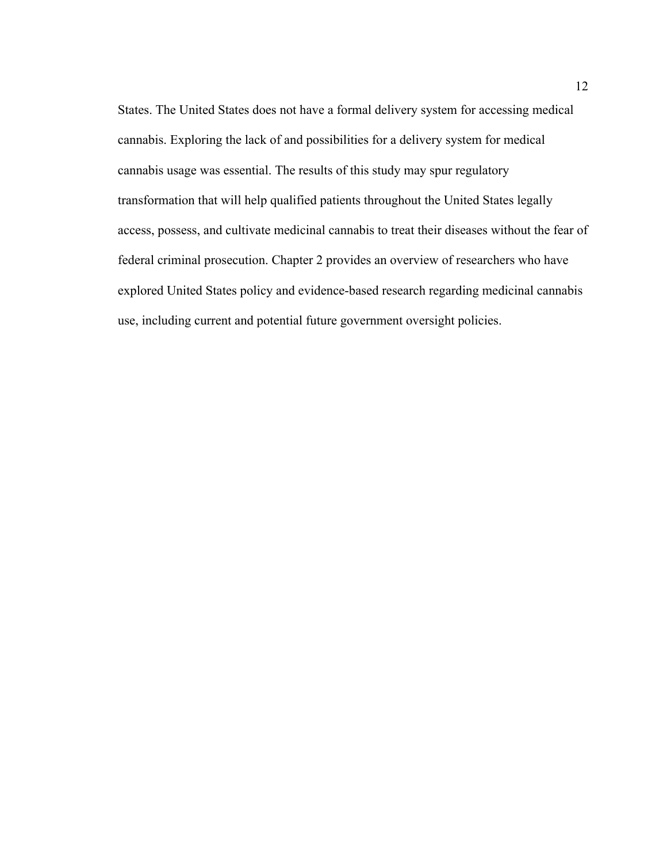States. The United States does not have a formal delivery system for accessing medical cannabis. Exploring the lack of and possibilities for a delivery system for medical cannabis usage was essential. The results of this study may spur regulatory transformation that will help qualified patients throughout the United States legally access, possess, and cultivate medicinal cannabis to treat their diseases without the fear of federal criminal prosecution. Chapter 2 provides an overview of researchers who have explored United States policy and evidence-based research regarding medicinal cannabis use, including current and potential future government oversight policies.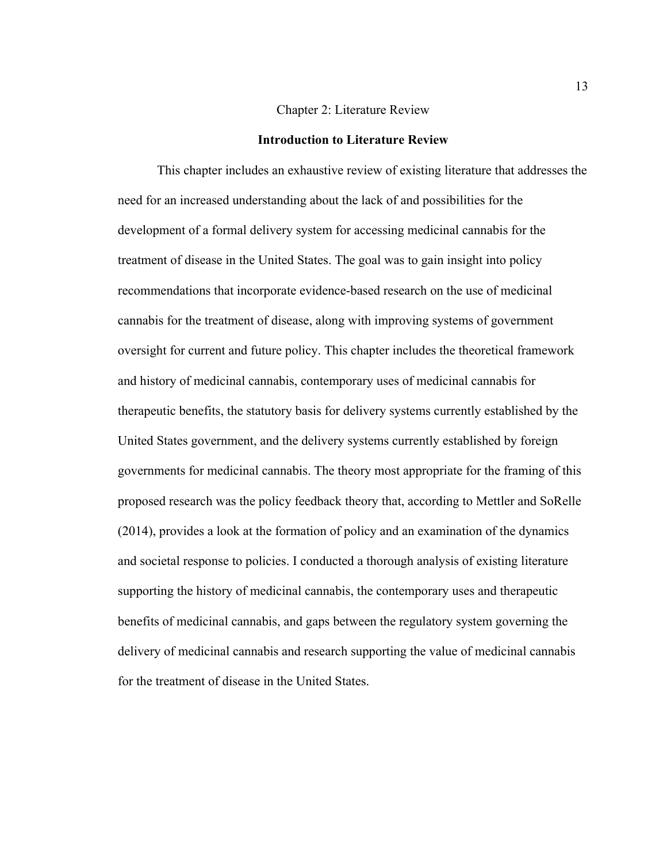#### Chapter 2: Literature Review

#### **Introduction to Literature Review**

This chapter includes an exhaustive review of existing literature that addresses the need for an increased understanding about the lack of and possibilities for the development of a formal delivery system for accessing medicinal cannabis for the treatment of disease in the United States. The goal was to gain insight into policy recommendations that incorporate evidence-based research on the use of medicinal cannabis for the treatment of disease, along with improving systems of government oversight for current and future policy. This chapter includes the theoretical framework and history of medicinal cannabis, contemporary uses of medicinal cannabis for therapeutic benefits, the statutory basis for delivery systems currently established by the United States government, and the delivery systems currently established by foreign governments for medicinal cannabis. The theory most appropriate for the framing of this proposed research was the policy feedback theory that, according to Mettler and SoRelle (2014), provides a look at the formation of policy and an examination of the dynamics and societal response to policies. I conducted a thorough analysis of existing literature supporting the history of medicinal cannabis, the contemporary uses and therapeutic benefits of medicinal cannabis, and gaps between the regulatory system governing the delivery of medicinal cannabis and research supporting the value of medicinal cannabis for the treatment of disease in the United States.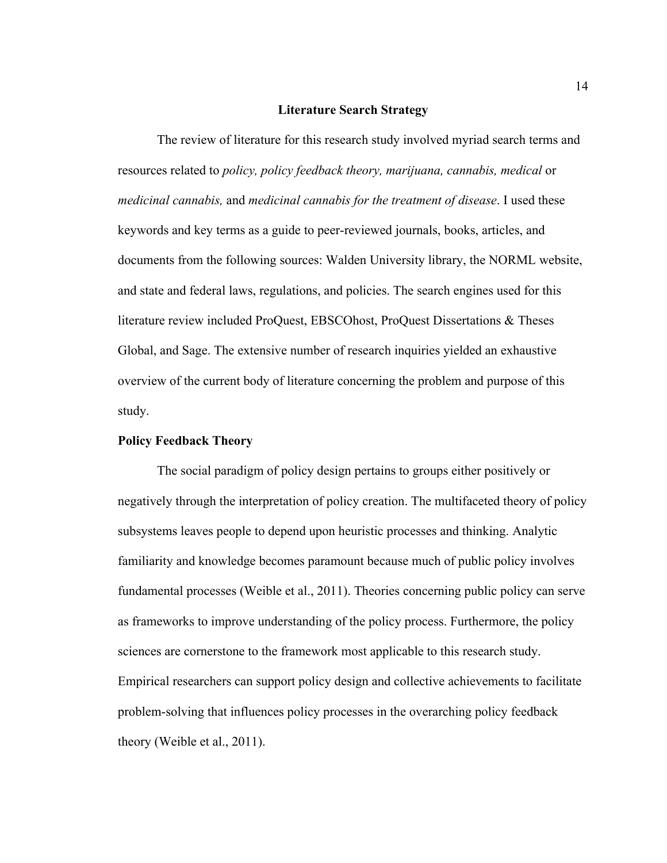#### **Literature Search Strategy**

The review of literature for this research study involved myriad search terms and resources related to *policy, policy feedback theory, marijuana, cannabis, medical* or *medicinal cannabis,* and *medicinal cannabis for the treatment of disease*. I used these keywords and key terms as a guide to peer-reviewed journals, books, articles, and documents from the following sources: Walden University library, the NORML website, and state and federal laws, regulations, and policies. The search engines used for this literature review included ProQuest, EBSCOhost, ProQuest Dissertations & Theses Global, and Sage. The extensive number of research inquiries yielded an exhaustive overview of the current body of literature concerning the problem and purpose of this study.

#### **Policy Feedback Theory**

The social paradigm of policy design pertains to groups either positively or negatively through the interpretation of policy creation. The multifaceted theory of policy subsystems leaves people to depend upon heuristic processes and thinking. Analytic familiarity and knowledge becomes paramount because much of public policy involves fundamental processes (Weible et al., 2011). Theories concerning public policy can serve as frameworks to improve understanding of the policy process. Furthermore, the policy sciences are cornerstone to the framework most applicable to this research study. Empirical researchers can support policy design and collective achievements to facilitate problem-solving that influences policy processes in the overarching policy feedback theory (Weible et al., 2011).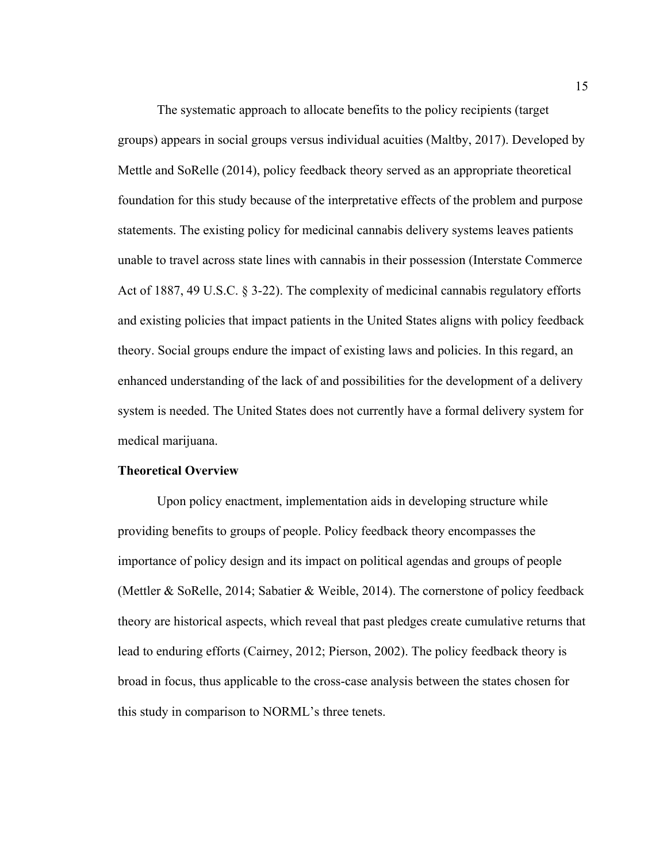The systematic approach to allocate benefits to the policy recipients (target groups) appears in social groups versus individual acuities (Maltby, 2017). Developed by Mettle and SoRelle (2014), policy feedback theory served as an appropriate theoretical foundation for this study because of the interpretative effects of the problem and purpose statements. The existing policy for medicinal cannabis delivery systems leaves patients unable to travel across state lines with cannabis in their possession (Interstate Commerce Act of 1887, 49 U.S.C. § 3-22). The complexity of medicinal cannabis regulatory efforts and existing policies that impact patients in the United States aligns with policy feedback theory. Social groups endure the impact of existing laws and policies. In this regard, an enhanced understanding of the lack of and possibilities for the development of a delivery system is needed. The United States does not currently have a formal delivery system for medical marijuana.

#### **Theoretical Overview**

Upon policy enactment, implementation aids in developing structure while providing benefits to groups of people. Policy feedback theory encompasses the importance of policy design and its impact on political agendas and groups of people (Mettler & SoRelle, 2014; Sabatier & Weible, 2014). The cornerstone of policy feedback theory are historical aspects, which reveal that past pledges create cumulative returns that lead to enduring efforts (Cairney, 2012; Pierson, 2002). The policy feedback theory is broad in focus, thus applicable to the cross-case analysis between the states chosen for this study in comparison to NORML's three tenets.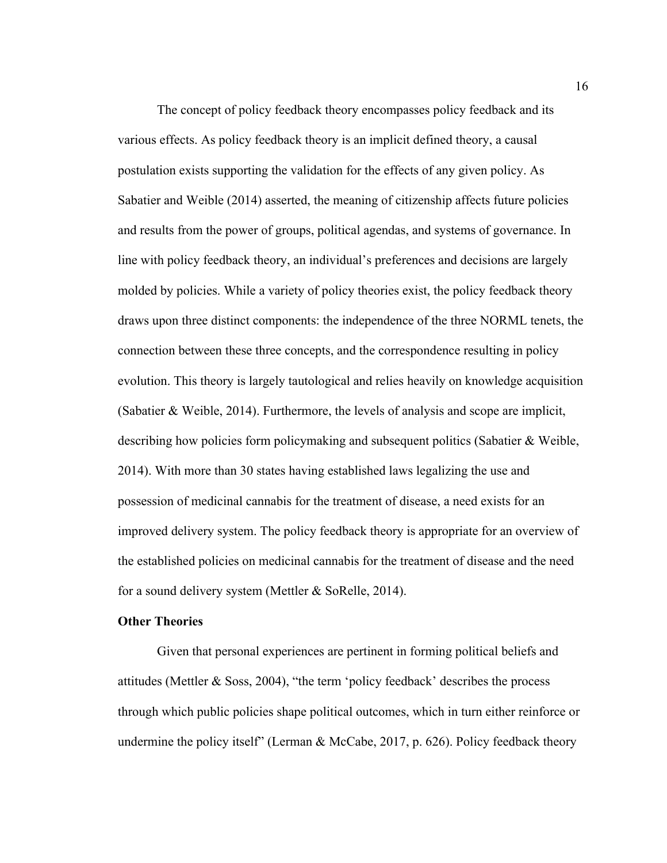The concept of policy feedback theory encompasses policy feedback and its various effects. As policy feedback theory is an implicit defined theory, a causal postulation exists supporting the validation for the effects of any given policy. As Sabatier and Weible (2014) asserted, the meaning of citizenship affects future policies and results from the power of groups, political agendas, and systems of governance. In line with policy feedback theory, an individual's preferences and decisions are largely molded by policies. While a variety of policy theories exist, the policy feedback theory draws upon three distinct components: the independence of the three NORML tenets, the connection between these three concepts, and the correspondence resulting in policy evolution. This theory is largely tautological and relies heavily on knowledge acquisition (Sabatier & Weible, 2014). Furthermore, the levels of analysis and scope are implicit, describing how policies form policymaking and subsequent politics (Sabatier & Weible, 2014). With more than 30 states having established laws legalizing the use and possession of medicinal cannabis for the treatment of disease, a need exists for an improved delivery system. The policy feedback theory is appropriate for an overview of the established policies on medicinal cannabis for the treatment of disease and the need for a sound delivery system (Mettler & SoRelle, 2014).

#### **Other Theories**

Given that personal experiences are pertinent in forming political beliefs and attitudes (Mettler & Soss, 2004), "the term 'policy feedback' describes the process through which public policies shape political outcomes, which in turn either reinforce or undermine the policy itself" (Lerman & McCabe, 2017, p. 626). Policy feedback theory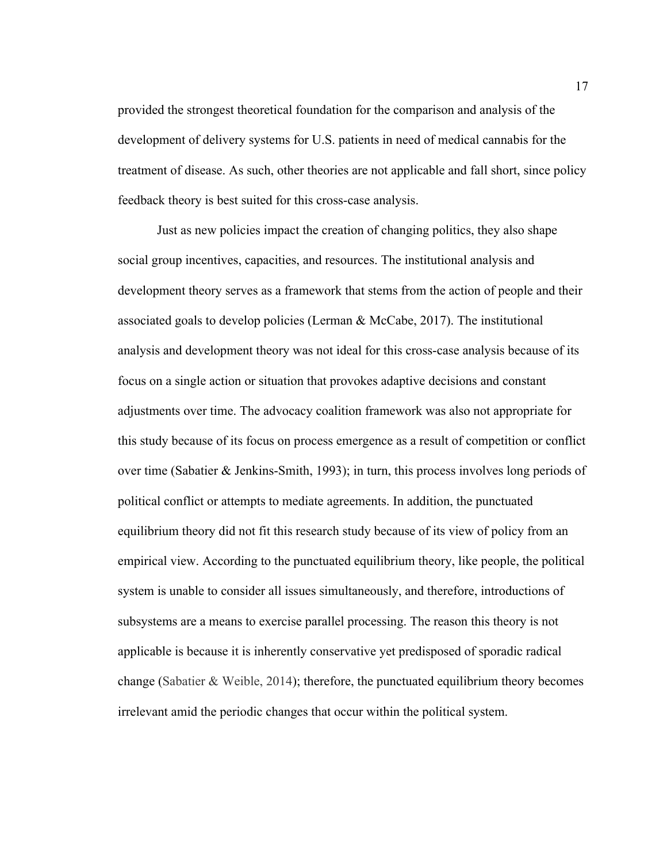provided the strongest theoretical foundation for the comparison and analysis of the development of delivery systems for U.S. patients in need of medical cannabis for the treatment of disease. As such, other theories are not applicable and fall short, since policy feedback theory is best suited for this cross-case analysis.

Just as new policies impact the creation of changing politics, they also shape social group incentives, capacities, and resources. The institutional analysis and development theory serves as a framework that stems from the action of people and their associated goals to develop policies (Lerman & McCabe, 2017). The institutional analysis and development theory was not ideal for this cross-case analysis because of its focus on a single action or situation that provokes adaptive decisions and constant adjustments over time. The advocacy coalition framework was also not appropriate for this study because of its focus on process emergence as a result of competition or conflict over time (Sabatier & Jenkins-Smith, 1993); in turn, this process involves long periods of political conflict or attempts to mediate agreements. In addition, the punctuated equilibrium theory did not fit this research study because of its view of policy from an empirical view. According to the punctuated equilibrium theory, like people, the political system is unable to consider all issues simultaneously, and therefore, introductions of subsystems are a means to exercise parallel processing. The reason this theory is not applicable is because it is inherently conservative yet predisposed of sporadic radical change (Sabatier  $\&$  Weible, 2014); therefore, the punctuated equilibrium theory becomes irrelevant amid the periodic changes that occur within the political system.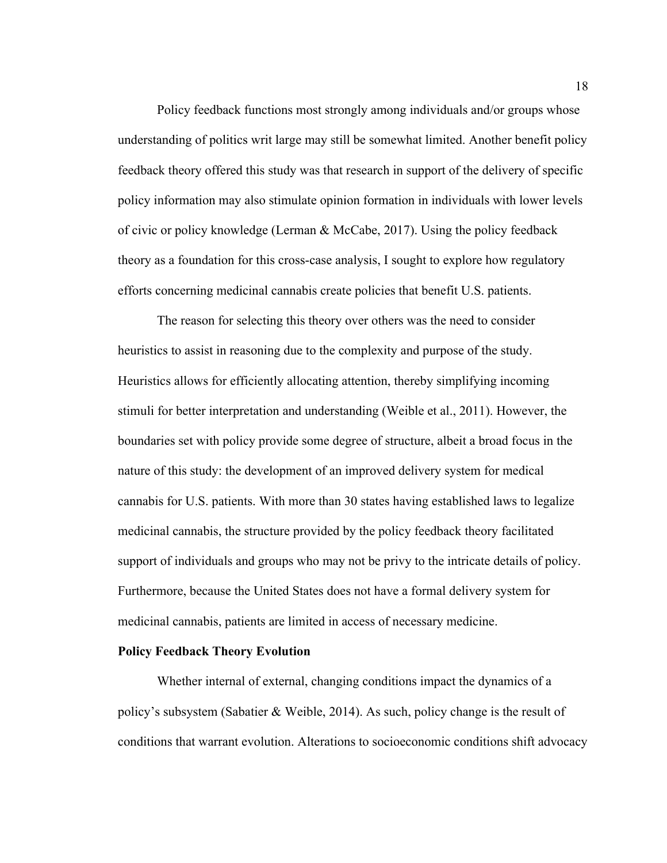Policy feedback functions most strongly among individuals and/or groups whose understanding of politics writ large may still be somewhat limited. Another benefit policy feedback theory offered this study was that research in support of the delivery of specific policy information may also stimulate opinion formation in individuals with lower levels of civic or policy knowledge (Lerman & McCabe, 2017). Using the policy feedback theory as a foundation for this cross-case analysis, I sought to explore how regulatory efforts concerning medicinal cannabis create policies that benefit U.S. patients.

The reason for selecting this theory over others was the need to consider heuristics to assist in reasoning due to the complexity and purpose of the study. Heuristics allows for efficiently allocating attention, thereby simplifying incoming stimuli for better interpretation and understanding (Weible et al., 2011). However, the boundaries set with policy provide some degree of structure, albeit a broad focus in the nature of this study: the development of an improved delivery system for medical cannabis for U.S. patients. With more than 30 states having established laws to legalize medicinal cannabis, the structure provided by the policy feedback theory facilitated support of individuals and groups who may not be privy to the intricate details of policy. Furthermore, because the United States does not have a formal delivery system for medicinal cannabis, patients are limited in access of necessary medicine.

#### **Policy Feedback Theory Evolution**

Whether internal of external, changing conditions impact the dynamics of a policy's subsystem (Sabatier & Weible, 2014). As such, policy change is the result of conditions that warrant evolution. Alterations to socioeconomic conditions shift advocacy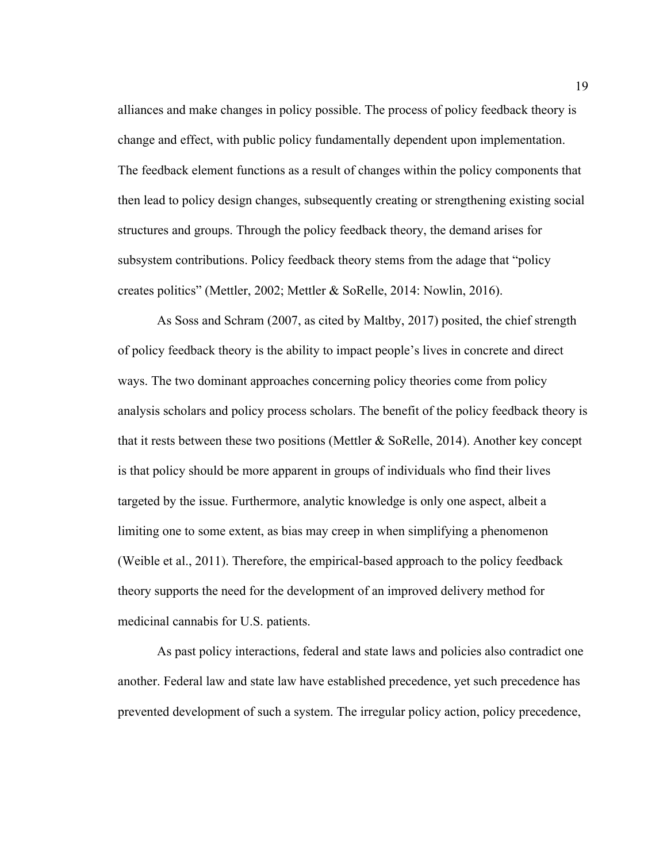alliances and make changes in policy possible. The process of policy feedback theory is change and effect, with public policy fundamentally dependent upon implementation. The feedback element functions as a result of changes within the policy components that then lead to policy design changes, subsequently creating or strengthening existing social structures and groups. Through the policy feedback theory, the demand arises for subsystem contributions. Policy feedback theory stems from the adage that "policy creates politics" (Mettler, 2002; Mettler & SoRelle, 2014: Nowlin, 2016).

As Soss and Schram (2007, as cited by Maltby, 2017) posited, the chief strength of policy feedback theory is the ability to impact people's lives in concrete and direct ways. The two dominant approaches concerning policy theories come from policy analysis scholars and policy process scholars. The benefit of the policy feedback theory is that it rests between these two positions (Mettler  $&$  SoRelle, 2014). Another key concept is that policy should be more apparent in groups of individuals who find their lives targeted by the issue. Furthermore, analytic knowledge is only one aspect, albeit a limiting one to some extent, as bias may creep in when simplifying a phenomenon (Weible et al., 2011). Therefore, the empirical-based approach to the policy feedback theory supports the need for the development of an improved delivery method for medicinal cannabis for U.S. patients.

As past policy interactions, federal and state laws and policies also contradict one another. Federal law and state law have established precedence, yet such precedence has prevented development of such a system. The irregular policy action, policy precedence,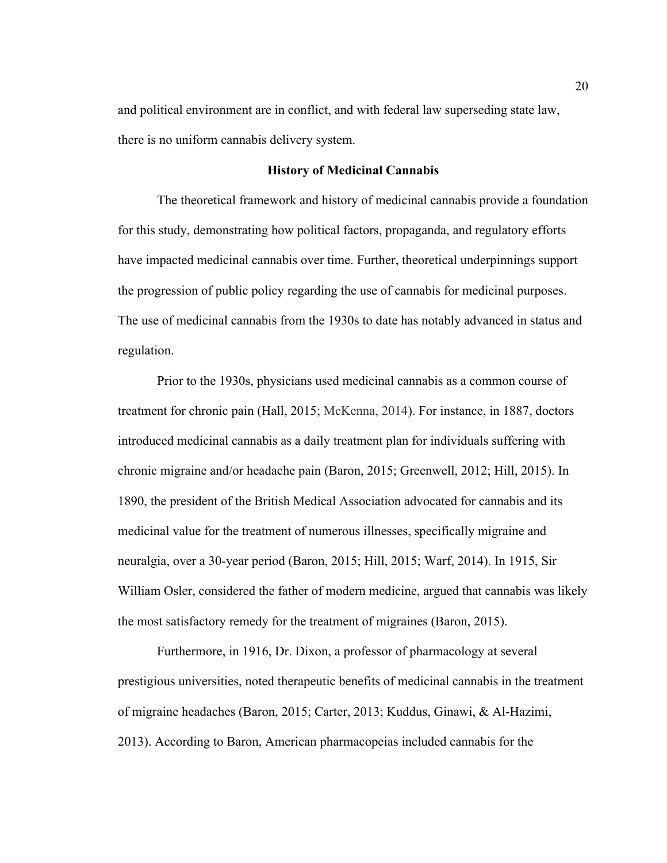and political environment are in conflict, and with federal law superseding state law, there is no uniform cannabis delivery system.

#### **History of Medicinal Cannabis**

The theoretical framework and history of medicinal cannabis provide a foundation for this study, demonstrating how political factors, propaganda, and regulatory efforts have impacted medicinal cannabis over time. Further, theoretical underpinnings support the progression of public policy regarding the use of cannabis for medicinal purposes. The use of medicinal cannabis from the 1930s to date has notably advanced in status and regulation.

Prior to the 1930s, physicians used medicinal cannabis as a common course of treatment for chronic pain (Hall, 2015; McKenna, 2014). For instance, in 1887, doctors introduced medicinal cannabis as a daily treatment plan for individuals suffering with chronic migraine and/or headache pain (Baron, 2015; Greenwell, 2012; Hill, 2015). In 1890, the president of the British Medical Association advocated for cannabis and its medicinal value for the treatment of numerous illnesses, specifically migraine and neuralgia, over a 30-year period (Baron, 2015; Hill, 2015; Warf, 2014). In 1915, Sir William Osler, considered the father of modern medicine, argued that cannabis was likely the most satisfactory remedy for the treatment of migraines (Baron, 2015).

Furthermore, in 1916, Dr. Dixon, a professor of pharmacology at several prestigious universities, noted therapeutic benefits of medicinal cannabis in the treatment of migraine headaches (Baron, 2015; Carter, 2013; Kuddus, Ginawi, & Al-Hazimi, 2013). According to Baron, American pharmacopeias included cannabis for the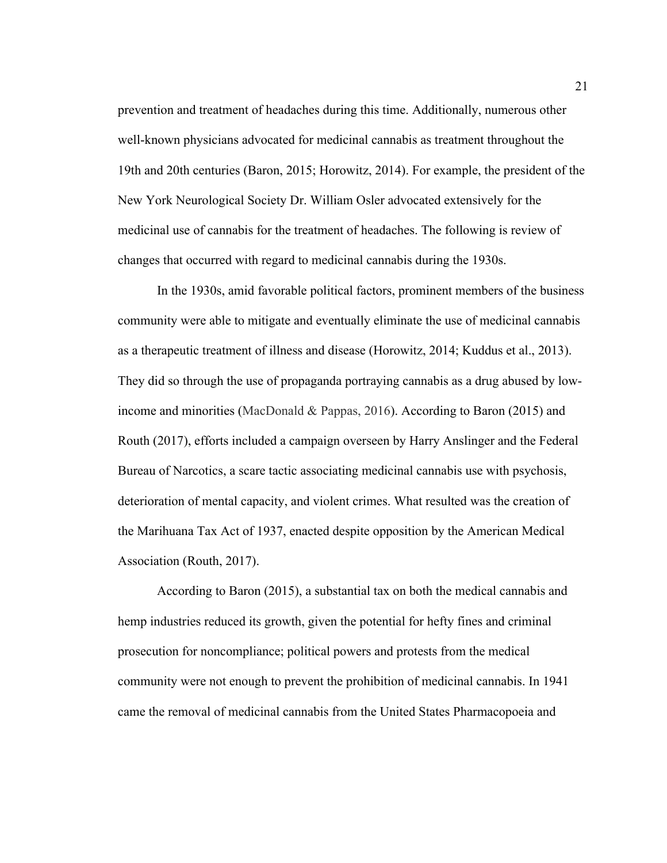prevention and treatment of headaches during this time. Additionally, numerous other well-known physicians advocated for medicinal cannabis as treatment throughout the 19th and 20th centuries (Baron, 2015; Horowitz, 2014). For example, the president of the New York Neurological Society Dr. William Osler advocated extensively for the medicinal use of cannabis for the treatment of headaches. The following is review of changes that occurred with regard to medicinal cannabis during the 1930s.

In the 1930s, amid favorable political factors, prominent members of the business community were able to mitigate and eventually eliminate the use of medicinal cannabis as a therapeutic treatment of illness and disease (Horowitz, 2014; Kuddus et al., 2013). They did so through the use of propaganda portraying cannabis as a drug abused by lowincome and minorities (MacDonald & Pappas, 2016). According to Baron (2015) and Routh (2017), efforts included a campaign overseen by Harry Anslinger and the Federal Bureau of Narcotics, a scare tactic associating medicinal cannabis use with psychosis, deterioration of mental capacity, and violent crimes. What resulted was the creation of the Marihuana Tax Act of 1937, enacted despite opposition by the American Medical Association (Routh, 2017).

According to Baron (2015), a substantial tax on both the medical cannabis and hemp industries reduced its growth, given the potential for hefty fines and criminal prosecution for noncompliance; political powers and protests from the medical community were not enough to prevent the prohibition of medicinal cannabis. In 1941 came the removal of medicinal cannabis from the United States Pharmacopoeia and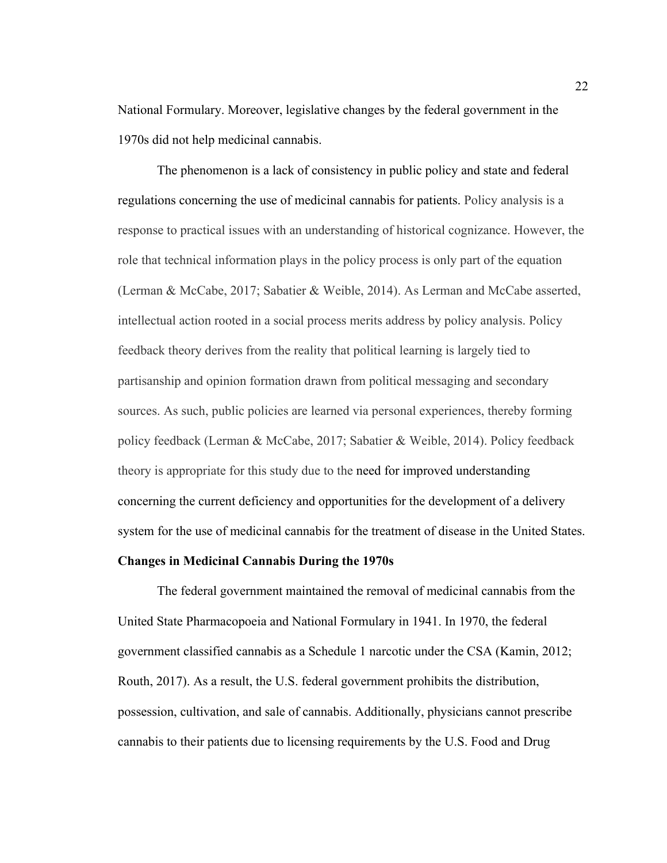National Formulary. Moreover, legislative changes by the federal government in the 1970s did not help medicinal cannabis.

The phenomenon is a lack of consistency in public policy and state and federal regulations concerning the use of medicinal cannabis for patients. Policy analysis is a response to practical issues with an understanding of historical cognizance. However, the role that technical information plays in the policy process is only part of the equation (Lerman & McCabe, 2017; Sabatier & Weible, 2014). As Lerman and McCabe asserted, intellectual action rooted in a social process merits address by policy analysis. Policy feedback theory derives from the reality that political learning is largely tied to partisanship and opinion formation drawn from political messaging and secondary sources. As such, public policies are learned via personal experiences, thereby forming policy feedback (Lerman & McCabe, 2017; Sabatier & Weible, 2014). Policy feedback theory is appropriate for this study due to the need for improved understanding concerning the current deficiency and opportunities for the development of a delivery system for the use of medicinal cannabis for the treatment of disease in the United States.

#### **Changes in Medicinal Cannabis During the 1970s**

The federal government maintained the removal of medicinal cannabis from the United State Pharmacopoeia and National Formulary in 1941. In 1970, the federal government classified cannabis as a Schedule 1 narcotic under the CSA (Kamin, 2012; Routh, 2017). As a result, the U.S. federal government prohibits the distribution, possession, cultivation, and sale of cannabis. Additionally, physicians cannot prescribe cannabis to their patients due to licensing requirements by the U.S. Food and Drug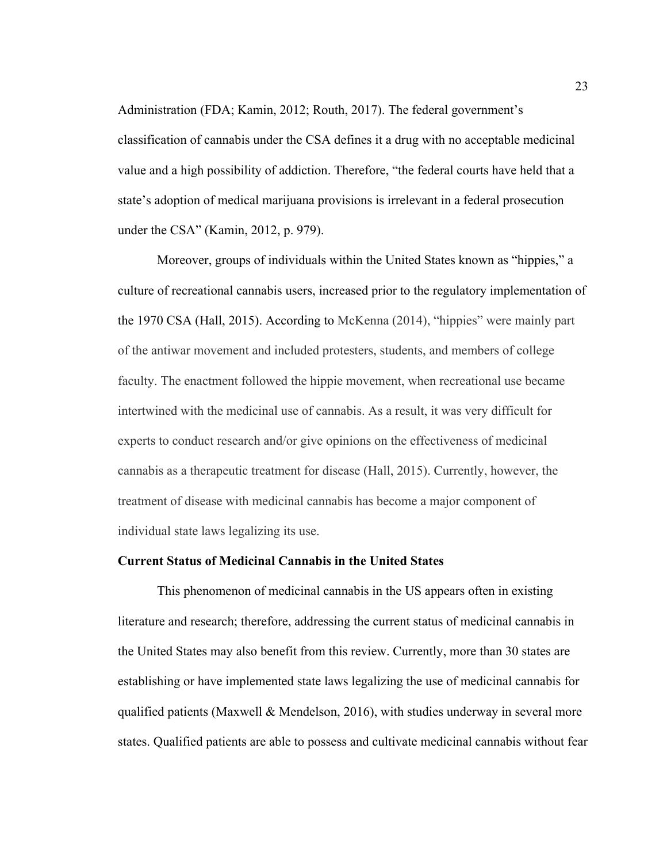Administration (FDA; Kamin, 2012; Routh, 2017). The federal government's classification of cannabis under the CSA defines it a drug with no acceptable medicinal value and a high possibility of addiction. Therefore, "the federal courts have held that a state's adoption of medical marijuana provisions is irrelevant in a federal prosecution under the CSA" (Kamin, 2012, p. 979).

Moreover, groups of individuals within the United States known as "hippies," a culture of recreational cannabis users, increased prior to the regulatory implementation of the 1970 CSA (Hall, 2015). According to McKenna (2014), "hippies" were mainly part of the antiwar movement and included protesters, students, and members of college faculty. The enactment followed the hippie movement, when recreational use became intertwined with the medicinal use of cannabis. As a result, it was very difficult for experts to conduct research and/or give opinions on the effectiveness of medicinal cannabis as a therapeutic treatment for disease (Hall, 2015). Currently, however, the treatment of disease with medicinal cannabis has become a major component of individual state laws legalizing its use.

#### **Current Status of Medicinal Cannabis in the United States**

This phenomenon of medicinal cannabis in the US appears often in existing literature and research; therefore, addressing the current status of medicinal cannabis in the United States may also benefit from this review. Currently, more than 30 states are establishing or have implemented state laws legalizing the use of medicinal cannabis for qualified patients (Maxwell & Mendelson, 2016), with studies underway in several more states. Qualified patients are able to possess and cultivate medicinal cannabis without fear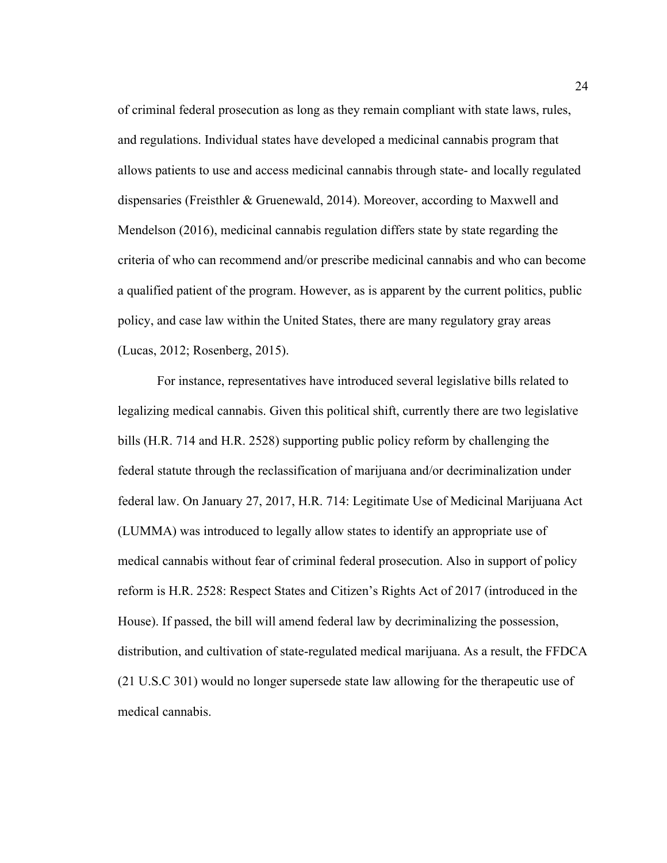of criminal federal prosecution as long as they remain compliant with state laws, rules, and regulations. Individual states have developed a medicinal cannabis program that allows patients to use and access medicinal cannabis through state- and locally regulated dispensaries (Freisthler & Gruenewald, 2014). Moreover, according to Maxwell and Mendelson (2016), medicinal cannabis regulation differs state by state regarding the criteria of who can recommend and/or prescribe medicinal cannabis and who can become a qualified patient of the program. However, as is apparent by the current politics, public policy, and case law within the United States, there are many regulatory gray areas (Lucas, 2012; Rosenberg, 2015).

For instance, representatives have introduced several legislative bills related to legalizing medical cannabis. Given this political shift, currently there are two legislative bills (H.R. 714 and H.R. 2528) supporting public policy reform by challenging the federal statute through the reclassification of marijuana and/or decriminalization under federal law. On January 27, 2017, H.R. 714: Legitimate Use of Medicinal Marijuana Act (LUMMA) was introduced to legally allow states to identify an appropriate use of medical cannabis without fear of criminal federal prosecution. Also in support of policy reform is H.R. 2528: Respect States and Citizen's Rights Act of 2017 (introduced in the House). If passed, the bill will amend federal law by decriminalizing the possession, distribution, and cultivation of state-regulated medical marijuana. As a result, the FFDCA (21 U.S.C 301) would no longer supersede state law allowing for the therapeutic use of medical cannabis.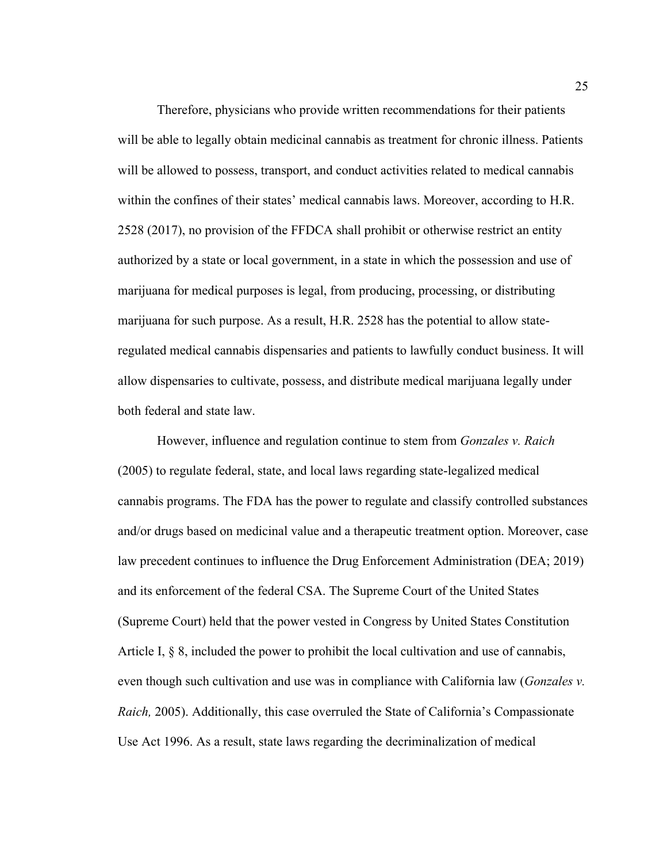Therefore, physicians who provide written recommendations for their patients will be able to legally obtain medicinal cannabis as treatment for chronic illness. Patients will be allowed to possess, transport, and conduct activities related to medical cannabis within the confines of their states' medical cannabis laws. Moreover, according to H.R. 2528 (2017), no provision of the FFDCA shall prohibit or otherwise restrict an entity authorized by a state or local government, in a state in which the possession and use of marijuana for medical purposes is legal, from producing, processing, or distributing marijuana for such purpose. As a result, H.R. 2528 has the potential to allow stateregulated medical cannabis dispensaries and patients to lawfully conduct business. It will allow dispensaries to cultivate, possess, and distribute medical marijuana legally under both federal and state law.

However, influence and regulation continue to stem from *Gonzales v. Raich* (2005) to regulate federal, state, and local laws regarding state-legalized medical cannabis programs. The FDA has the power to regulate and classify controlled substances and/or drugs based on medicinal value and a therapeutic treatment option. Moreover, case law precedent continues to influence the Drug Enforcement Administration (DEA; 2019) and its enforcement of the federal CSA. The Supreme Court of the United States (Supreme Court) held that the power vested in Congress by United States Constitution Article I, § 8, included the power to prohibit the local cultivation and use of cannabis, even though such cultivation and use was in compliance with California law (*Gonzales v. Raich,* 2005). Additionally, this case overruled the State of California's Compassionate Use Act 1996. As a result, state laws regarding the decriminalization of medical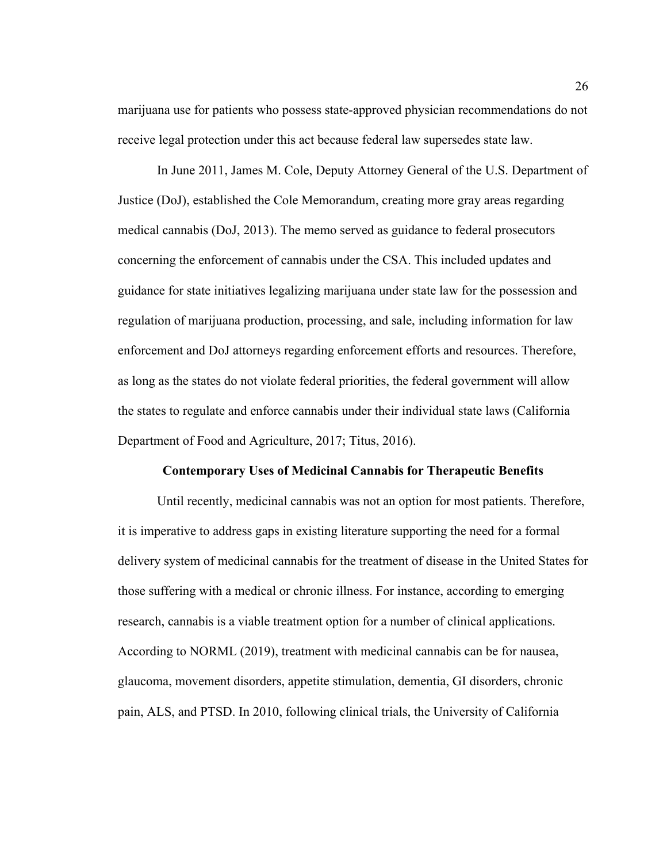marijuana use for patients who possess state-approved physician recommendations do not receive legal protection under this act because federal law supersedes state law.

In June 2011, James M. Cole, Deputy Attorney General of the U.S. Department of Justice (DoJ), established the Cole Memorandum, creating more gray areas regarding medical cannabis (DoJ, 2013). The memo served as guidance to federal prosecutors concerning the enforcement of cannabis under the CSA. This included updates and guidance for state initiatives legalizing marijuana under state law for the possession and regulation of marijuana production, processing, and sale, including information for law enforcement and DoJ attorneys regarding enforcement efforts and resources. Therefore, as long as the states do not violate federal priorities, the federal government will allow the states to regulate and enforce cannabis under their individual state laws (California Department of Food and Agriculture, 2017; Titus, 2016).

#### **Contemporary Uses of Medicinal Cannabis for Therapeutic Benefits**

Until recently, medicinal cannabis was not an option for most patients. Therefore, it is imperative to address gaps in existing literature supporting the need for a formal delivery system of medicinal cannabis for the treatment of disease in the United States for those suffering with a medical or chronic illness. For instance, according to emerging research, cannabis is a viable treatment option for a number of clinical applications. According to NORML (2019), treatment with medicinal cannabis can be for nausea, glaucoma, movement disorders, appetite stimulation, dementia, GI disorders, chronic pain, ALS, and PTSD. In 2010, following clinical trials, the University of California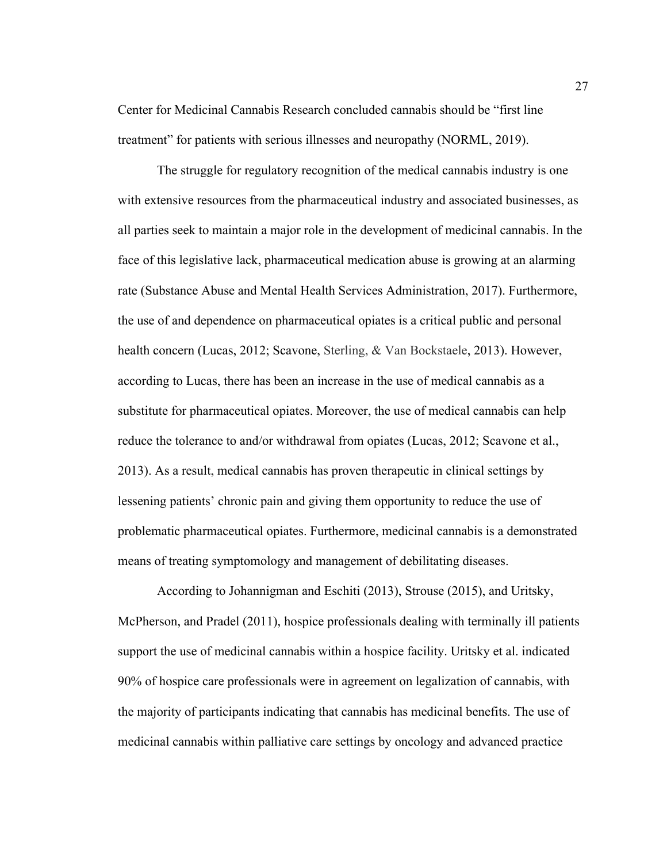Center for Medicinal Cannabis Research concluded cannabis should be "first line treatment" for patients with serious illnesses and neuropathy (NORML, 2019).

The struggle for regulatory recognition of the medical cannabis industry is one with extensive resources from the pharmaceutical industry and associated businesses, as all parties seek to maintain a major role in the development of medicinal cannabis. In the face of this legislative lack, pharmaceutical medication abuse is growing at an alarming rate (Substance Abuse and Mental Health Services Administration, 2017). Furthermore, the use of and dependence on pharmaceutical opiates is a critical public and personal health concern (Lucas, 2012; Scavone, Sterling, & Van Bockstaele, 2013). However, according to Lucas, there has been an increase in the use of medical cannabis as a substitute for pharmaceutical opiates. Moreover, the use of medical cannabis can help reduce the tolerance to and/or withdrawal from opiates (Lucas, 2012; Scavone et al., 2013). As a result, medical cannabis has proven therapeutic in clinical settings by lessening patients' chronic pain and giving them opportunity to reduce the use of problematic pharmaceutical opiates. Furthermore, medicinal cannabis is a demonstrated means of treating symptomology and management of debilitating diseases.

According to Johannigman and Eschiti (2013), Strouse (2015), and Uritsky, McPherson, and Pradel (2011), hospice professionals dealing with terminally ill patients support the use of medicinal cannabis within a hospice facility. Uritsky et al. indicated 90% of hospice care professionals were in agreement on legalization of cannabis, with the majority of participants indicating that cannabis has medicinal benefits. The use of medicinal cannabis within palliative care settings by oncology and advanced practice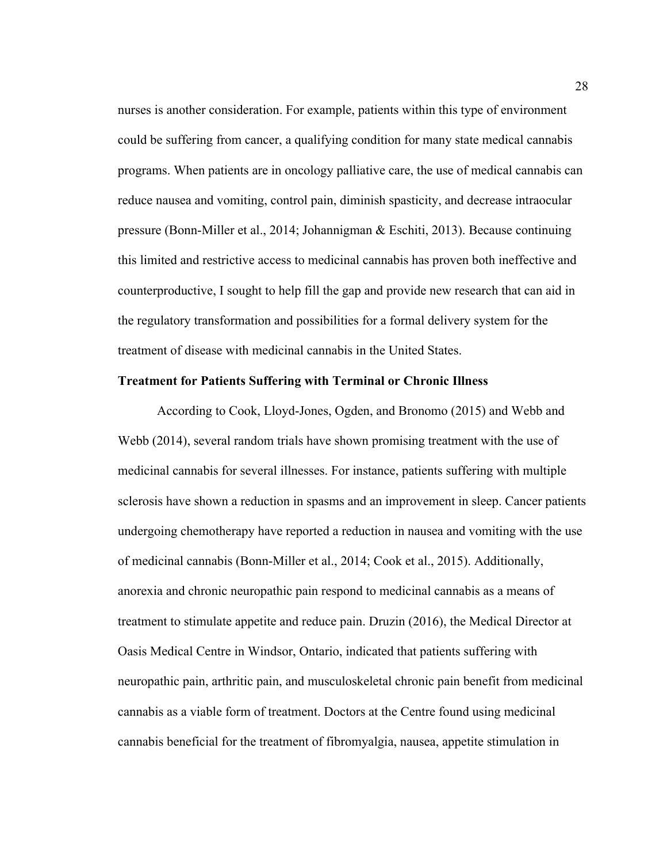nurses is another consideration. For example, patients within this type of environment could be suffering from cancer, a qualifying condition for many state medical cannabis programs. When patients are in oncology palliative care, the use of medical cannabis can reduce nausea and vomiting, control pain, diminish spasticity, and decrease intraocular pressure (Bonn-Miller et al., 2014; Johannigman & Eschiti, 2013). Because continuing this limited and restrictive access to medicinal cannabis has proven both ineffective and counterproductive, I sought to help fill the gap and provide new research that can aid in the regulatory transformation and possibilities for a formal delivery system for the treatment of disease with medicinal cannabis in the United States.

# **Treatment for Patients Suffering with Terminal or Chronic Illness**

According to Cook, Lloyd-Jones, Ogden, and Bronomo (2015) and Webb and Webb (2014), several random trials have shown promising treatment with the use of medicinal cannabis for several illnesses. For instance, patients suffering with multiple sclerosis have shown a reduction in spasms and an improvement in sleep. Cancer patients undergoing chemotherapy have reported a reduction in nausea and vomiting with the use of medicinal cannabis (Bonn-Miller et al., 2014; Cook et al., 2015). Additionally, anorexia and chronic neuropathic pain respond to medicinal cannabis as a means of treatment to stimulate appetite and reduce pain. Druzin (2016), the Medical Director at Oasis Medical Centre in Windsor, Ontario, indicated that patients suffering with neuropathic pain, arthritic pain, and musculoskeletal chronic pain benefit from medicinal cannabis as a viable form of treatment. Doctors at the Centre found using medicinal cannabis beneficial for the treatment of fibromyalgia, nausea, appetite stimulation in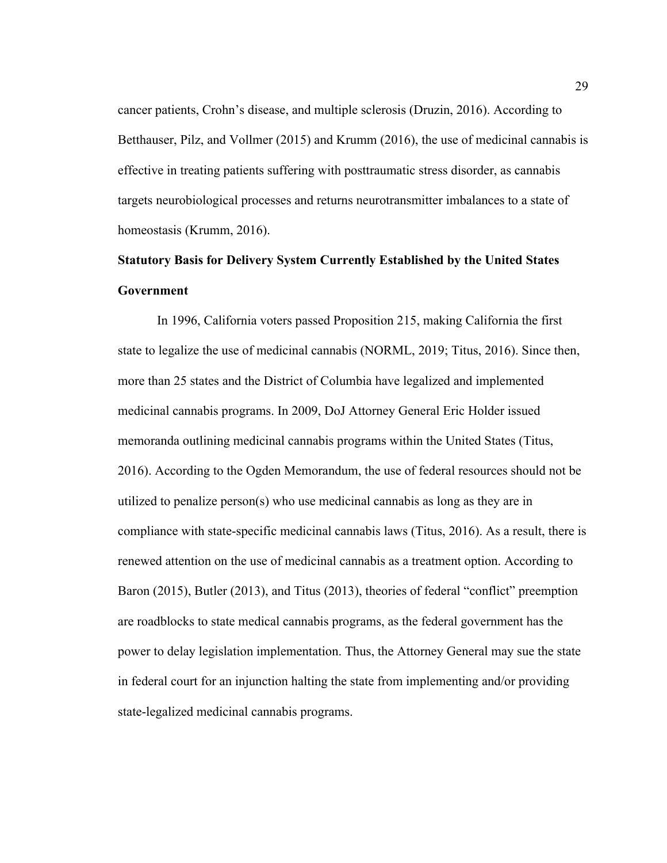cancer patients, Crohn's disease, and multiple sclerosis (Druzin, 2016). According to Betthauser, Pilz, and Vollmer (2015) and Krumm (2016), the use of medicinal cannabis is effective in treating patients suffering with posttraumatic stress disorder, as cannabis targets neurobiological processes and returns neurotransmitter imbalances to a state of homeostasis (Krumm, 2016).

# **Statutory Basis for Delivery System Currently Established by the United States Government**

In 1996, California voters passed Proposition 215, making California the first state to legalize the use of medicinal cannabis (NORML, 2019; Titus, 2016). Since then, more than 25 states and the District of Columbia have legalized and implemented medicinal cannabis programs. In 2009, DoJ Attorney General Eric Holder issued memoranda outlining medicinal cannabis programs within the United States (Titus, 2016). According to the Ogden Memorandum, the use of federal resources should not be utilized to penalize person(s) who use medicinal cannabis as long as they are in compliance with state-specific medicinal cannabis laws (Titus, 2016). As a result, there is renewed attention on the use of medicinal cannabis as a treatment option. According to Baron (2015), Butler (2013), and Titus (2013), theories of federal "conflict" preemption are roadblocks to state medical cannabis programs, as the federal government has the power to delay legislation implementation. Thus, the Attorney General may sue the state in federal court for an injunction halting the state from implementing and/or providing state-legalized medicinal cannabis programs.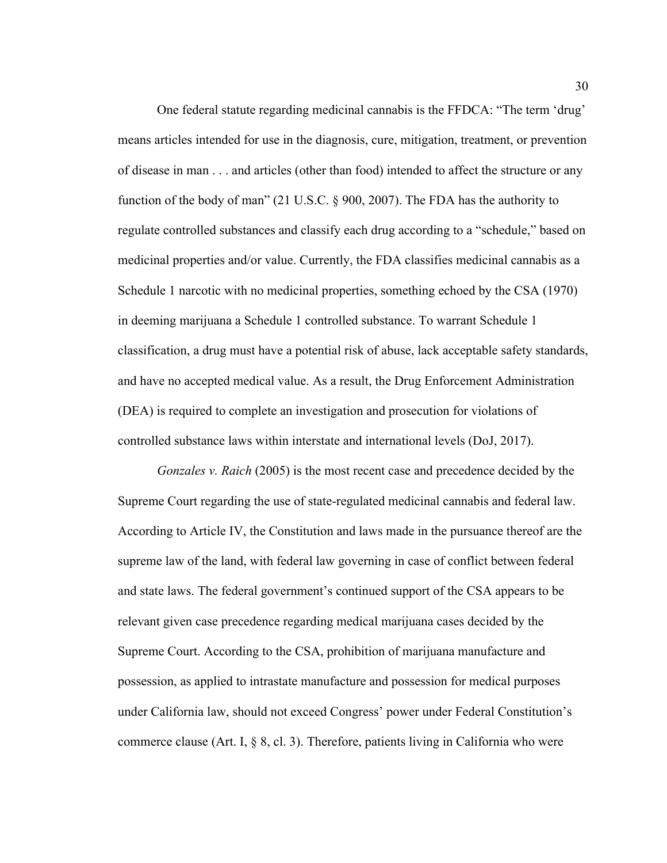One federal statute regarding medicinal cannabis is the FFDCA: "The term 'drug' means articles intended for use in the diagnosis, cure, mitigation, treatment, or prevention of disease in man . . . and articles (other than food) intended to affect the structure or any function of the body of man" (21 U.S.C. § 900, 2007). The FDA has the authority to regulate controlled substances and classify each drug according to a "schedule," based on medicinal properties and/or value. Currently, the FDA classifies medicinal cannabis as a Schedule 1 narcotic with no medicinal properties, something echoed by the CSA (1970) in deeming marijuana a Schedule 1 controlled substance. To warrant Schedule 1 classification, a drug must have a potential risk of abuse, lack acceptable safety standards, and have no accepted medical value. As a result, the Drug Enforcement Administration (DEA) is required to complete an investigation and prosecution for violations of controlled substance laws within interstate and international levels (DoJ, 2017).

*Gonzales v. Raich* (2005) is the most recent case and precedence decided by the Supreme Court regarding the use of state-regulated medicinal cannabis and federal law. According to Article IV, the Constitution and laws made in the pursuance thereof are the supreme law of the land, with federal law governing in case of conflict between federal and state laws. The federal government's continued support of the CSA appears to be relevant given case precedence regarding medical marijuana cases decided by the Supreme Court. According to the CSA, prohibition of marijuana manufacture and possession, as applied to intrastate manufacture and possession for medical purposes under California law, should not exceed Congress' power under Federal Constitution's commerce clause (Art. I, § 8, cl. 3). Therefore, patients living in California who were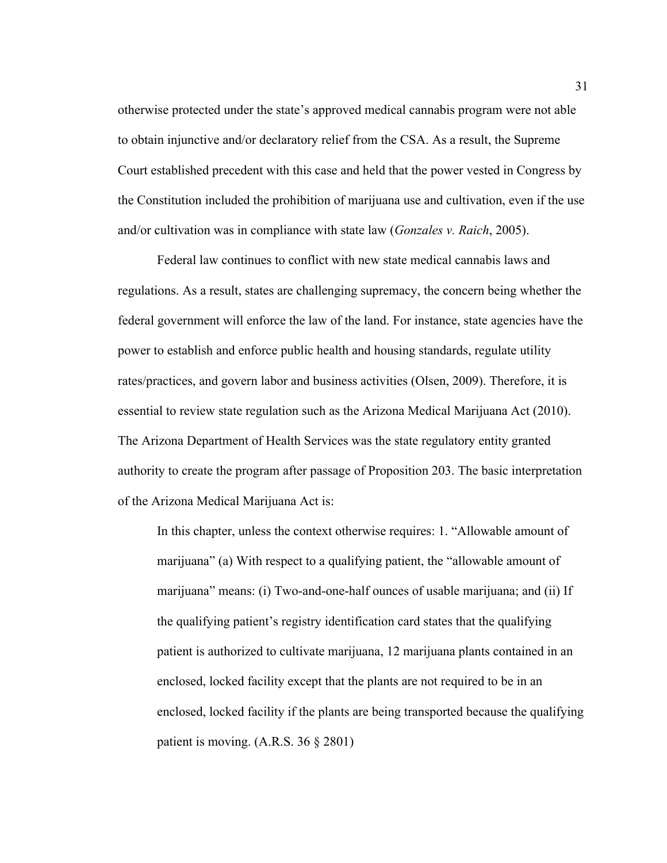otherwise protected under the state's approved medical cannabis program were not able to obtain injunctive and/or declaratory relief from the CSA. As a result, the Supreme Court established precedent with this case and held that the power vested in Congress by the Constitution included the prohibition of marijuana use and cultivation, even if the use and/or cultivation was in compliance with state law (*Gonzales v. Raich*, 2005).

Federal law continues to conflict with new state medical cannabis laws and regulations. As a result, states are challenging supremacy, the concern being whether the federal government will enforce the law of the land. For instance, state agencies have the power to establish and enforce public health and housing standards, regulate utility rates/practices, and govern labor and business activities (Olsen, 2009). Therefore, it is essential to review state regulation such as the Arizona Medical Marijuana Act (2010). The Arizona Department of Health Services was the state regulatory entity granted authority to create the program after passage of Proposition 203. The basic interpretation of the Arizona Medical Marijuana Act is:

In this chapter, unless the context otherwise requires: 1. "Allowable amount of marijuana" (a) With respect to a qualifying patient, the "allowable amount of marijuana" means: (i) Two-and-one-half ounces of usable marijuana; and (ii) If the qualifying patient's registry identification card states that the qualifying patient is authorized to cultivate marijuana, 12 marijuana plants contained in an enclosed, locked facility except that the plants are not required to be in an enclosed, locked facility if the plants are being transported because the qualifying patient is moving. (A.R.S. 36 § 2801)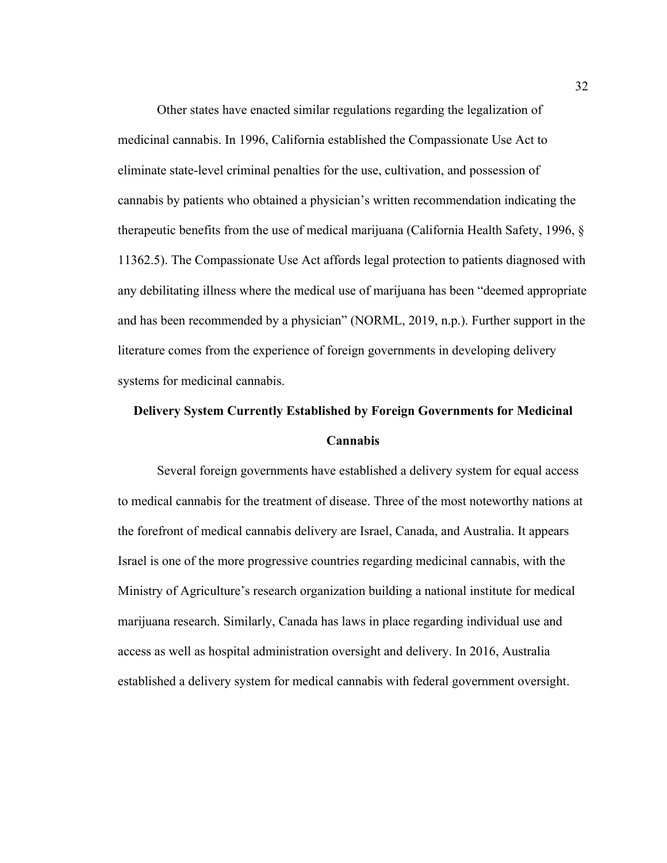Other states have enacted similar regulations regarding the legalization of medicinal cannabis. In 1996, California established the Compassionate Use Act to eliminate state-level criminal penalties for the use, cultivation, and possession of cannabis by patients who obtained a physician's written recommendation indicating the therapeutic benefits from the use of medical marijuana (California Health Safety, 1996, § 11362.5). The Compassionate Use Act affords legal protection to patients diagnosed with any debilitating illness where the medical use of marijuana has been "deemed appropriate and has been recommended by a physician" (NORML, 2019, n.p.). Further support in the literature comes from the experience of foreign governments in developing delivery systems for medicinal cannabis.

# **Delivery System Currently Established by Foreign Governments for Medicinal Cannabis**

Several foreign governments have established a delivery system for equal access to medical cannabis for the treatment of disease. Three of the most noteworthy nations at the forefront of medical cannabis delivery are Israel, Canada, and Australia. It appears Israel is one of the more progressive countries regarding medicinal cannabis, with the Ministry of Agriculture's research organization building a national institute for medical marijuana research. Similarly, Canada has laws in place regarding individual use and access as well as hospital administration oversight and delivery. In 2016, Australia established a delivery system for medical cannabis with federal government oversight.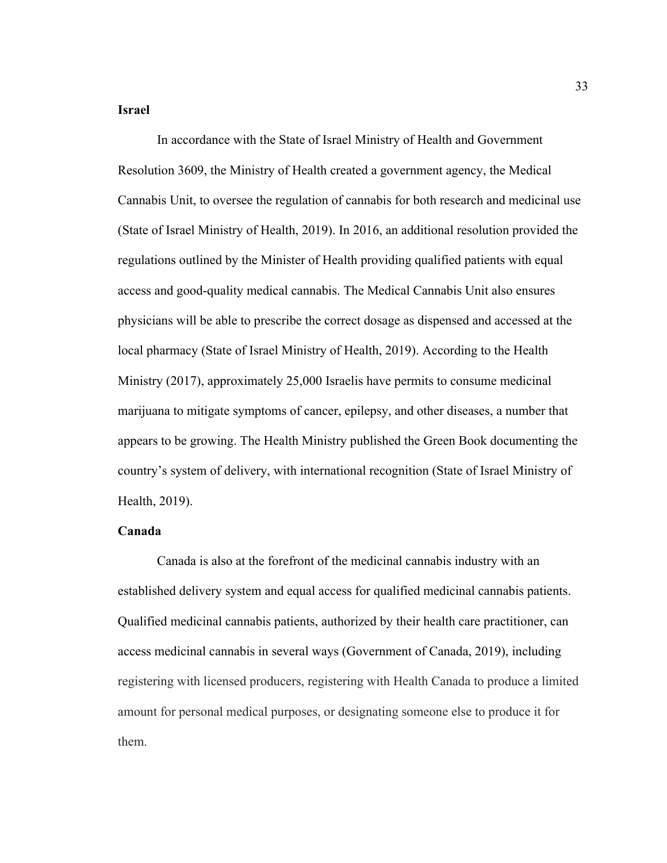# **Israel**

In accordance with the State of Israel Ministry of Health and Government Resolution 3609, the Ministry of Health created a government agency, the Medical Cannabis Unit, to oversee the regulation of cannabis for both research and medicinal use (State of Israel Ministry of Health, 2019). In 2016, an additional resolution provided the regulations outlined by the Minister of Health providing qualified patients with equal access and good-quality medical cannabis. The Medical Cannabis Unit also ensures physicians will be able to prescribe the correct dosage as dispensed and accessed at the local pharmacy (State of Israel Ministry of Health, 2019). According to the Health Ministry (2017), approximately 25,000 Israelis have permits to consume medicinal marijuana to mitigate symptoms of cancer, epilepsy, and other diseases, a number that appears to be growing. The Health Ministry published the Green Book documenting the country's system of delivery, with international recognition (State of Israel Ministry of Health, 2019).

# **Canada**

Canada is also at the forefront of the medicinal cannabis industry with an established delivery system and equal access for qualified medicinal cannabis patients. Qualified medicinal cannabis patients, authorized by their health care practitioner, can access medicinal cannabis in several ways (Government of Canada, 2019), including registering with licensed producers, registering with Health Canada to produce a limited amount for personal medical purposes, or designating someone else to produce it for them.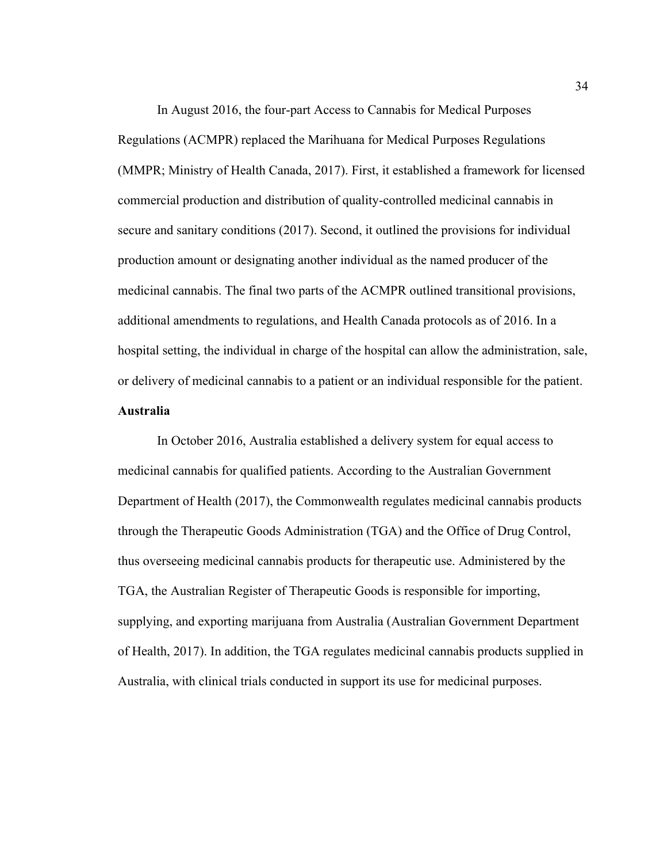In August 2016, the four-part Access to Cannabis for Medical Purposes Regulations (ACMPR) replaced the Marihuana for Medical Purposes Regulations (MMPR; Ministry of Health Canada, 2017). First, it established a framework for licensed commercial production and distribution of quality-controlled medicinal cannabis in secure and sanitary conditions (2017). Second, it outlined the provisions for individual production amount or designating another individual as the named producer of the medicinal cannabis. The final two parts of the ACMPR outlined transitional provisions, additional amendments to regulations, and Health Canada protocols as of 2016. In a hospital setting, the individual in charge of the hospital can allow the administration, sale, or delivery of medicinal cannabis to a patient or an individual responsible for the patient.

## **Australia**

In October 2016, Australia established a delivery system for equal access to medicinal cannabis for qualified patients. According to the Australian Government Department of Health (2017), the Commonwealth regulates medicinal cannabis products through the Therapeutic Goods Administration (TGA) and the Office of Drug Control, thus overseeing medicinal cannabis products for therapeutic use. Administered by the TGA, the Australian Register of Therapeutic Goods is responsible for importing, supplying, and exporting marijuana from Australia (Australian Government Department of Health, 2017). In addition, the TGA regulates medicinal cannabis products supplied in Australia, with clinical trials conducted in support its use for medicinal purposes.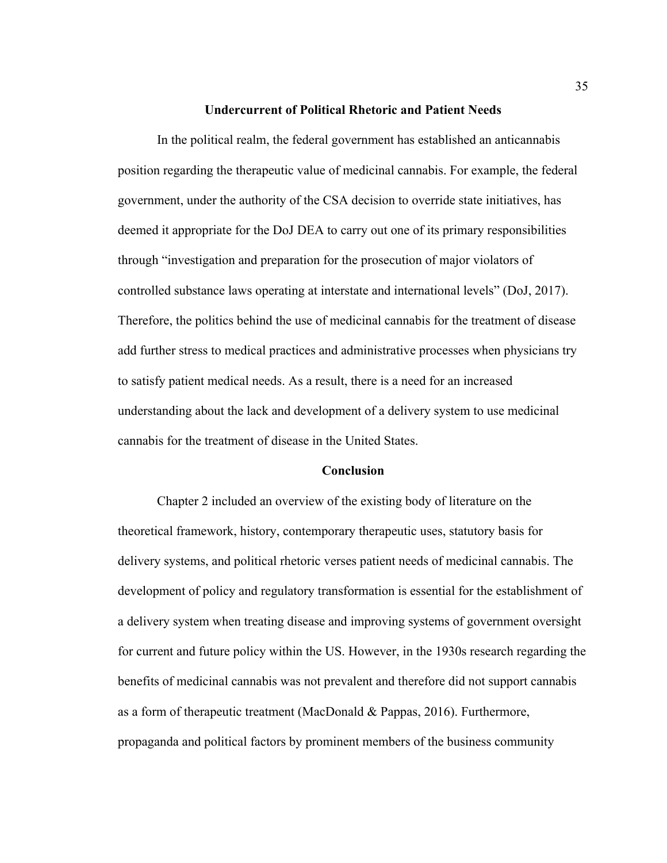## **Undercurrent of Political Rhetoric and Patient Needs**

In the political realm, the federal government has established an anticannabis position regarding the therapeutic value of medicinal cannabis. For example, the federal government, under the authority of the CSA decision to override state initiatives, has deemed it appropriate for the DoJ DEA to carry out one of its primary responsibilities through "investigation and preparation for the prosecution of major violators of controlled substance laws operating at interstate and international levels" (DoJ, 2017). Therefore, the politics behind the use of medicinal cannabis for the treatment of disease add further stress to medical practices and administrative processes when physicians try to satisfy patient medical needs. As a result, there is a need for an increased understanding about the lack and development of a delivery system to use medicinal cannabis for the treatment of disease in the United States.

## **Conclusion**

Chapter 2 included an overview of the existing body of literature on the theoretical framework, history, contemporary therapeutic uses, statutory basis for delivery systems, and political rhetoric verses patient needs of medicinal cannabis. The development of policy and regulatory transformation is essential for the establishment of a delivery system when treating disease and improving systems of government oversight for current and future policy within the US. However, in the 1930s research regarding the benefits of medicinal cannabis was not prevalent and therefore did not support cannabis as a form of therapeutic treatment (MacDonald & Pappas, 2016). Furthermore, propaganda and political factors by prominent members of the business community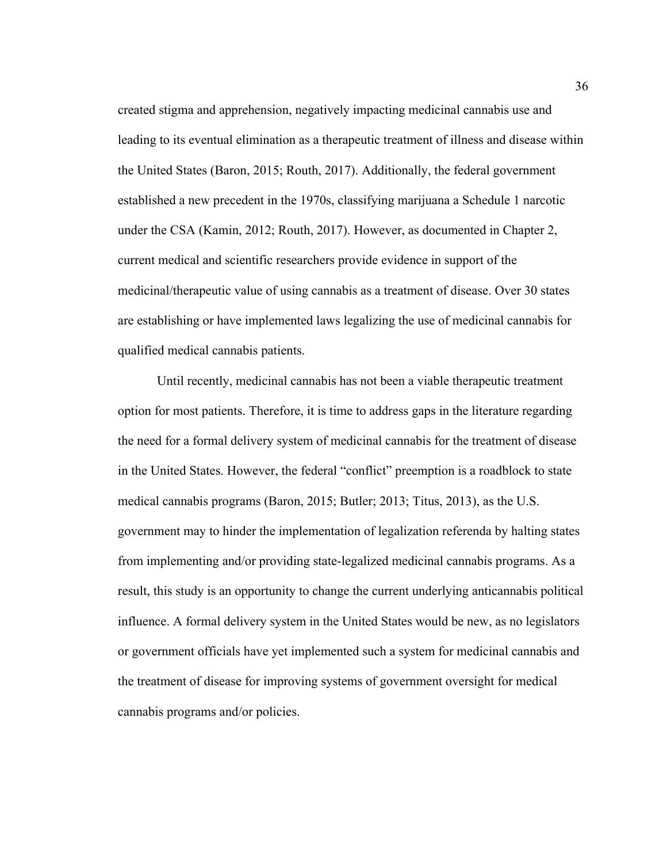created stigma and apprehension, negatively impacting medicinal cannabis use and leading to its eventual elimination as a therapeutic treatment of illness and disease within the United States (Baron, 2015; Routh, 2017). Additionally, the federal government established a new precedent in the 1970s, classifying marijuana a Schedule 1 narcotic under the CSA (Kamin, 2012; Routh, 2017). However, as documented in Chapter 2, current medical and scientific researchers provide evidence in support of the medicinal/therapeutic value of using cannabis as a treatment of disease. Over 30 states are establishing or have implemented laws legalizing the use of medicinal cannabis for qualified medical cannabis patients.

Until recently, medicinal cannabis has not been a viable therapeutic treatment option for most patients. Therefore, it is time to address gaps in the literature regarding the need for a formal delivery system of medicinal cannabis for the treatment of disease in the United States. However, the federal "conflict" preemption is a roadblock to state medical cannabis programs (Baron, 2015; Butler; 2013; Titus, 2013), as the U.S. government may to hinder the implementation of legalization referenda by halting states from implementing and/or providing state-legalized medicinal cannabis programs. As a result, this study is an opportunity to change the current underlying anticannabis political influence. A formal delivery system in the United States would be new, as no legislators or government officials have yet implemented such a system for medicinal cannabis and the treatment of disease for improving systems of government oversight for medical cannabis programs and/or policies.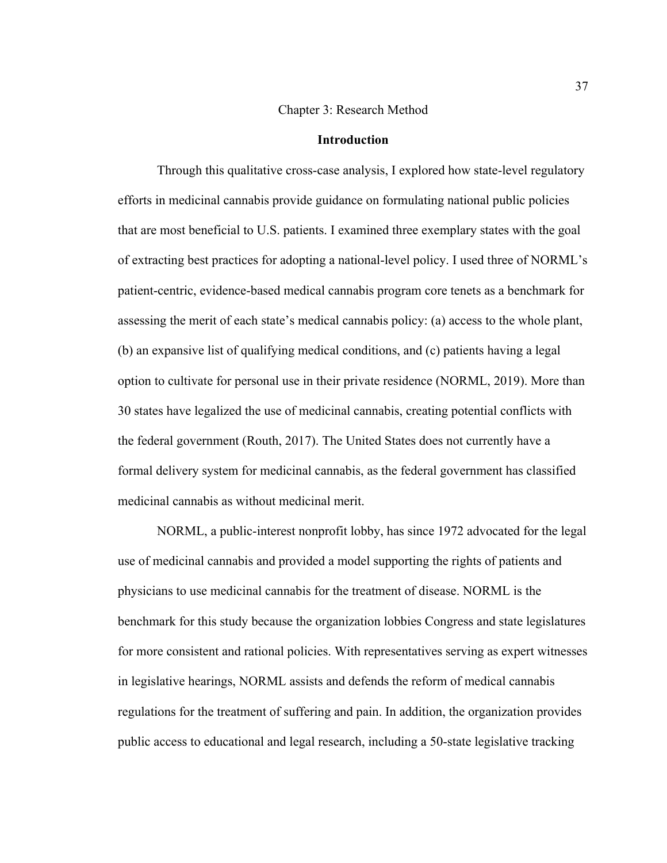## Chapter 3: Research Method

## **Introduction**

Through this qualitative cross-case analysis, I explored how state-level regulatory efforts in medicinal cannabis provide guidance on formulating national public policies that are most beneficial to U.S. patients. I examined three exemplary states with the goal of extracting best practices for adopting a national-level policy. I used three of NORML's patient-centric, evidence-based medical cannabis program core tenets as a benchmark for assessing the merit of each state's medical cannabis policy: (a) access to the whole plant, (b) an expansive list of qualifying medical conditions, and (c) patients having a legal option to cultivate for personal use in their private residence (NORML, 2019). More than 30 states have legalized the use of medicinal cannabis, creating potential conflicts with the federal government (Routh, 2017). The United States does not currently have a formal delivery system for medicinal cannabis, as the federal government has classified medicinal cannabis as without medicinal merit.

NORML, a public-interest nonprofit lobby, has since 1972 advocated for the legal use of medicinal cannabis and provided a model supporting the rights of patients and physicians to use medicinal cannabis for the treatment of disease. NORML is the benchmark for this study because the organization lobbies Congress and state legislatures for more consistent and rational policies. With representatives serving as expert witnesses in legislative hearings, NORML assists and defends the reform of medical cannabis regulations for the treatment of suffering and pain. In addition, the organization provides public access to educational and legal research, including a 50-state legislative tracking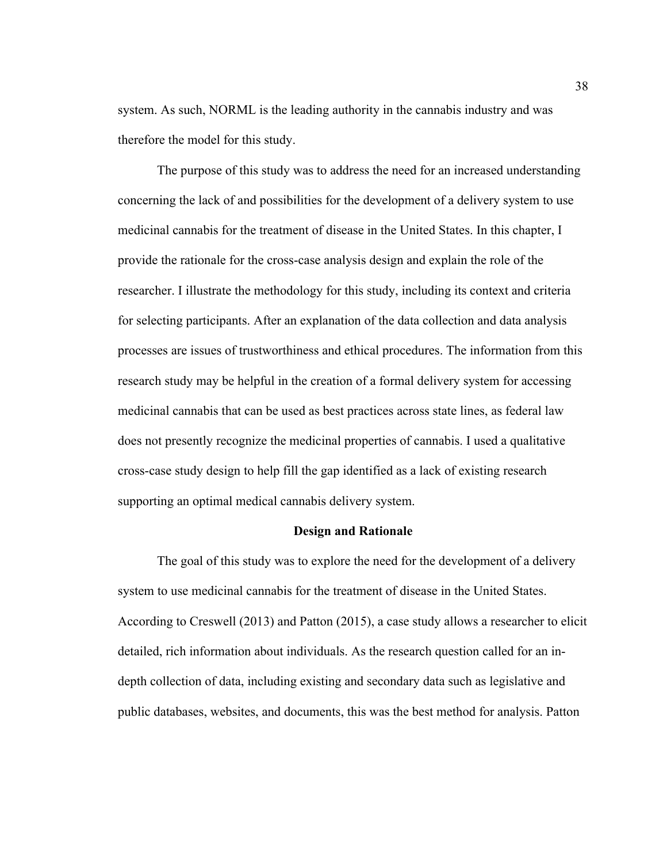system. As such, NORML is the leading authority in the cannabis industry and was therefore the model for this study.

The purpose of this study was to address the need for an increased understanding concerning the lack of and possibilities for the development of a delivery system to use medicinal cannabis for the treatment of disease in the United States. In this chapter, I provide the rationale for the cross-case analysis design and explain the role of the researcher. I illustrate the methodology for this study, including its context and criteria for selecting participants. After an explanation of the data collection and data analysis processes are issues of trustworthiness and ethical procedures. The information from this research study may be helpful in the creation of a formal delivery system for accessing medicinal cannabis that can be used as best practices across state lines, as federal law does not presently recognize the medicinal properties of cannabis. I used a qualitative cross-case study design to help fill the gap identified as a lack of existing research supporting an optimal medical cannabis delivery system.

## **Design and Rationale**

The goal of this study was to explore the need for the development of a delivery system to use medicinal cannabis for the treatment of disease in the United States. According to Creswell (2013) and Patton (2015), a case study allows a researcher to elicit detailed, rich information about individuals. As the research question called for an indepth collection of data, including existing and secondary data such as legislative and public databases, websites, and documents, this was the best method for analysis. Patton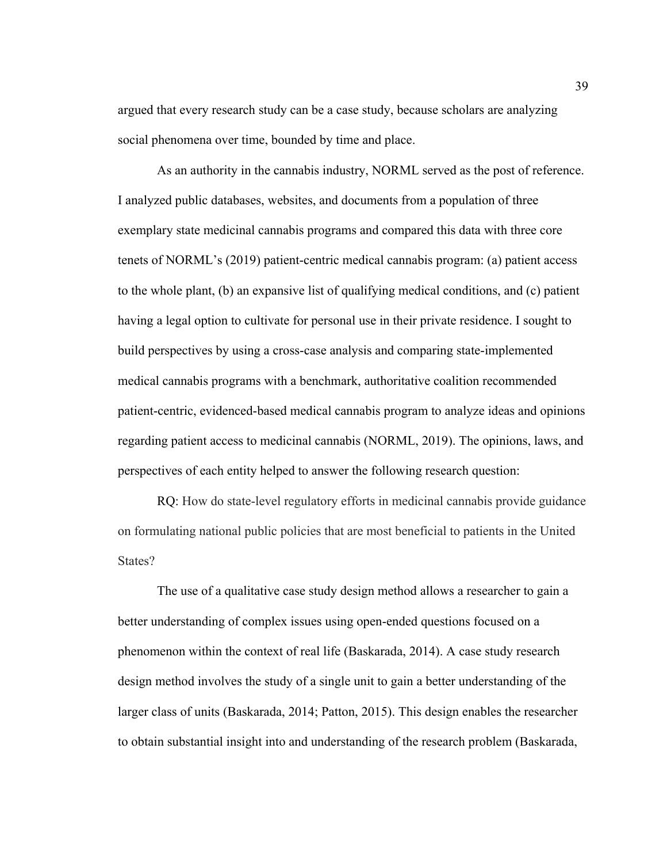argued that every research study can be a case study, because scholars are analyzing social phenomena over time, bounded by time and place.

As an authority in the cannabis industry, NORML served as the post of reference. I analyzed public databases, websites, and documents from a population of three exemplary state medicinal cannabis programs and compared this data with three core tenets of NORML's (2019) patient-centric medical cannabis program: (a) patient access to the whole plant, (b) an expansive list of qualifying medical conditions, and (c) patient having a legal option to cultivate for personal use in their private residence. I sought to build perspectives by using a cross-case analysis and comparing state-implemented medical cannabis programs with a benchmark, authoritative coalition recommended patient-centric, evidenced-based medical cannabis program to analyze ideas and opinions regarding patient access to medicinal cannabis (NORML, 2019). The opinions, laws, and perspectives of each entity helped to answer the following research question:

RQ: How do state-level regulatory efforts in medicinal cannabis provide guidance on formulating national public policies that are most beneficial to patients in the United States?

The use of a qualitative case study design method allows a researcher to gain a better understanding of complex issues using open-ended questions focused on a phenomenon within the context of real life (Baskarada, 2014). A case study research design method involves the study of a single unit to gain a better understanding of the larger class of units (Baskarada, 2014; Patton, 2015). This design enables the researcher to obtain substantial insight into and understanding of the research problem (Baskarada,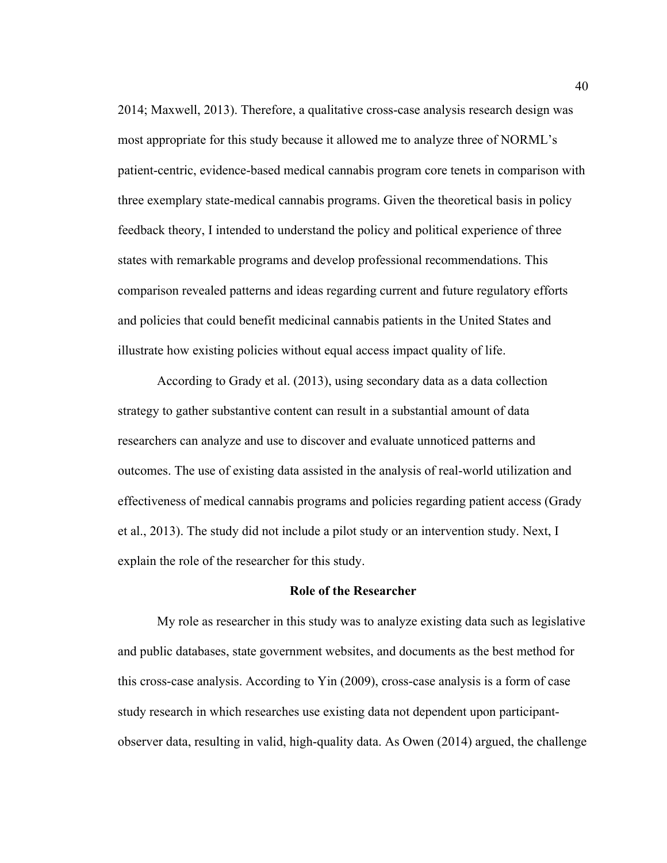2014; Maxwell, 2013). Therefore, a qualitative cross-case analysis research design was most appropriate for this study because it allowed me to analyze three of NORML's patient-centric, evidence-based medical cannabis program core tenets in comparison with three exemplary state-medical cannabis programs. Given the theoretical basis in policy feedback theory, I intended to understand the policy and political experience of three states with remarkable programs and develop professional recommendations. This comparison revealed patterns and ideas regarding current and future regulatory efforts and policies that could benefit medicinal cannabis patients in the United States and illustrate how existing policies without equal access impact quality of life.

According to Grady et al. (2013), using secondary data as a data collection strategy to gather substantive content can result in a substantial amount of data researchers can analyze and use to discover and evaluate unnoticed patterns and outcomes. The use of existing data assisted in the analysis of real-world utilization and effectiveness of medical cannabis programs and policies regarding patient access (Grady et al., 2013). The study did not include a pilot study or an intervention study. Next, I explain the role of the researcher for this study.

## **Role of the Researcher**

My role as researcher in this study was to analyze existing data such as legislative and public databases, state government websites, and documents as the best method for this cross-case analysis. According to Yin (2009), cross-case analysis is a form of case study research in which researches use existing data not dependent upon participantobserver data, resulting in valid, high-quality data. As Owen (2014) argued, the challenge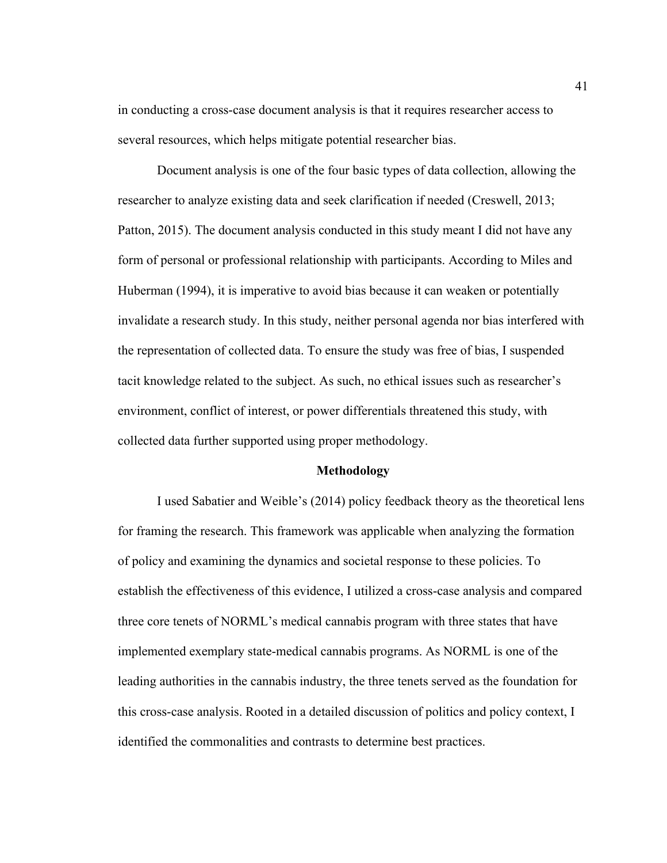in conducting a cross-case document analysis is that it requires researcher access to several resources, which helps mitigate potential researcher bias.

Document analysis is one of the four basic types of data collection, allowing the researcher to analyze existing data and seek clarification if needed (Creswell, 2013; Patton, 2015). The document analysis conducted in this study meant I did not have any form of personal or professional relationship with participants. According to Miles and Huberman (1994), it is imperative to avoid bias because it can weaken or potentially invalidate a research study. In this study, neither personal agenda nor bias interfered with the representation of collected data. To ensure the study was free of bias, I suspended tacit knowledge related to the subject. As such, no ethical issues such as researcher's environment, conflict of interest, or power differentials threatened this study, with collected data further supported using proper methodology.

## **Methodology**

I used Sabatier and Weible's (2014) policy feedback theory as the theoretical lens for framing the research. This framework was applicable when analyzing the formation of policy and examining the dynamics and societal response to these policies. To establish the effectiveness of this evidence, I utilized a cross-case analysis and compared three core tenets of NORML's medical cannabis program with three states that have implemented exemplary state-medical cannabis programs. As NORML is one of the leading authorities in the cannabis industry, the three tenets served as the foundation for this cross-case analysis. Rooted in a detailed discussion of politics and policy context, I identified the commonalities and contrasts to determine best practices.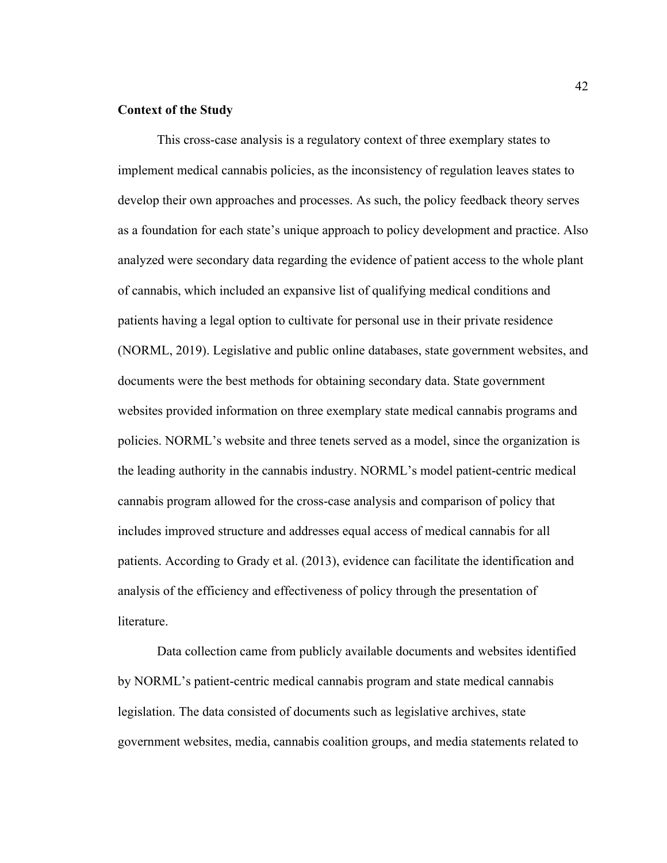# **Context of the Study**

This cross-case analysis is a regulatory context of three exemplary states to implement medical cannabis policies, as the inconsistency of regulation leaves states to develop their own approaches and processes. As such, the policy feedback theory serves as a foundation for each state's unique approach to policy development and practice. Also analyzed were secondary data regarding the evidence of patient access to the whole plant of cannabis, which included an expansive list of qualifying medical conditions and patients having a legal option to cultivate for personal use in their private residence (NORML, 2019). Legislative and public online databases, state government websites, and documents were the best methods for obtaining secondary data. State government websites provided information on three exemplary state medical cannabis programs and policies. NORML's website and three tenets served as a model, since the organization is the leading authority in the cannabis industry. NORML's model patient-centric medical cannabis program allowed for the cross-case analysis and comparison of policy that includes improved structure and addresses equal access of medical cannabis for all patients. According to Grady et al. (2013), evidence can facilitate the identification and analysis of the efficiency and effectiveness of policy through the presentation of literature.

Data collection came from publicly available documents and websites identified by NORML's patient-centric medical cannabis program and state medical cannabis legislation. The data consisted of documents such as legislative archives, state government websites, media, cannabis coalition groups, and media statements related to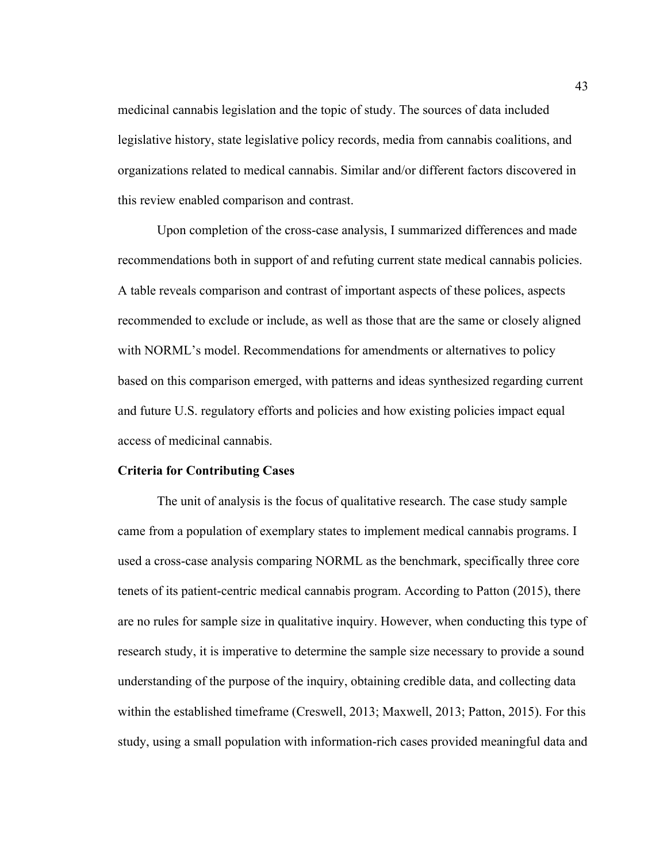medicinal cannabis legislation and the topic of study. The sources of data included legislative history, state legislative policy records, media from cannabis coalitions, and organizations related to medical cannabis. Similar and/or different factors discovered in this review enabled comparison and contrast.

Upon completion of the cross-case analysis, I summarized differences and made recommendations both in support of and refuting current state medical cannabis policies. A table reveals comparison and contrast of important aspects of these polices, aspects recommended to exclude or include, as well as those that are the same or closely aligned with NORML's model. Recommendations for amendments or alternatives to policy based on this comparison emerged, with patterns and ideas synthesized regarding current and future U.S. regulatory efforts and policies and how existing policies impact equal access of medicinal cannabis.

### **Criteria for Contributing Cases**

The unit of analysis is the focus of qualitative research. The case study sample came from a population of exemplary states to implement medical cannabis programs. I used a cross-case analysis comparing NORML as the benchmark, specifically three core tenets of its patient-centric medical cannabis program. According to Patton (2015), there are no rules for sample size in qualitative inquiry. However, when conducting this type of research study, it is imperative to determine the sample size necessary to provide a sound understanding of the purpose of the inquiry, obtaining credible data, and collecting data within the established timeframe (Creswell, 2013; Maxwell, 2013; Patton, 2015). For this study, using a small population with information-rich cases provided meaningful data and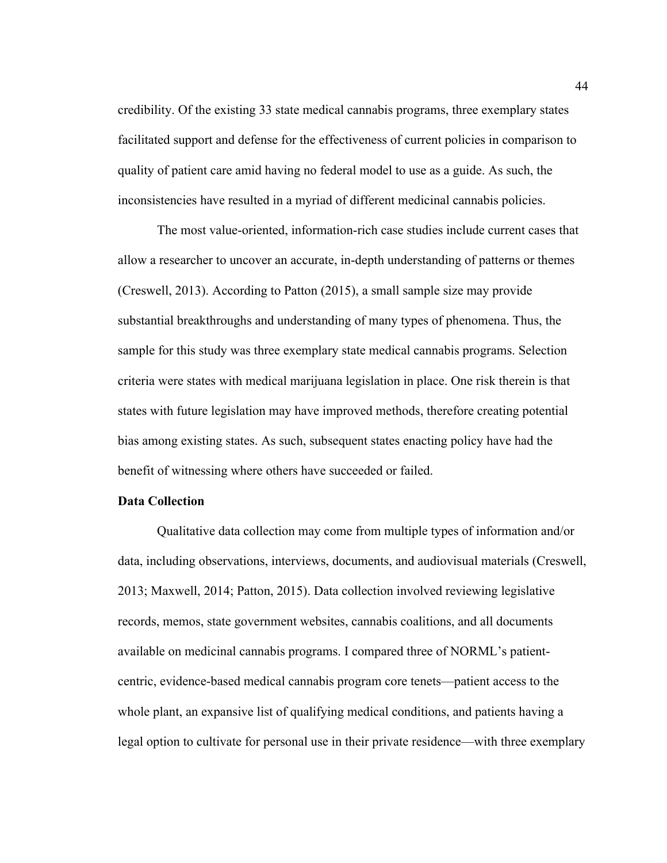credibility. Of the existing 33 state medical cannabis programs, three exemplary states facilitated support and defense for the effectiveness of current policies in comparison to quality of patient care amid having no federal model to use as a guide. As such, the inconsistencies have resulted in a myriad of different medicinal cannabis policies.

The most value-oriented, information-rich case studies include current cases that allow a researcher to uncover an accurate, in-depth understanding of patterns or themes (Creswell, 2013). According to Patton (2015), a small sample size may provide substantial breakthroughs and understanding of many types of phenomena. Thus, the sample for this study was three exemplary state medical cannabis programs. Selection criteria were states with medical marijuana legislation in place. One risk therein is that states with future legislation may have improved methods, therefore creating potential bias among existing states. As such, subsequent states enacting policy have had the benefit of witnessing where others have succeeded or failed.

# **Data Collection**

Qualitative data collection may come from multiple types of information and/or data, including observations, interviews, documents, and audiovisual materials (Creswell, 2013; Maxwell, 2014; Patton, 2015). Data collection involved reviewing legislative records, memos, state government websites, cannabis coalitions, and all documents available on medicinal cannabis programs. I compared three of NORML's patientcentric, evidence-based medical cannabis program core tenets—patient access to the whole plant, an expansive list of qualifying medical conditions, and patients having a legal option to cultivate for personal use in their private residence—with three exemplary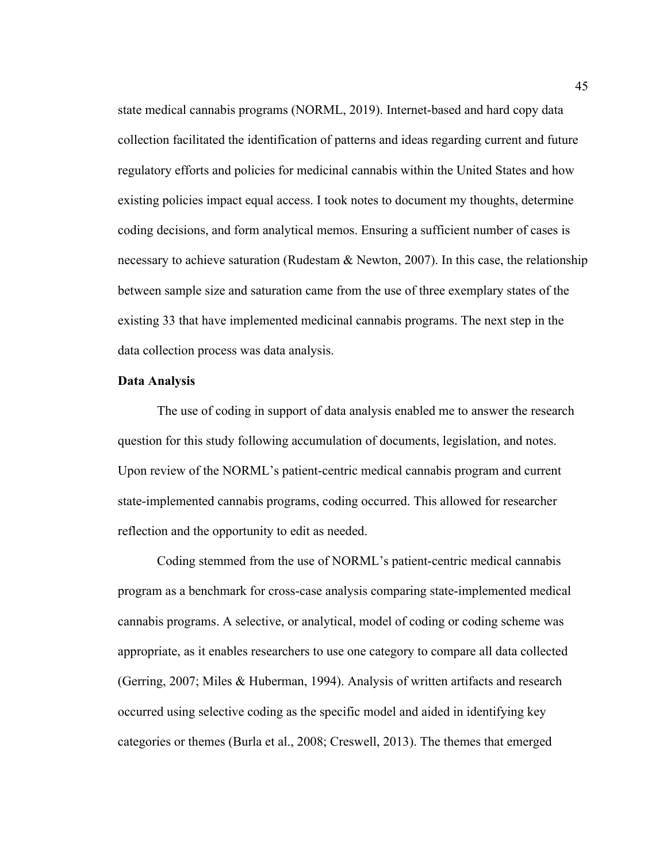state medical cannabis programs (NORML, 2019). Internet-based and hard copy data collection facilitated the identification of patterns and ideas regarding current and future regulatory efforts and policies for medicinal cannabis within the United States and how existing policies impact equal access. I took notes to document my thoughts, determine coding decisions, and form analytical memos. Ensuring a sufficient number of cases is necessary to achieve saturation (Rudestam & Newton, 2007). In this case, the relationship between sample size and saturation came from the use of three exemplary states of the existing 33 that have implemented medicinal cannabis programs. The next step in the data collection process was data analysis.

# **Data Analysis**

The use of coding in support of data analysis enabled me to answer the research question for this study following accumulation of documents, legislation, and notes. Upon review of the NORML's patient-centric medical cannabis program and current state-implemented cannabis programs, coding occurred. This allowed for researcher reflection and the opportunity to edit as needed.

Coding stemmed from the use of NORML's patient-centric medical cannabis program as a benchmark for cross-case analysis comparing state-implemented medical cannabis programs. A selective, or analytical, model of coding or coding scheme was appropriate, as it enables researchers to use one category to compare all data collected (Gerring, 2007; Miles & Huberman, 1994). Analysis of written artifacts and research occurred using selective coding as the specific model and aided in identifying key categories or themes (Burla et al., 2008; Creswell, 2013). The themes that emerged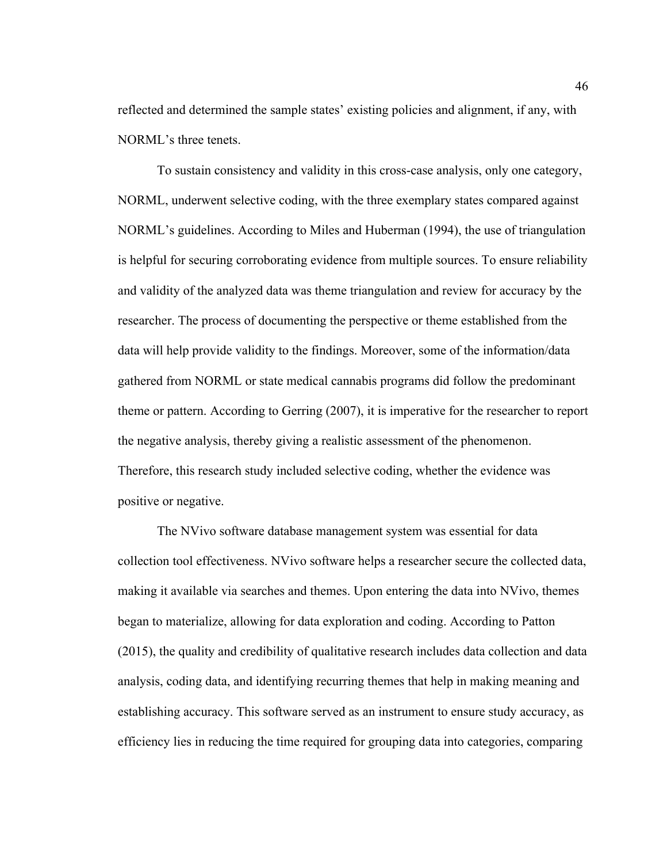reflected and determined the sample states' existing policies and alignment, if any, with NORML's three tenets.

To sustain consistency and validity in this cross-case analysis, only one category, NORML, underwent selective coding, with the three exemplary states compared against NORML's guidelines. According to Miles and Huberman (1994), the use of triangulation is helpful for securing corroborating evidence from multiple sources. To ensure reliability and validity of the analyzed data was theme triangulation and review for accuracy by the researcher. The process of documenting the perspective or theme established from the data will help provide validity to the findings. Moreover, some of the information/data gathered from NORML or state medical cannabis programs did follow the predominant theme or pattern. According to Gerring (2007), it is imperative for the researcher to report the negative analysis, thereby giving a realistic assessment of the phenomenon. Therefore, this research study included selective coding, whether the evidence was positive or negative.

The NVivo software database management system was essential for data collection tool effectiveness. NVivo software helps a researcher secure the collected data, making it available via searches and themes. Upon entering the data into NVivo, themes began to materialize, allowing for data exploration and coding. According to Patton (2015), the quality and credibility of qualitative research includes data collection and data analysis, coding data, and identifying recurring themes that help in making meaning and establishing accuracy. This software served as an instrument to ensure study accuracy, as efficiency lies in reducing the time required for grouping data into categories, comparing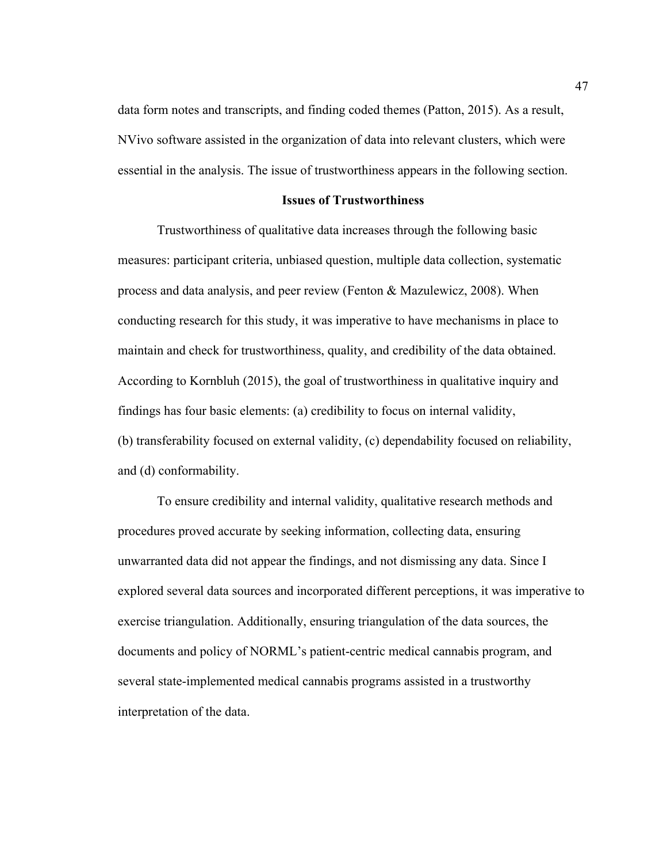data form notes and transcripts, and finding coded themes (Patton, 2015). As a result, NVivo software assisted in the organization of data into relevant clusters, which were essential in the analysis. The issue of trustworthiness appears in the following section.

# **Issues of Trustworthiness**

Trustworthiness of qualitative data increases through the following basic measures: participant criteria, unbiased question, multiple data collection, systematic process and data analysis, and peer review (Fenton & Mazulewicz, 2008). When conducting research for this study, it was imperative to have mechanisms in place to maintain and check for trustworthiness, quality, and credibility of the data obtained. According to Kornbluh (2015), the goal of trustworthiness in qualitative inquiry and findings has four basic elements: (a) credibility to focus on internal validity, (b) transferability focused on external validity, (c) dependability focused on reliability, and (d) conformability.

To ensure credibility and internal validity, qualitative research methods and procedures proved accurate by seeking information, collecting data, ensuring unwarranted data did not appear the findings, and not dismissing any data. Since I explored several data sources and incorporated different perceptions, it was imperative to exercise triangulation. Additionally, ensuring triangulation of the data sources, the documents and policy of NORML's patient-centric medical cannabis program, and several state-implemented medical cannabis programs assisted in a trustworthy interpretation of the data.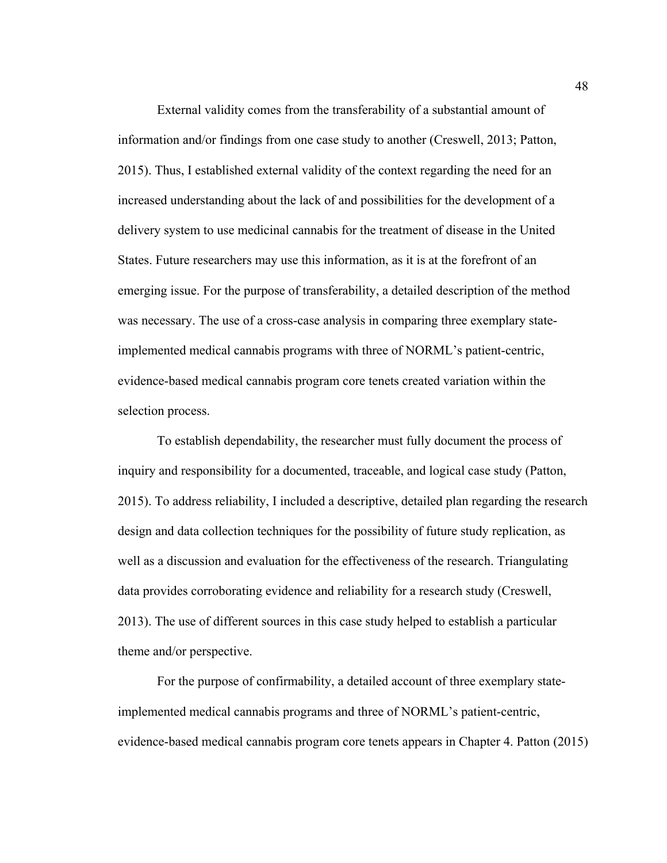External validity comes from the transferability of a substantial amount of information and/or findings from one case study to another (Creswell, 2013; Patton, 2015). Thus, I established external validity of the context regarding the need for an increased understanding about the lack of and possibilities for the development of a delivery system to use medicinal cannabis for the treatment of disease in the United States. Future researchers may use this information, as it is at the forefront of an emerging issue. For the purpose of transferability, a detailed description of the method was necessary. The use of a cross-case analysis in comparing three exemplary stateimplemented medical cannabis programs with three of NORML's patient-centric, evidence-based medical cannabis program core tenets created variation within the selection process.

To establish dependability, the researcher must fully document the process of inquiry and responsibility for a documented, traceable, and logical case study (Patton, 2015). To address reliability, I included a descriptive, detailed plan regarding the research design and data collection techniques for the possibility of future study replication, as well as a discussion and evaluation for the effectiveness of the research. Triangulating data provides corroborating evidence and reliability for a research study (Creswell, 2013). The use of different sources in this case study helped to establish a particular theme and/or perspective.

For the purpose of confirmability, a detailed account of three exemplary stateimplemented medical cannabis programs and three of NORML's patient-centric, evidence-based medical cannabis program core tenets appears in Chapter 4. Patton (2015)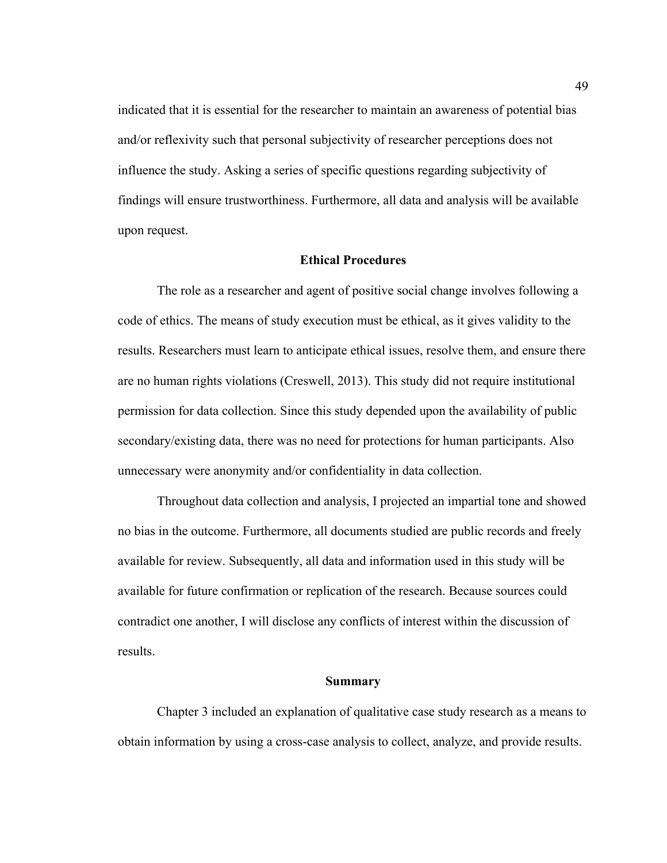indicated that it is essential for the researcher to maintain an awareness of potential bias and/or reflexivity such that personal subjectivity of researcher perceptions does not influence the study. Asking a series of specific questions regarding subjectivity of findings will ensure trustworthiness. Furthermore, all data and analysis will be available upon request.

# **Ethical Procedures**

The role as a researcher and agent of positive social change involves following a code of ethics. The means of study execution must be ethical, as it gives validity to the results. Researchers must learn to anticipate ethical issues, resolve them, and ensure there are no human rights violations (Creswell, 2013). This study did not require institutional permission for data collection. Since this study depended upon the availability of public secondary/existing data, there was no need for protections for human participants. Also unnecessary were anonymity and/or confidentiality in data collection.

Throughout data collection and analysis, I projected an impartial tone and showed no bias in the outcome. Furthermore, all documents studied are public records and freely available for review. Subsequently, all data and information used in this study will be available for future confirmation or replication of the research. Because sources could contradict one another, I will disclose any conflicts of interest within the discussion of results.

#### **Summary**

Chapter 3 included an explanation of qualitative case study research as a means to obtain information by using a cross-case analysis to collect, analyze, and provide results.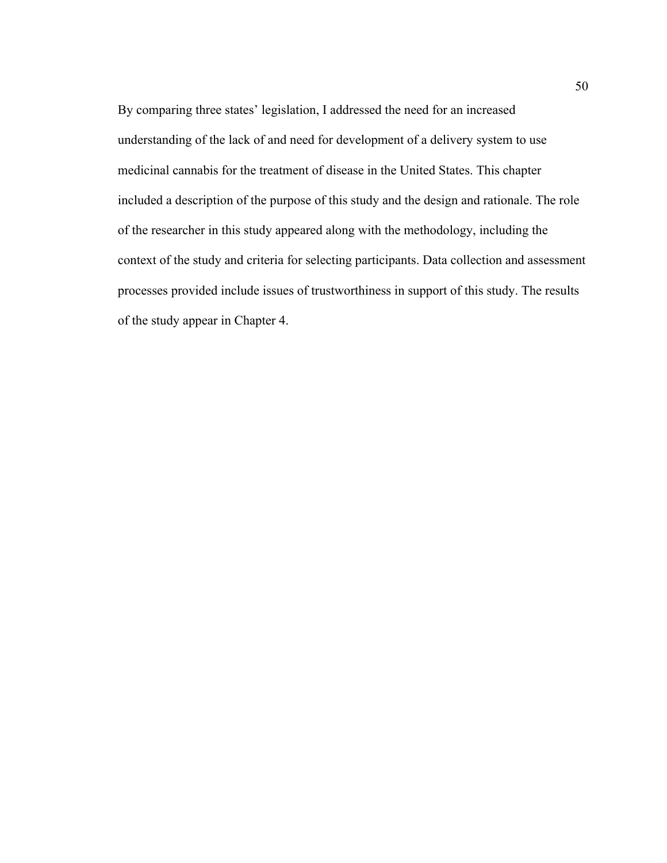By comparing three states' legislation, I addressed the need for an increased understanding of the lack of and need for development of a delivery system to use medicinal cannabis for the treatment of disease in the United States. This chapter included a description of the purpose of this study and the design and rationale. The role of the researcher in this study appeared along with the methodology, including the context of the study and criteria for selecting participants. Data collection and assessment processes provided include issues of trustworthiness in support of this study. The results of the study appear in Chapter 4.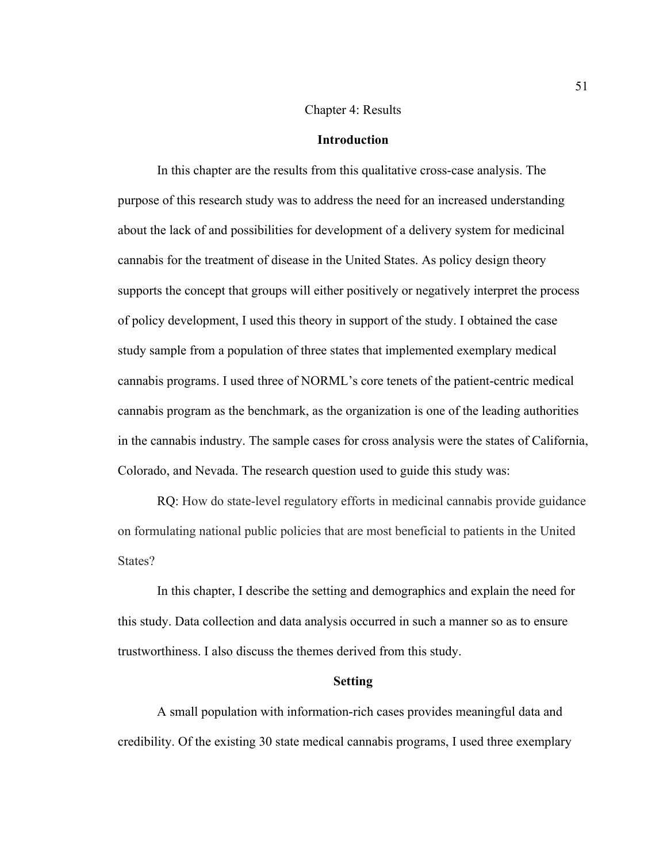# Chapter 4: Results

## **Introduction**

In this chapter are the results from this qualitative cross-case analysis. The purpose of this research study was to address the need for an increased understanding about the lack of and possibilities for development of a delivery system for medicinal cannabis for the treatment of disease in the United States. As policy design theory supports the concept that groups will either positively or negatively interpret the process of policy development, I used this theory in support of the study. I obtained the case study sample from a population of three states that implemented exemplary medical cannabis programs. I used three of NORML's core tenets of the patient-centric medical cannabis program as the benchmark, as the organization is one of the leading authorities in the cannabis industry. The sample cases for cross analysis were the states of California, Colorado, and Nevada. The research question used to guide this study was:

RQ: How do state-level regulatory efforts in medicinal cannabis provide guidance on formulating national public policies that are most beneficial to patients in the United States?

In this chapter, I describe the setting and demographics and explain the need for this study. Data collection and data analysis occurred in such a manner so as to ensure trustworthiness. I also discuss the themes derived from this study.

# **Setting**

A small population with information-rich cases provides meaningful data and credibility. Of the existing 30 state medical cannabis programs, I used three exemplary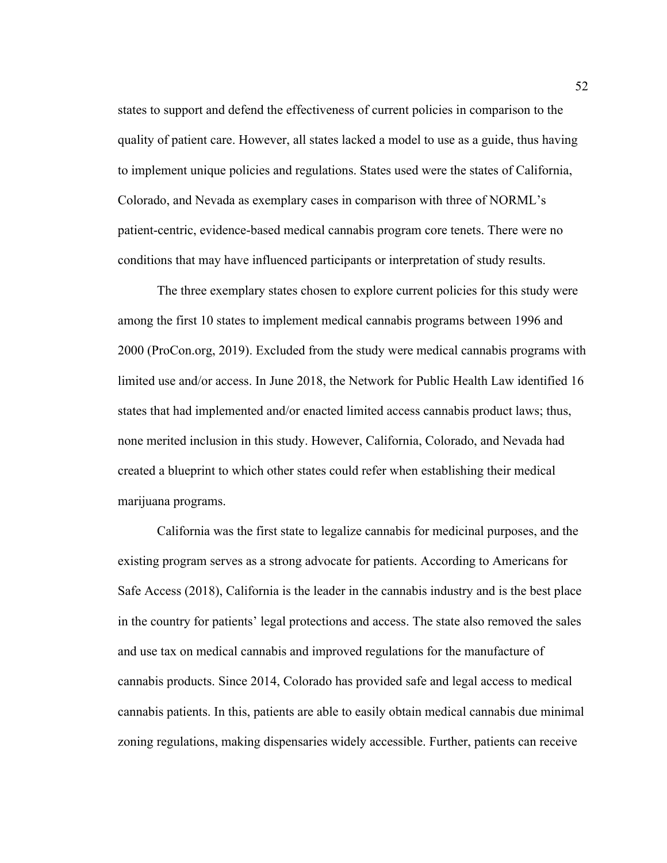states to support and defend the effectiveness of current policies in comparison to the quality of patient care. However, all states lacked a model to use as a guide, thus having to implement unique policies and regulations. States used were the states of California, Colorado, and Nevada as exemplary cases in comparison with three of NORML's patient-centric, evidence-based medical cannabis program core tenets. There were no conditions that may have influenced participants or interpretation of study results.

The three exemplary states chosen to explore current policies for this study were among the first 10 states to implement medical cannabis programs between 1996 and 2000 (ProCon.org, 2019). Excluded from the study were medical cannabis programs with limited use and/or access. In June 2018, the Network for Public Health Law identified 16 states that had implemented and/or enacted limited access cannabis product laws; thus, none merited inclusion in this study. However, California, Colorado, and Nevada had created a blueprint to which other states could refer when establishing their medical marijuana programs.

California was the first state to legalize cannabis for medicinal purposes, and the existing program serves as a strong advocate for patients. According to Americans for Safe Access (2018), California is the leader in the cannabis industry and is the best place in the country for patients' legal protections and access. The state also removed the sales and use tax on medical cannabis and improved regulations for the manufacture of cannabis products. Since 2014, Colorado has provided safe and legal access to medical cannabis patients. In this, patients are able to easily obtain medical cannabis due minimal zoning regulations, making dispensaries widely accessible. Further, patients can receive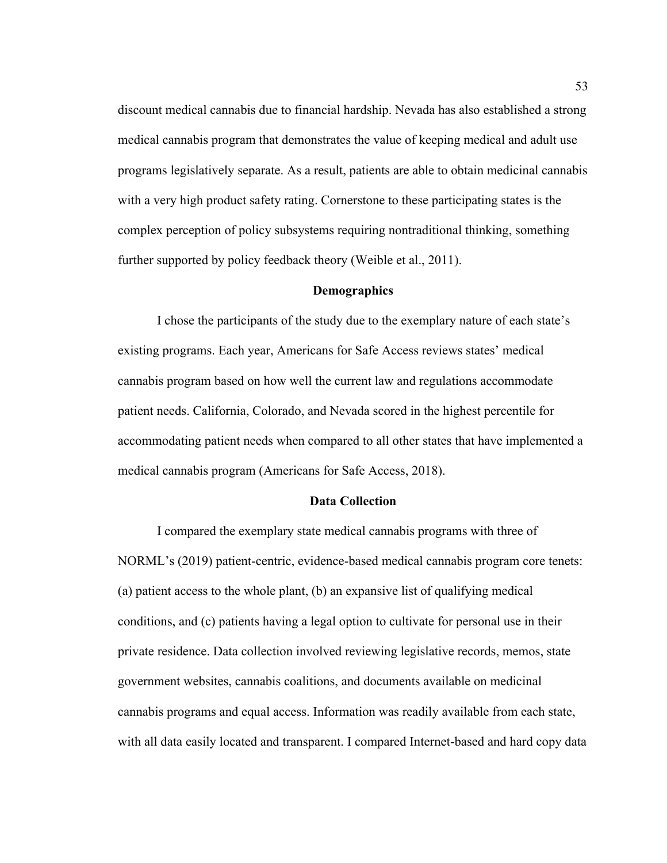discount medical cannabis due to financial hardship. Nevada has also established a strong medical cannabis program that demonstrates the value of keeping medical and adult use programs legislatively separate. As a result, patients are able to obtain medicinal cannabis with a very high product safety rating. Cornerstone to these participating states is the complex perception of policy subsystems requiring nontraditional thinking, something further supported by policy feedback theory (Weible et al., 2011).

# **Demographics**

I chose the participants of the study due to the exemplary nature of each state's existing programs. Each year, Americans for Safe Access reviews states' medical cannabis program based on how well the current law and regulations accommodate patient needs. California, Colorado, and Nevada scored in the highest percentile for accommodating patient needs when compared to all other states that have implemented a medical cannabis program (Americans for Safe Access, 2018).

# **Data Collection**

I compared the exemplary state medical cannabis programs with three of NORML's (2019) patient-centric, evidence-based medical cannabis program core tenets: (a) patient access to the whole plant, (b) an expansive list of qualifying medical conditions, and (c) patients having a legal option to cultivate for personal use in their private residence. Data collection involved reviewing legislative records, memos, state government websites, cannabis coalitions, and documents available on medicinal cannabis programs and equal access. Information was readily available from each state, with all data easily located and transparent. I compared Internet-based and hard copy data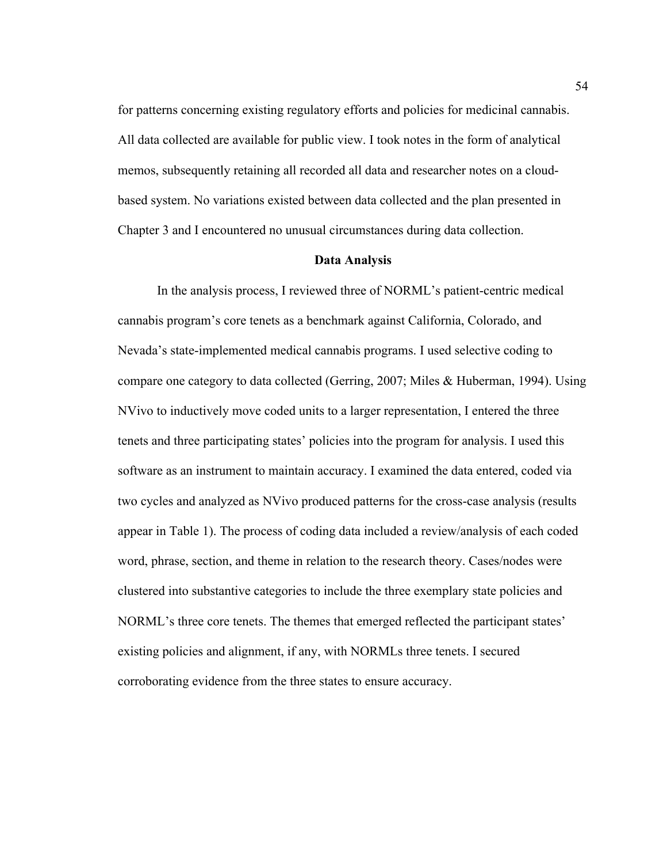for patterns concerning existing regulatory efforts and policies for medicinal cannabis. All data collected are available for public view. I took notes in the form of analytical memos, subsequently retaining all recorded all data and researcher notes on a cloudbased system. No variations existed between data collected and the plan presented in Chapter 3 and I encountered no unusual circumstances during data collection.

# **Data Analysis**

In the analysis process, I reviewed three of NORML's patient-centric medical cannabis program's core tenets as a benchmark against California, Colorado, and Nevada's state-implemented medical cannabis programs. I used selective coding to compare one category to data collected (Gerring, 2007; Miles & Huberman, 1994). Using NVivo to inductively move coded units to a larger representation, I entered the three tenets and three participating states' policies into the program for analysis. I used this software as an instrument to maintain accuracy. I examined the data entered, coded via two cycles and analyzed as NVivo produced patterns for the cross-case analysis (results appear in Table 1). The process of coding data included a review/analysis of each coded word, phrase, section, and theme in relation to the research theory. Cases/nodes were clustered into substantive categories to include the three exemplary state policies and NORML's three core tenets. The themes that emerged reflected the participant states' existing policies and alignment, if any, with NORMLs three tenets. I secured corroborating evidence from the three states to ensure accuracy.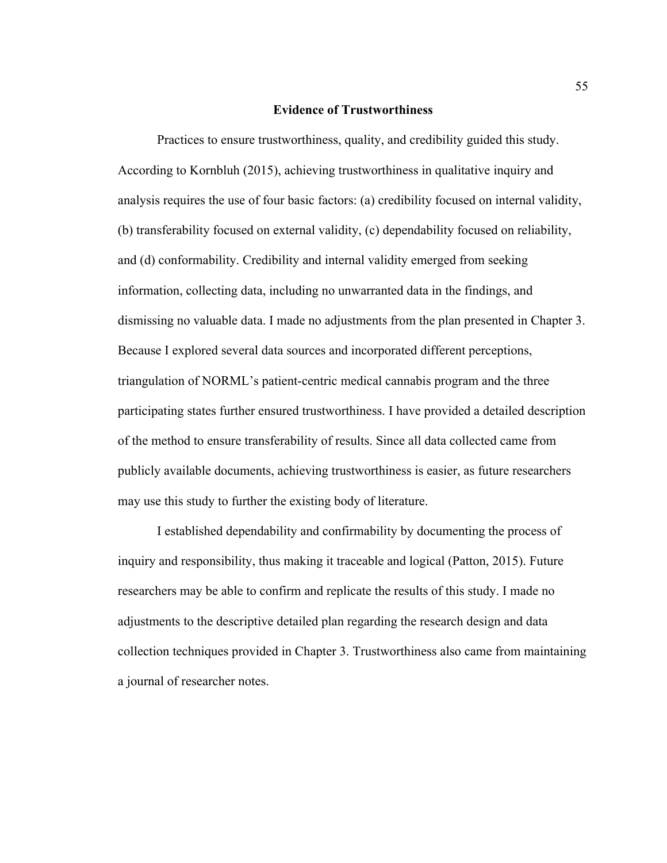## **Evidence of Trustworthiness**

Practices to ensure trustworthiness, quality, and credibility guided this study. According to Kornbluh (2015), achieving trustworthiness in qualitative inquiry and analysis requires the use of four basic factors: (a) credibility focused on internal validity, (b) transferability focused on external validity, (c) dependability focused on reliability, and (d) conformability. Credibility and internal validity emerged from seeking information, collecting data, including no unwarranted data in the findings, and dismissing no valuable data. I made no adjustments from the plan presented in Chapter 3. Because I explored several data sources and incorporated different perceptions, triangulation of NORML's patient-centric medical cannabis program and the three participating states further ensured trustworthiness. I have provided a detailed description of the method to ensure transferability of results. Since all data collected came from publicly available documents, achieving trustworthiness is easier, as future researchers may use this study to further the existing body of literature.

I established dependability and confirmability by documenting the process of inquiry and responsibility, thus making it traceable and logical (Patton, 2015). Future researchers may be able to confirm and replicate the results of this study. I made no adjustments to the descriptive detailed plan regarding the research design and data collection techniques provided in Chapter 3. Trustworthiness also came from maintaining a journal of researcher notes.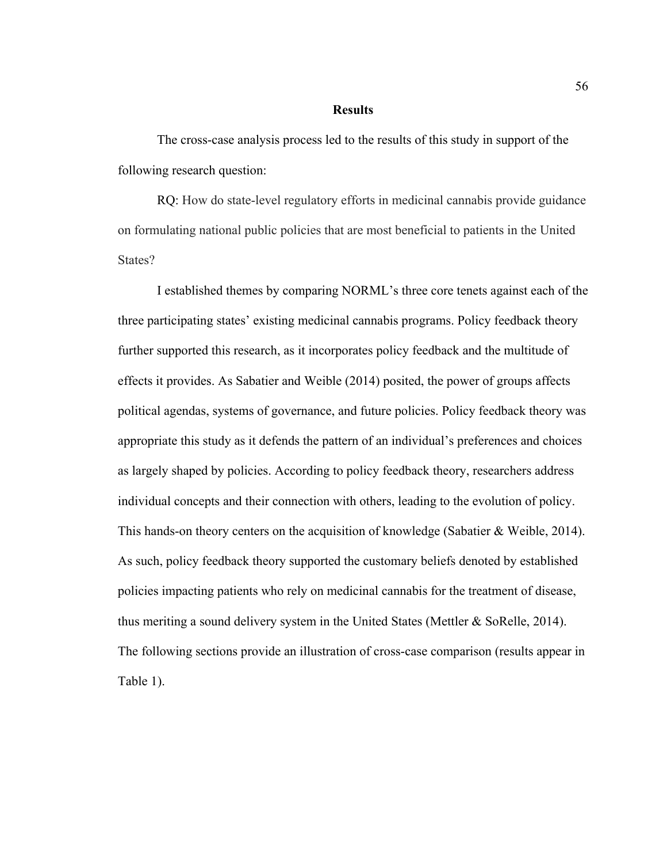### **Results**

The cross-case analysis process led to the results of this study in support of the following research question:

RQ: How do state-level regulatory efforts in medicinal cannabis provide guidance on formulating national public policies that are most beneficial to patients in the United States?

I established themes by comparing NORML's three core tenets against each of the three participating states' existing medicinal cannabis programs. Policy feedback theory further supported this research, as it incorporates policy feedback and the multitude of effects it provides. As Sabatier and Weible (2014) posited, the power of groups affects political agendas, systems of governance, and future policies. Policy feedback theory was appropriate this study as it defends the pattern of an individual's preferences and choices as largely shaped by policies. According to policy feedback theory, researchers address individual concepts and their connection with others, leading to the evolution of policy. This hands-on theory centers on the acquisition of knowledge (Sabatier & Weible, 2014). As such, policy feedback theory supported the customary beliefs denoted by established policies impacting patients who rely on medicinal cannabis for the treatment of disease, thus meriting a sound delivery system in the United States (Mettler  $\&$  SoRelle, 2014). The following sections provide an illustration of cross-case comparison (results appear in Table 1).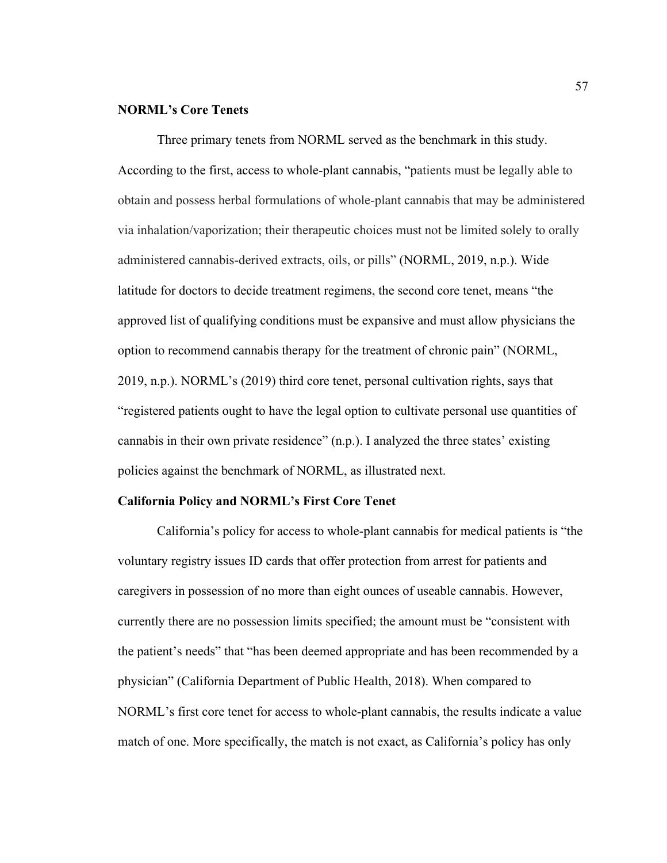# **NORML's Core Tenets**

Three primary tenets from NORML served as the benchmark in this study. According to the first, access to whole-plant cannabis, "patients must be legally able to obtain and possess herbal formulations of whole-plant cannabis that may be administered via inhalation/vaporization; their therapeutic choices must not be limited solely to orally administered cannabis-derived extracts, oils, or pills" (NORML, 2019, n.p.). Wide latitude for doctors to decide treatment regimens, the second core tenet, means "the approved list of qualifying conditions must be expansive and must allow physicians the option to recommend cannabis therapy for the treatment of chronic pain" (NORML, 2019, n.p.). NORML's (2019) third core tenet, personal cultivation rights, says that "registered patients ought to have the legal option to cultivate personal use quantities of cannabis in their own private residence" (n.p.). I analyzed the three states' existing policies against the benchmark of NORML, as illustrated next.

#### **California Policy and NORML's First Core Tenet**

California's policy for access to whole-plant cannabis for medical patients is "the voluntary registry issues ID cards that offer protection from arrest for patients and caregivers in possession of no more than eight ounces of useable cannabis. However, currently there are no possession limits specified; the amount must be "consistent with the patient's needs" that "has been deemed appropriate and has been recommended by a physician" (California Department of Public Health, 2018). When compared to NORML's first core tenet for access to whole-plant cannabis, the results indicate a value match of one. More specifically, the match is not exact, as California's policy has only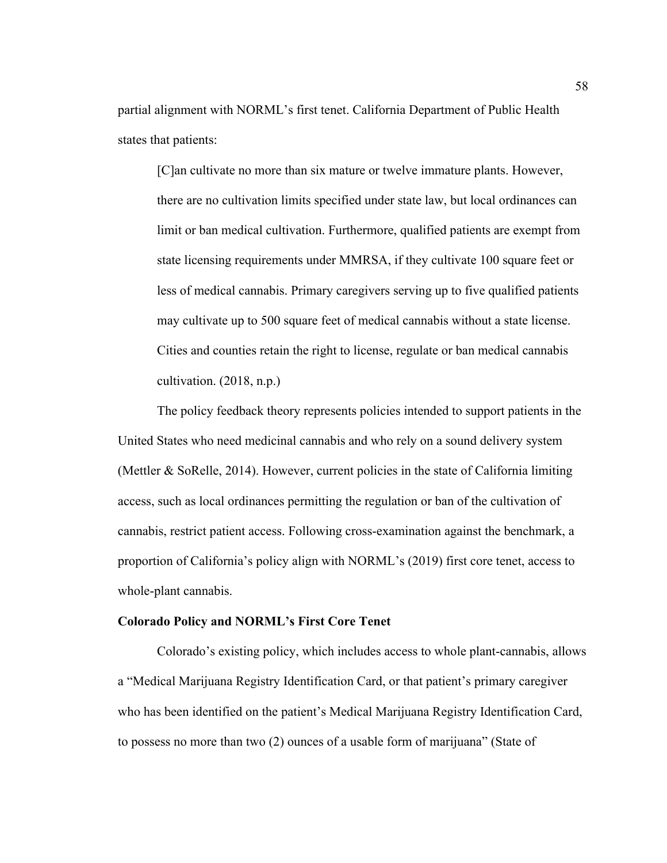partial alignment with NORML's first tenet. California Department of Public Health states that patients:

[C]an cultivate no more than six mature or twelve immature plants. However, there are no cultivation limits specified under state law, but local ordinances can limit or ban medical cultivation. Furthermore, qualified patients are exempt from state licensing requirements under MMRSA, if they cultivate 100 square feet or less of medical cannabis. Primary caregivers serving up to five qualified patients may cultivate up to 500 square feet of medical cannabis without a state license. Cities and counties retain the right to license, regulate or ban medical cannabis cultivation. (2018, n.p.)

The policy feedback theory represents policies intended to support patients in the United States who need medicinal cannabis and who rely on a sound delivery system (Mettler & SoRelle, 2014). However, current policies in the state of California limiting access, such as local ordinances permitting the regulation or ban of the cultivation of cannabis, restrict patient access. Following cross-examination against the benchmark, a proportion of California's policy align with NORML's (2019) first core tenet, access to whole-plant cannabis.

## **Colorado Policy and NORML's First Core Tenet**

Colorado's existing policy, which includes access to whole plant-cannabis, allows a "Medical Marijuana Registry Identification Card, or that patient's primary caregiver who has been identified on the patient's Medical Marijuana Registry Identification Card, to possess no more than two (2) ounces of a usable form of marijuana" (State of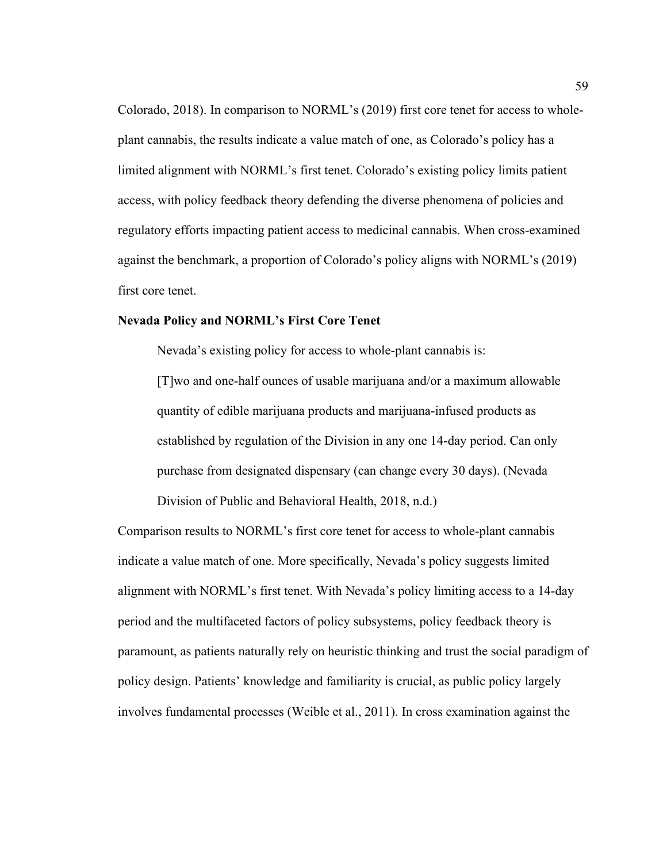Colorado, 2018). In comparison to NORML's (2019) first core tenet for access to wholeplant cannabis, the results indicate a value match of one, as Colorado's policy has a limited alignment with NORML's first tenet. Colorado's existing policy limits patient access, with policy feedback theory defending the diverse phenomena of policies and regulatory efforts impacting patient access to medicinal cannabis. When cross-examined against the benchmark, a proportion of Colorado's policy aligns with NORML's (2019) first core tenet.

# **Nevada Policy and NORML's First Core Tenet**

Nevada's existing policy for access to whole-plant cannabis is:

[T]wo and one-half ounces of usable marijuana and/or a maximum allowable quantity of edible marijuana products and marijuana-infused products as established by regulation of the Division in any one 14-day period. Can only purchase from designated dispensary (can change every 30 days). (Nevada Division of Public and Behavioral Health, 2018, n.d.)

Comparison results to NORML's first core tenet for access to whole-plant cannabis indicate a value match of one. More specifically, Nevada's policy suggests limited alignment with NORML's first tenet. With Nevada's policy limiting access to a 14-day period and the multifaceted factors of policy subsystems, policy feedback theory is paramount, as patients naturally rely on heuristic thinking and trust the social paradigm of policy design. Patients' knowledge and familiarity is crucial, as public policy largely involves fundamental processes (Weible et al., 2011). In cross examination against the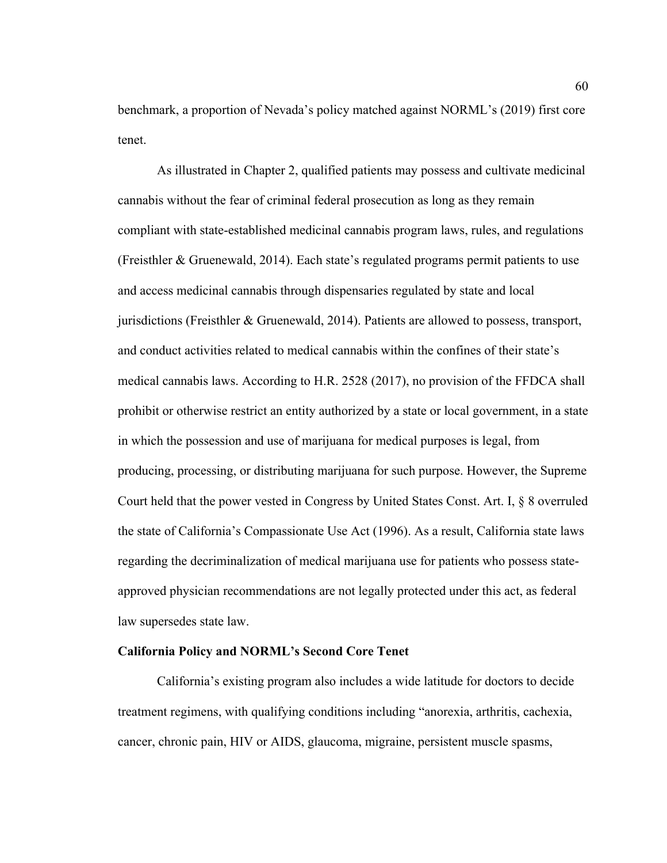benchmark, a proportion of Nevada's policy matched against NORML's (2019) first core tenet.

As illustrated in Chapter 2, qualified patients may possess and cultivate medicinal cannabis without the fear of criminal federal prosecution as long as they remain compliant with state-established medicinal cannabis program laws, rules, and regulations (Freisthler & Gruenewald, 2014). Each state's regulated programs permit patients to use and access medicinal cannabis through dispensaries regulated by state and local jurisdictions (Freisthler & Gruenewald, 2014). Patients are allowed to possess, transport, and conduct activities related to medical cannabis within the confines of their state's medical cannabis laws. According to H.R. 2528 (2017), no provision of the FFDCA shall prohibit or otherwise restrict an entity authorized by a state or local government, in a state in which the possession and use of marijuana for medical purposes is legal, from producing, processing, or distributing marijuana for such purpose. However, the Supreme Court held that the power vested in Congress by United States Const. Art. I, § 8 overruled the state of California's Compassionate Use Act (1996). As a result, California state laws regarding the decriminalization of medical marijuana use for patients who possess stateapproved physician recommendations are not legally protected under this act, as federal law supersedes state law.

## **California Policy and NORML's Second Core Tenet**

California's existing program also includes a wide latitude for doctors to decide treatment regimens, with qualifying conditions including "anorexia, arthritis, cachexia, cancer, chronic pain, HIV or AIDS, glaucoma, migraine, persistent muscle spasms,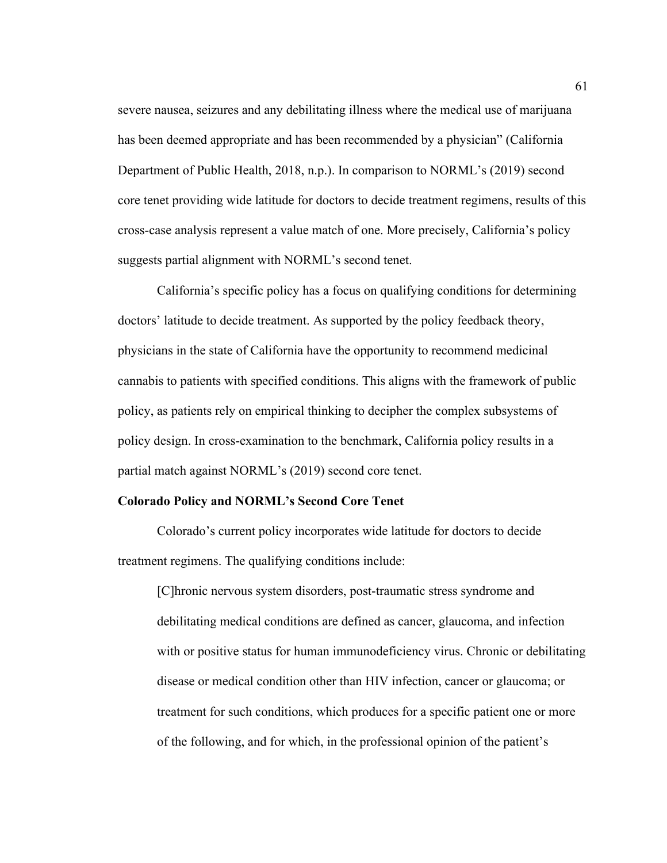severe nausea, seizures and any debilitating illness where the medical use of marijuana has been deemed appropriate and has been recommended by a physician" (California Department of Public Health, 2018, n.p.). In comparison to NORML's (2019) second core tenet providing wide latitude for doctors to decide treatment regimens, results of this cross-case analysis represent a value match of one. More precisely, California's policy suggests partial alignment with NORML's second tenet.

California's specific policy has a focus on qualifying conditions for determining doctors' latitude to decide treatment. As supported by the policy feedback theory, physicians in the state of California have the opportunity to recommend medicinal cannabis to patients with specified conditions. This aligns with the framework of public policy, as patients rely on empirical thinking to decipher the complex subsystems of policy design. In cross-examination to the benchmark, California policy results in a partial match against NORML's (2019) second core tenet.

## **Colorado Policy and NORML's Second Core Tenet**

Colorado's current policy incorporates wide latitude for doctors to decide treatment regimens. The qualifying conditions include:

[C]hronic nervous system disorders, post-traumatic stress syndrome and debilitating medical conditions are defined as cancer, glaucoma, and infection with or positive status for human immunodeficiency virus. Chronic or debilitating disease or medical condition other than HIV infection, cancer or glaucoma; or treatment for such conditions, which produces for a specific patient one or more of the following, and for which, in the professional opinion of the patient's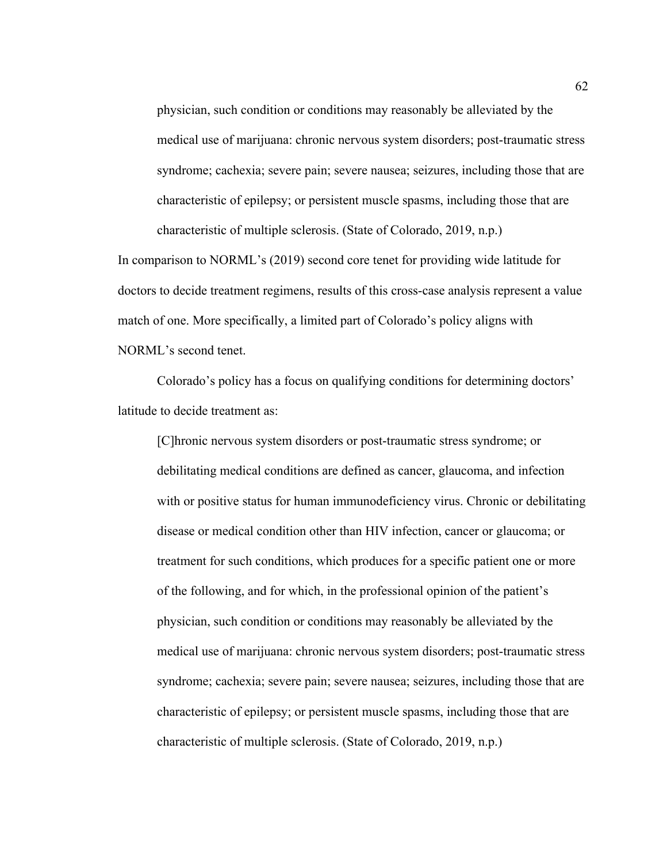physician, such condition or conditions may reasonably be alleviated by the medical use of marijuana: chronic nervous system disorders; post-traumatic stress syndrome; cachexia; severe pain; severe nausea; seizures, including those that are characteristic of epilepsy; or persistent muscle spasms, including those that are characteristic of multiple sclerosis. (State of Colorado, 2019, n.p.)

In comparison to NORML's (2019) second core tenet for providing wide latitude for doctors to decide treatment regimens, results of this cross-case analysis represent a value match of one. More specifically, a limited part of Colorado's policy aligns with NORML's second tenet.

Colorado's policy has a focus on qualifying conditions for determining doctors' latitude to decide treatment as:

[C]hronic nervous system disorders or post-traumatic stress syndrome; or debilitating medical conditions are defined as cancer, glaucoma, and infection with or positive status for human immunodeficiency virus. Chronic or debilitating disease or medical condition other than HIV infection, cancer or glaucoma; or treatment for such conditions, which produces for a specific patient one or more of the following, and for which, in the professional opinion of the patient's physician, such condition or conditions may reasonably be alleviated by the medical use of marijuana: chronic nervous system disorders; post-traumatic stress syndrome; cachexia; severe pain; severe nausea; seizures, including those that are characteristic of epilepsy; or persistent muscle spasms, including those that are characteristic of multiple sclerosis. (State of Colorado, 2019, n.p.)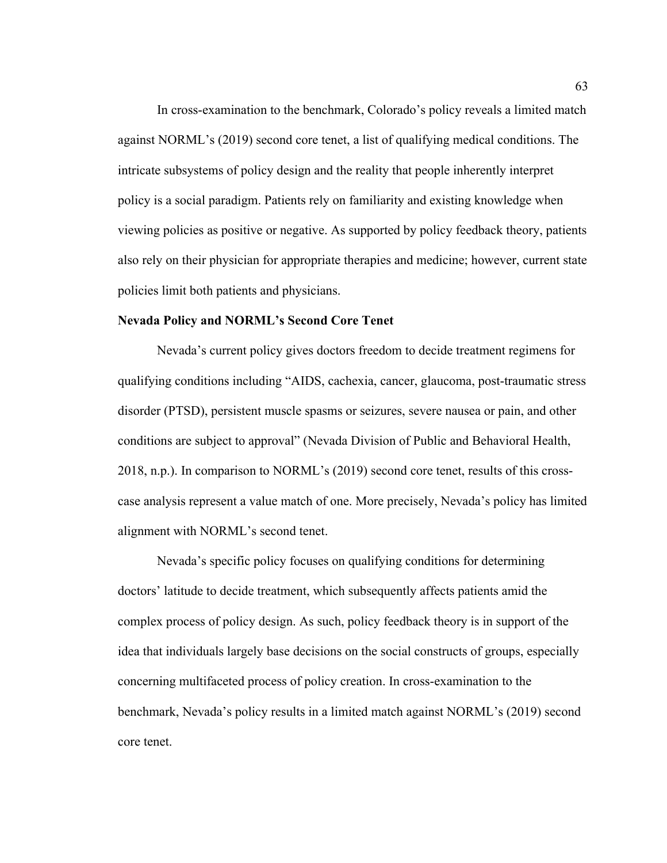In cross-examination to the benchmark, Colorado's policy reveals a limited match against NORML's (2019) second core tenet, a list of qualifying medical conditions. The intricate subsystems of policy design and the reality that people inherently interpret policy is a social paradigm. Patients rely on familiarity and existing knowledge when viewing policies as positive or negative. As supported by policy feedback theory, patients also rely on their physician for appropriate therapies and medicine; however, current state policies limit both patients and physicians.

# **Nevada Policy and NORML's Second Core Tenet**

Nevada's current policy gives doctors freedom to decide treatment regimens for qualifying conditions including "AIDS, cachexia, cancer, glaucoma, post-traumatic stress disorder (PTSD), persistent muscle spasms or seizures, severe nausea or pain, and other conditions are subject to approval" (Nevada Division of Public and Behavioral Health, 2018, n.p.). In comparison to NORML's (2019) second core tenet, results of this crosscase analysis represent a value match of one. More precisely, Nevada's policy has limited alignment with NORML's second tenet.

Nevada's specific policy focuses on qualifying conditions for determining doctors' latitude to decide treatment, which subsequently affects patients amid the complex process of policy design. As such, policy feedback theory is in support of the idea that individuals largely base decisions on the social constructs of groups, especially concerning multifaceted process of policy creation. In cross-examination to the benchmark, Nevada's policy results in a limited match against NORML's (2019) second core tenet.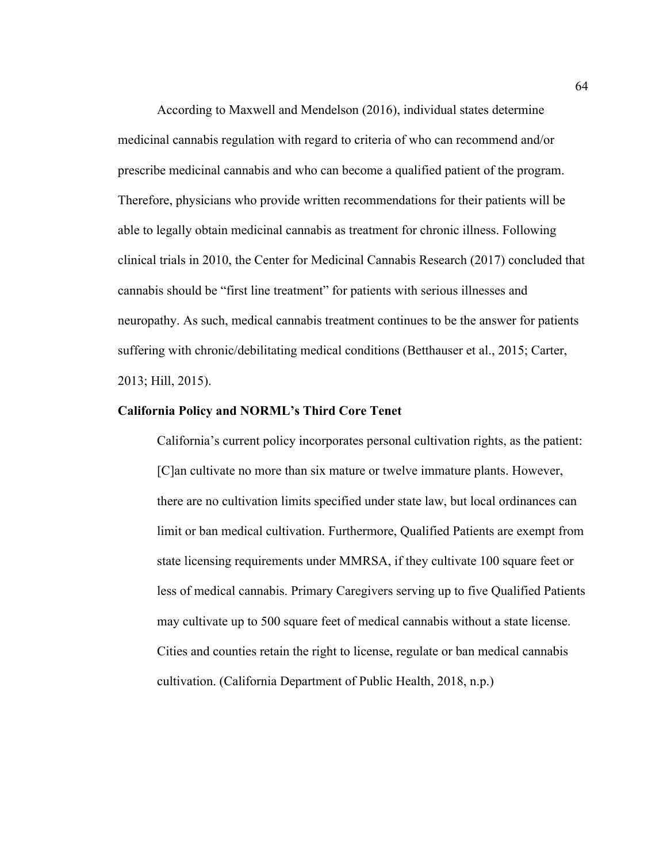According to Maxwell and Mendelson (2016), individual states determine medicinal cannabis regulation with regard to criteria of who can recommend and/or prescribe medicinal cannabis and who can become a qualified patient of the program. Therefore, physicians who provide written recommendations for their patients will be able to legally obtain medicinal cannabis as treatment for chronic illness. Following clinical trials in 2010, the Center for Medicinal Cannabis Research (2017) concluded that cannabis should be "first line treatment" for patients with serious illnesses and neuropathy. As such, medical cannabis treatment continues to be the answer for patients suffering with chronic/debilitating medical conditions (Betthauser et al., 2015; Carter, 2013; Hill, 2015).

### **California Policy and NORML's Third Core Tenet**

California's current policy incorporates personal cultivation rights, as the patient: [C]an cultivate no more than six mature or twelve immature plants. However, there are no cultivation limits specified under state law, but local ordinances can limit or ban medical cultivation. Furthermore, Qualified Patients are exempt from state licensing requirements under MMRSA, if they cultivate 100 square feet or less of medical cannabis. Primary Caregivers serving up to five Qualified Patients may cultivate up to 500 square feet of medical cannabis without a state license. Cities and counties retain the right to license, regulate or ban medical cannabis cultivation. (California Department of Public Health, 2018, n.p.)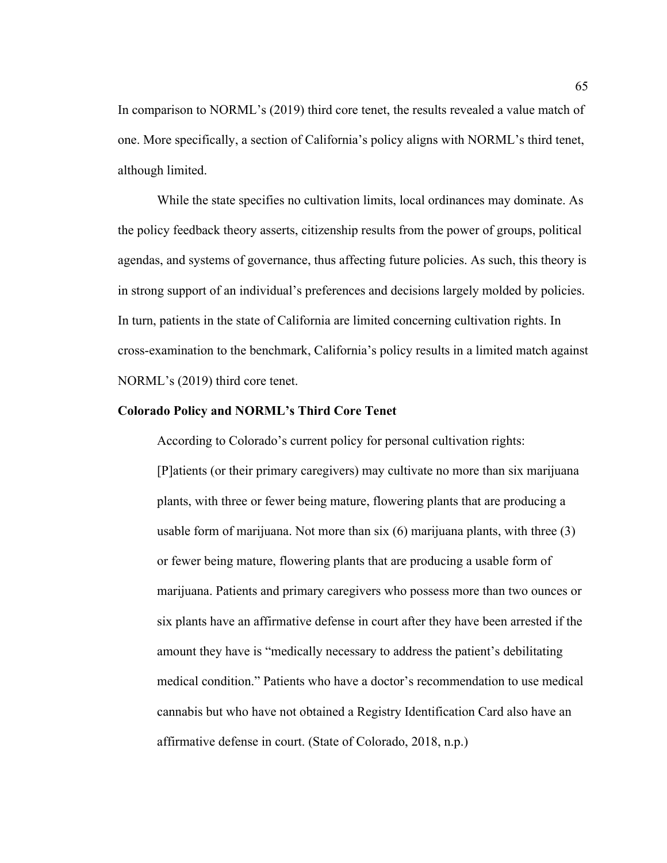In comparison to NORML's (2019) third core tenet, the results revealed a value match of one. More specifically, a section of California's policy aligns with NORML's third tenet, although limited.

While the state specifies no cultivation limits, local ordinances may dominate. As the policy feedback theory asserts, citizenship results from the power of groups, political agendas, and systems of governance, thus affecting future policies. As such, this theory is in strong support of an individual's preferences and decisions largely molded by policies. In turn, patients in the state of California are limited concerning cultivation rights. In cross-examination to the benchmark, California's policy results in a limited match against NORML's (2019) third core tenet.

### **Colorado Policy and NORML's Third Core Tenet**

According to Colorado's current policy for personal cultivation rights: [P]atients (or their primary caregivers) may cultivate no more than six marijuana plants, with three or fewer being mature, flowering plants that are producing a usable form of marijuana. Not more than six (6) marijuana plants, with three (3) or fewer being mature, flowering plants that are producing a usable form of marijuana. Patients and primary caregivers who possess more than two ounces or six plants have an affirmative defense in court after they have been arrested if the amount they have is "medically necessary to address the patient's debilitating medical condition." Patients who have a doctor's recommendation to use medical cannabis but who have not obtained a Registry Identification Card also have an affirmative defense in court. (State of Colorado, 2018, n.p.)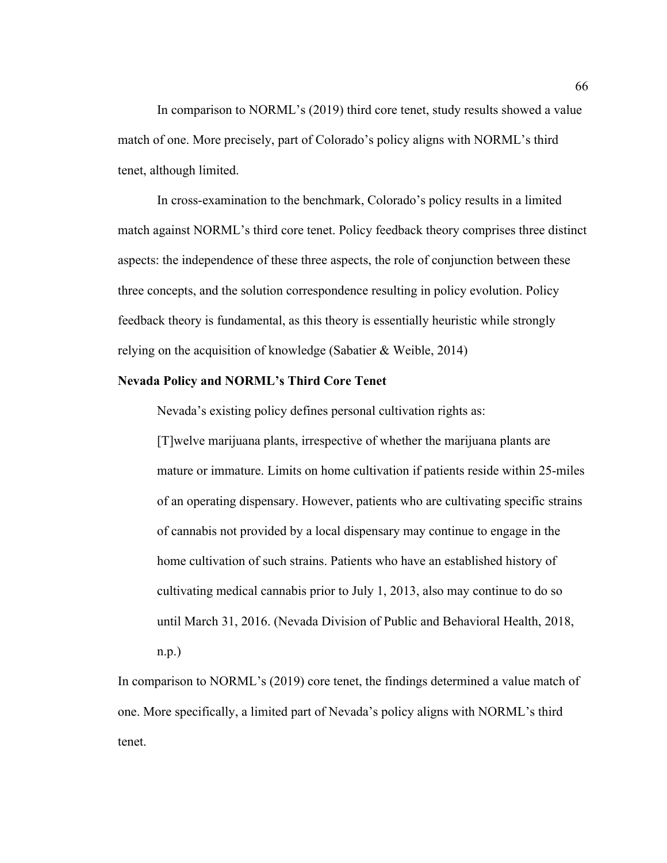In comparison to NORML's (2019) third core tenet, study results showed a value match of one. More precisely, part of Colorado's policy aligns with NORML's third tenet, although limited.

In cross-examination to the benchmark, Colorado's policy results in a limited match against NORML's third core tenet. Policy feedback theory comprises three distinct aspects: the independence of these three aspects, the role of conjunction between these three concepts, and the solution correspondence resulting in policy evolution. Policy feedback theory is fundamental, as this theory is essentially heuristic while strongly relying on the acquisition of knowledge (Sabatier & Weible, 2014)

# **Nevada Policy and NORML's Third Core Tenet**

Nevada's existing policy defines personal cultivation rights as:

[T]welve marijuana plants, irrespective of whether the marijuana plants are mature or immature. Limits on home cultivation if patients reside within 25-miles of an operating dispensary. However, patients who are cultivating specific strains of cannabis not provided by a local dispensary may continue to engage in the home cultivation of such strains. Patients who have an established history of cultivating medical cannabis prior to July 1, 2013, also may continue to do so until March 31, 2016. (Nevada Division of Public and Behavioral Health, 2018, n.p.)

In comparison to NORML's (2019) core tenet, the findings determined a value match of one. More specifically, a limited part of Nevada's policy aligns with NORML's third tenet.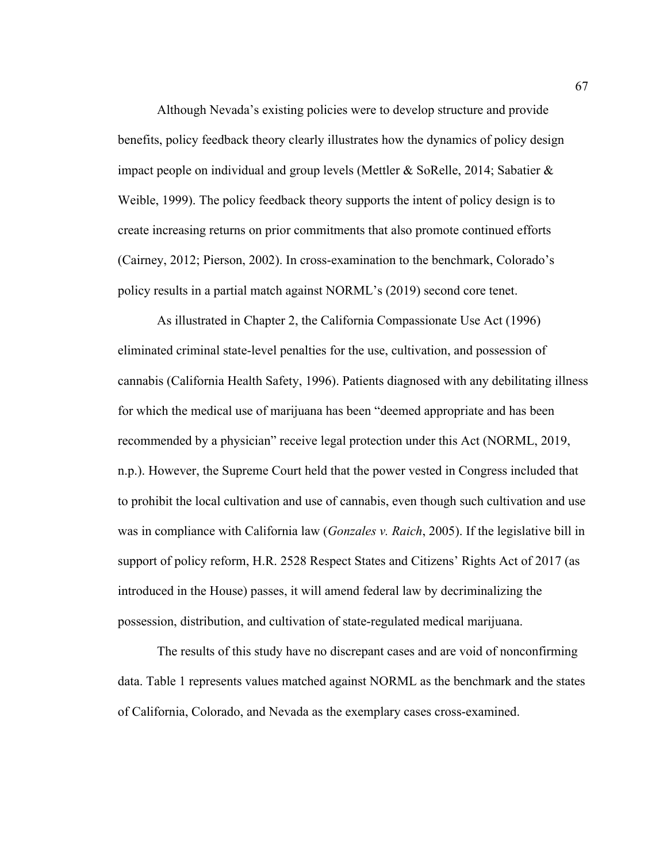Although Nevada's existing policies were to develop structure and provide benefits, policy feedback theory clearly illustrates how the dynamics of policy design impact people on individual and group levels (Mettler & SoRelle, 2014; Sabatier & Weible, 1999). The policy feedback theory supports the intent of policy design is to create increasing returns on prior commitments that also promote continued efforts (Cairney, 2012; Pierson, 2002). In cross-examination to the benchmark, Colorado's policy results in a partial match against NORML's (2019) second core tenet.

As illustrated in Chapter 2, the California Compassionate Use Act (1996) eliminated criminal state-level penalties for the use, cultivation, and possession of cannabis (California Health Safety, 1996). Patients diagnosed with any debilitating illness for which the medical use of marijuana has been "deemed appropriate and has been recommended by a physician" receive legal protection under this Act (NORML, 2019, n.p.). However, the Supreme Court held that the power vested in Congress included that to prohibit the local cultivation and use of cannabis, even though such cultivation and use was in compliance with California law (*Gonzales v. Raich*, 2005). If the legislative bill in support of policy reform, H.R. 2528 Respect States and Citizens' Rights Act of 2017 (as introduced in the House) passes, it will amend federal law by decriminalizing the possession, distribution, and cultivation of state-regulated medical marijuana.

The results of this study have no discrepant cases and are void of nonconfirming data. Table 1 represents values matched against NORML as the benchmark and the states of California, Colorado, and Nevada as the exemplary cases cross-examined.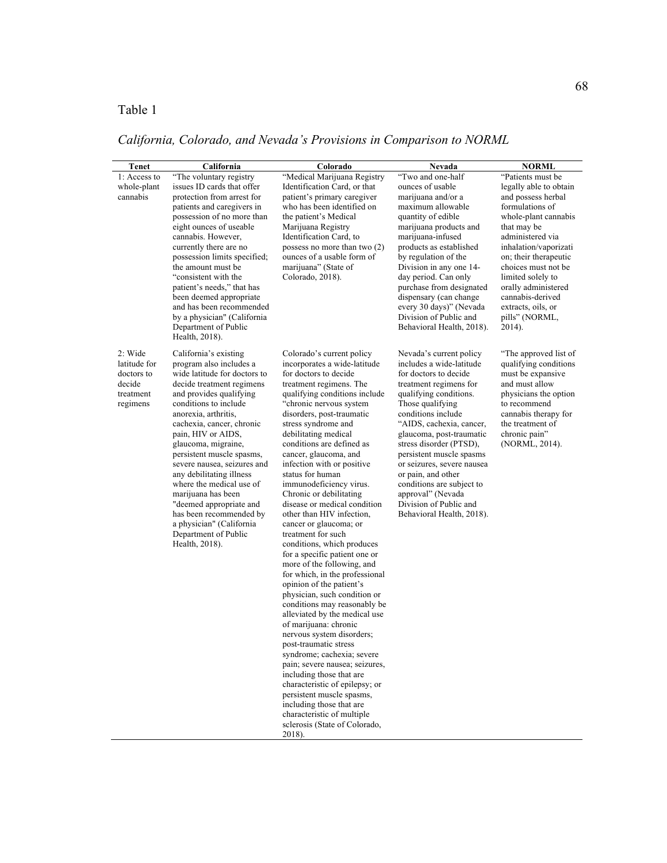# Table 1

| Tenet                                                                    | California                                                                                                                                                                                                                                                                                                                                                                                                                                                                                                                                | Colorado                                                                                                                                                                                                                                                                                                                                                                                                                                                                                                                                                                                                                                                                                                                                                                                                                                                                                                                                                                                                                               | Nevada                                                                                                                                                                                                                                                                                                                                                                                                                                                 | <b>NORML</b>                                                                                                                                                                                                                                                                                                                               |
|--------------------------------------------------------------------------|-------------------------------------------------------------------------------------------------------------------------------------------------------------------------------------------------------------------------------------------------------------------------------------------------------------------------------------------------------------------------------------------------------------------------------------------------------------------------------------------------------------------------------------------|----------------------------------------------------------------------------------------------------------------------------------------------------------------------------------------------------------------------------------------------------------------------------------------------------------------------------------------------------------------------------------------------------------------------------------------------------------------------------------------------------------------------------------------------------------------------------------------------------------------------------------------------------------------------------------------------------------------------------------------------------------------------------------------------------------------------------------------------------------------------------------------------------------------------------------------------------------------------------------------------------------------------------------------|--------------------------------------------------------------------------------------------------------------------------------------------------------------------------------------------------------------------------------------------------------------------------------------------------------------------------------------------------------------------------------------------------------------------------------------------------------|--------------------------------------------------------------------------------------------------------------------------------------------------------------------------------------------------------------------------------------------------------------------------------------------------------------------------------------------|
| 1: Access to<br>whole-plant<br>cannabis                                  | "The voluntary registry"<br>issues ID cards that offer<br>protection from arrest for<br>patients and caregivers in<br>possession of no more than<br>eight ounces of useable<br>cannabis. However,<br>currently there are no<br>possession limits specified;<br>the amount must be<br>"consistent with the<br>patient's needs," that has<br>been deemed appropriate<br>and has been recommended<br>by a physician" (California<br>Department of Public<br>Health, 2018).                                                                   | "Medical Marijuana Registry<br>Identification Card, or that<br>patient's primary caregiver<br>who has been identified on<br>the patient's Medical<br>Marijuana Registry<br>Identification Card, to<br>possess no more than two $(2)$<br>ounces of a usable form of<br>marijuana" (State of<br>Colorado, 2018).                                                                                                                                                                                                                                                                                                                                                                                                                                                                                                                                                                                                                                                                                                                         | "Two and one-half<br>ounces of usable<br>marijuana and/or a<br>maximum allowable<br>quantity of edible<br>marijuana products and<br>marijuana-infused<br>products as established<br>by regulation of the<br>Division in any one 14-<br>day period. Can only<br>purchase from designated<br>dispensary (can change)<br>every 30 days)" (Nevada<br>Division of Public and<br>Behavioral Health, 2018).                                                   | "Patients must be<br>legally able to obtain<br>and possess herbal<br>formulations of<br>whole-plant cannabis<br>that may be<br>administered via<br>inhalation/vaporizati<br>on; their therapeutic<br>choices must not be<br>limited solely to<br>orally administered<br>cannabis-derived<br>extracts, oils, or<br>pills" (NORML,<br>2014). |
| 2: Wide<br>latitude for<br>doctors to<br>decide<br>treatment<br>regimens | California's existing<br>program also includes a<br>wide latitude for doctors to<br>decide treatment regimens<br>and provides qualifying<br>conditions to include<br>anorexia, arthritis,<br>cachexia, cancer, chronic<br>pain, HIV or AIDS,<br>glaucoma, migraine,<br>persistent muscle spasms,<br>severe nausea, seizures and<br>any debilitating illness<br>where the medical use of<br>marijuana has been<br>"deemed appropriate and<br>has been recommended by<br>a physician" (California<br>Department of Public<br>Health, 2018). | Colorado's current policy<br>incorporates a wide-latitude<br>for doctors to decide<br>treatment regimens. The<br>qualifying conditions include<br>"chronic nervous system<br>disorders, post-traumatic<br>stress syndrome and<br>debilitating medical<br>conditions are defined as<br>cancer, glaucoma, and<br>infection with or positive<br>status for human<br>immunodeficiency virus.<br>Chronic or debilitating<br>disease or medical condition<br>other than HIV infection,<br>cancer or glaucoma; or<br>treatment for such<br>conditions, which produces<br>for a specific patient one or<br>more of the following, and<br>for which, in the professional<br>opinion of the patient's<br>physician, such condition or<br>conditions may reasonably be<br>alleviated by the medical use<br>of marijuana: chronic<br>nervous system disorders;<br>post-traumatic stress<br>syndrome; cachexia; severe<br>pain; severe nausea; seizures,<br>including those that are<br>characteristic of epilepsy; or<br>persistent muscle spasms, | Nevada's current policy<br>includes a wide-latitude<br>for doctors to decide<br>treatment regimens for<br>qualifying conditions.<br>Those qualifying<br>conditions include<br>"AIDS, cachexia, cancer,<br>glaucoma, post-traumatic<br>stress disorder (PTSD),<br>persistent muscle spasms<br>or seizures, severe nausea<br>or pain, and other<br>conditions are subject to<br>approval" (Nevada<br>Division of Public and<br>Behavioral Health, 2018). | "The approved list of<br>qualifying conditions<br>must be expansive<br>and must allow<br>physicians the option<br>to recommend<br>cannabis therapy for<br>the treatment of<br>chronic pain"<br>(NORML, 2014).                                                                                                                              |

including those that are characteristic of multiple sclerosis (State of Colorado,

2018).

# *California, Colorado, and Nevada's Provisions in Comparison to NORML*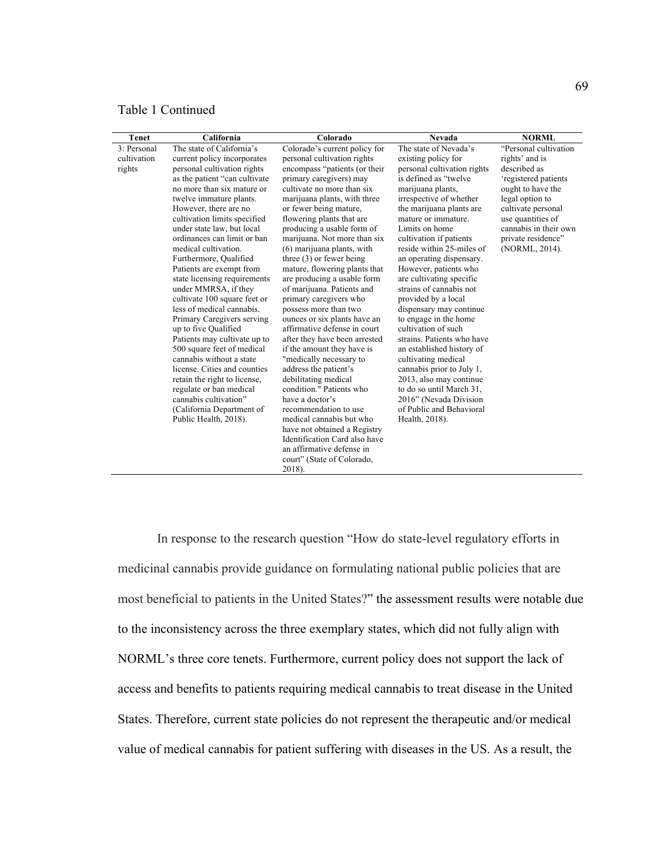# Table 1 Continued

| <b>Tenet</b> | California                                                | Colorado                                              | Nevada                                           | <b>NORML</b>          |
|--------------|-----------------------------------------------------------|-------------------------------------------------------|--------------------------------------------------|-----------------------|
| 3: Personal  | The state of California's                                 | Colorado's current policy for                         | The state of Nevada's                            | "Personal cultivation |
| cultivation  | current policy incorporates                               | personal cultivation rights                           | existing policy for                              | rights' and is        |
| rights       | personal cultivation rights                               | encompass "patients (or their                         | personal cultivation rights                      | described as          |
|              | as the patient "can cultivate"                            | primary caregivers) may                               | is defined as "twelve                            | 'registered patients  |
|              | no more than six mature or                                | cultivate no more than six                            | marijuana plants,                                | ought to have the     |
|              | twelve immature plants.                                   | marijuana plants, with three                          | irrespective of whether                          | legal option to       |
|              | However, there are no                                     | or fewer being mature,                                | the marijuana plants are                         | cultivate personal    |
|              | cultivation limits specified                              | flowering plants that are                             | mature or immature.                              | use quantities of     |
|              | under state law, but local                                | producing a usable form of                            | Limits on home                                   | cannabis in their own |
|              | ordinances can limit or ban                               | marijuana. Not more than six                          | cultivation if patients                          | private residence"    |
|              | medical cultivation.                                      | $(6)$ marijuana plants, with                          | reside within 25-miles of                        | (NORML, 2014).        |
|              | Furthermore, Qualified                                    | three $(3)$ or fewer being                            | an operating dispensary.                         |                       |
|              | Patients are exempt from                                  | mature, flowering plants that                         | However, patients who                            |                       |
|              | state licensing requirements                              | are producing a usable form                           | are cultivating specific                         |                       |
|              | under MMRSA, if they                                      | of marijuana. Patients and                            | strains of cannabis not                          |                       |
|              | cultivate 100 square feet or<br>less of medical cannabis. | primary caregivers who                                | provided by a local                              |                       |
|              | Primary Caregivers serving                                | possess more than two<br>ounces or six plants have an | dispensary may continue<br>to engage in the home |                       |
|              | up to five Qualified                                      | affirmative defense in court                          | cultivation of such                              |                       |
|              | Patients may cultivate up to                              | after they have been arrested                         | strains. Patients who have                       |                       |
|              | 500 square feet of medical                                | if the amount they have is                            | an established history of                        |                       |
|              | cannabis without a state                                  | "medically necessary to                               | cultivating medical                              |                       |
|              | license. Cities and counties                              | address the patient's                                 | cannabis prior to July 1,                        |                       |
|              | retain the right to license,                              | debilitating medical                                  | 2013, also may continue                          |                       |
|              | regulate or ban medical                                   | condition." Patients who                              | to do so until March 31,                         |                       |
|              | cannabis cultivation"                                     | have a doctor's                                       | 2016" (Nevada Division                           |                       |
|              | (California Department of                                 | recommendation to use                                 | of Public and Behavioral                         |                       |
|              | Public Health, 2018).                                     | medical cannabis but who                              | Health, 2018).                                   |                       |
|              |                                                           | have not obtained a Registry                          |                                                  |                       |
|              |                                                           | Identification Card also have                         |                                                  |                       |
|              |                                                           | an affirmative defense in                             |                                                  |                       |
|              |                                                           | court" (State of Colorado,                            |                                                  |                       |
|              |                                                           | 2018).                                                |                                                  |                       |
|              |                                                           |                                                       |                                                  |                       |

In response to the research question "How do state-level regulatory efforts in medicinal cannabis provide guidance on formulating national public policies that are most beneficial to patients in the United States?" the assessment results were notable due to the inconsistency across the three exemplary states, which did not fully align with NORML's three core tenets. Furthermore, current policy does not support the lack of access and benefits to patients requiring medical cannabis to treat disease in the United States. Therefore, current state policies do not represent the therapeutic and/or medical value of medical cannabis for patient suffering with diseases in the US. As a result, the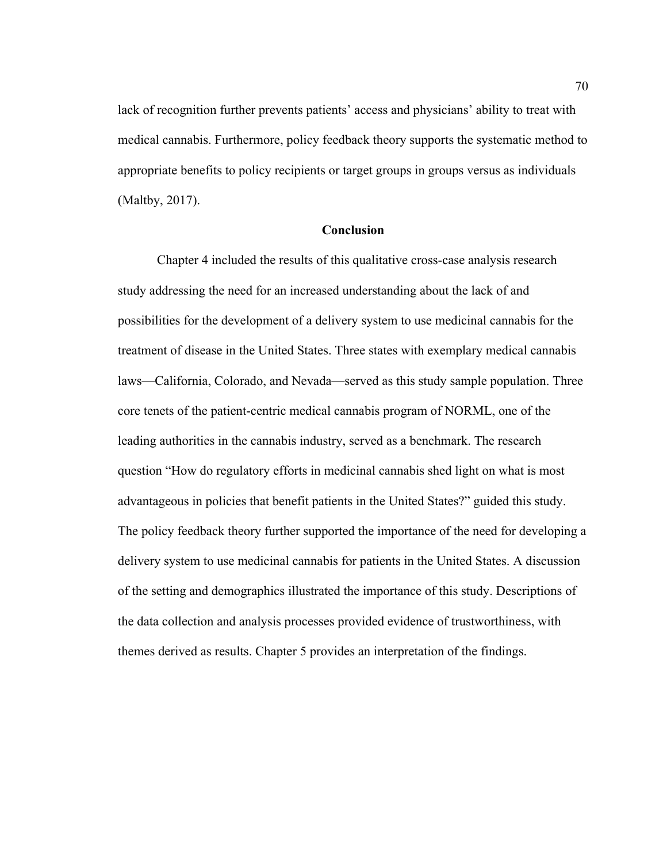lack of recognition further prevents patients' access and physicians' ability to treat with medical cannabis. Furthermore, policy feedback theory supports the systematic method to appropriate benefits to policy recipients or target groups in groups versus as individuals (Maltby, 2017).

#### **Conclusion**

Chapter 4 included the results of this qualitative cross-case analysis research study addressing the need for an increased understanding about the lack of and possibilities for the development of a delivery system to use medicinal cannabis for the treatment of disease in the United States. Three states with exemplary medical cannabis laws—California, Colorado, and Nevada—served as this study sample population. Three core tenets of the patient-centric medical cannabis program of NORML, one of the leading authorities in the cannabis industry, served as a benchmark. The research question "How do regulatory efforts in medicinal cannabis shed light on what is most advantageous in policies that benefit patients in the United States?" guided this study. The policy feedback theory further supported the importance of the need for developing a delivery system to use medicinal cannabis for patients in the United States. A discussion of the setting and demographics illustrated the importance of this study. Descriptions of the data collection and analysis processes provided evidence of trustworthiness, with themes derived as results. Chapter 5 provides an interpretation of the findings.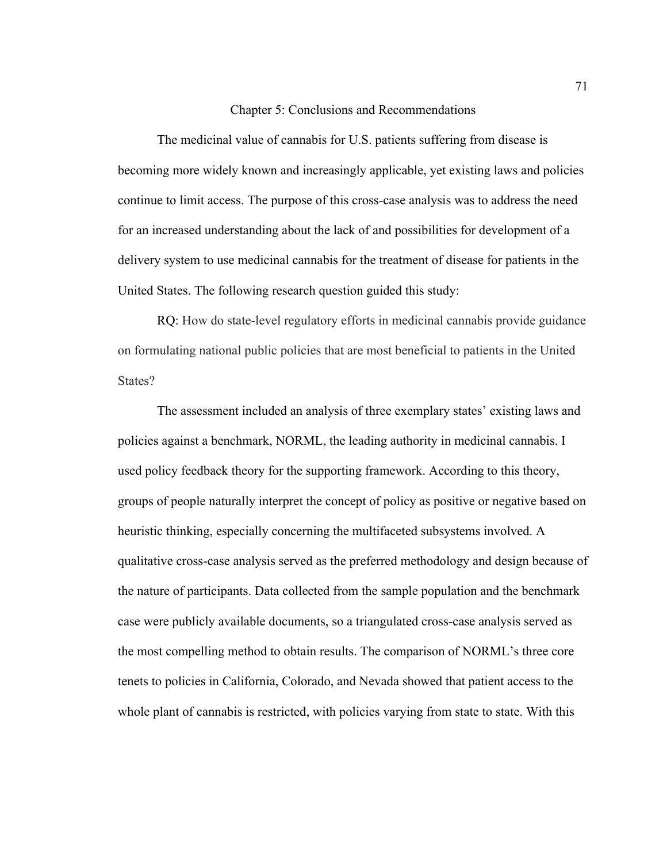# Chapter 5: Conclusions and Recommendations

The medicinal value of cannabis for U.S. patients suffering from disease is becoming more widely known and increasingly applicable, yet existing laws and policies continue to limit access. The purpose of this cross-case analysis was to address the need for an increased understanding about the lack of and possibilities for development of a delivery system to use medicinal cannabis for the treatment of disease for patients in the United States. The following research question guided this study:

RQ: How do state-level regulatory efforts in medicinal cannabis provide guidance on formulating national public policies that are most beneficial to patients in the United States?

The assessment included an analysis of three exemplary states' existing laws and policies against a benchmark, NORML, the leading authority in medicinal cannabis. I used policy feedback theory for the supporting framework. According to this theory, groups of people naturally interpret the concept of policy as positive or negative based on heuristic thinking, especially concerning the multifaceted subsystems involved. A qualitative cross-case analysis served as the preferred methodology and design because of the nature of participants. Data collected from the sample population and the benchmark case were publicly available documents, so a triangulated cross-case analysis served as the most compelling method to obtain results. The comparison of NORML's three core tenets to policies in California, Colorado, and Nevada showed that patient access to the whole plant of cannabis is restricted, with policies varying from state to state. With this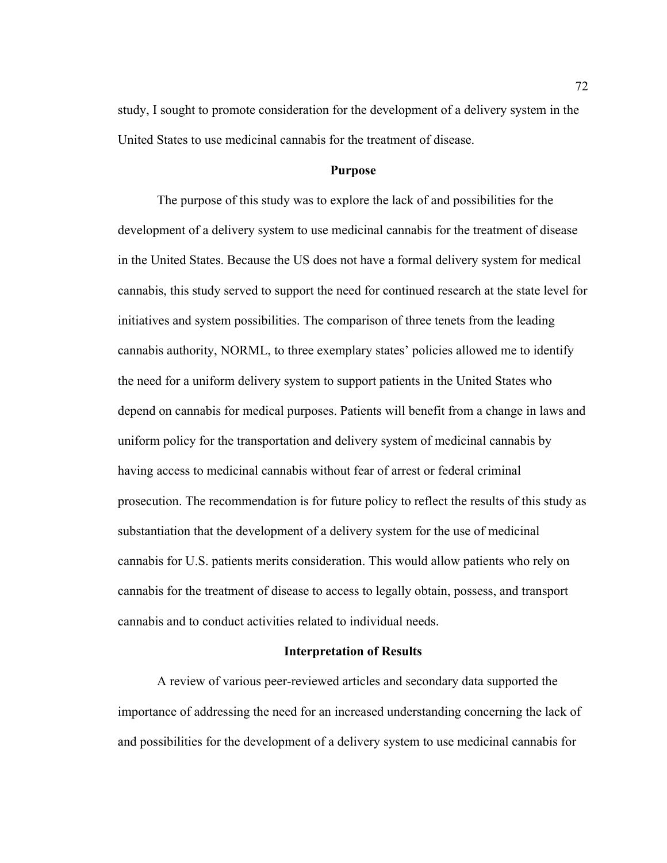study, I sought to promote consideration for the development of a delivery system in the United States to use medicinal cannabis for the treatment of disease.

#### **Purpose**

The purpose of this study was to explore the lack of and possibilities for the development of a delivery system to use medicinal cannabis for the treatment of disease in the United States. Because the US does not have a formal delivery system for medical cannabis, this study served to support the need for continued research at the state level for initiatives and system possibilities. The comparison of three tenets from the leading cannabis authority, NORML, to three exemplary states' policies allowed me to identify the need for a uniform delivery system to support patients in the United States who depend on cannabis for medical purposes. Patients will benefit from a change in laws and uniform policy for the transportation and delivery system of medicinal cannabis by having access to medicinal cannabis without fear of arrest or federal criminal prosecution. The recommendation is for future policy to reflect the results of this study as substantiation that the development of a delivery system for the use of medicinal cannabis for U.S. patients merits consideration. This would allow patients who rely on cannabis for the treatment of disease to access to legally obtain, possess, and transport cannabis and to conduct activities related to individual needs.

#### **Interpretation of Results**

A review of various peer-reviewed articles and secondary data supported the importance of addressing the need for an increased understanding concerning the lack of and possibilities for the development of a delivery system to use medicinal cannabis for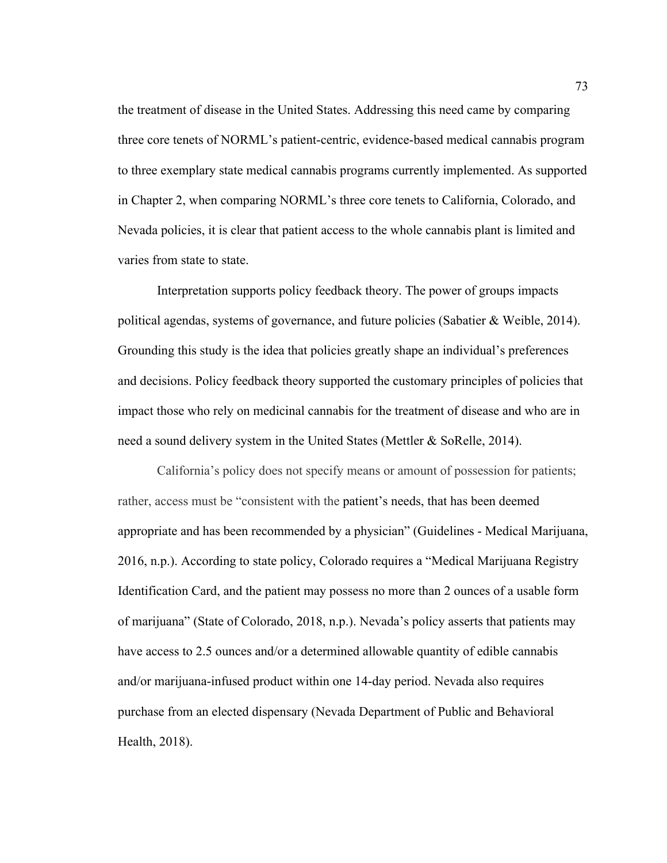the treatment of disease in the United States. Addressing this need came by comparing three core tenets of NORML's patient-centric, evidence-based medical cannabis program to three exemplary state medical cannabis programs currently implemented. As supported in Chapter 2, when comparing NORML's three core tenets to California, Colorado, and Nevada policies, it is clear that patient access to the whole cannabis plant is limited and varies from state to state.

Interpretation supports policy feedback theory. The power of groups impacts political agendas, systems of governance, and future policies (Sabatier & Weible, 2014). Grounding this study is the idea that policies greatly shape an individual's preferences and decisions. Policy feedback theory supported the customary principles of policies that impact those who rely on medicinal cannabis for the treatment of disease and who are in need a sound delivery system in the United States (Mettler & SoRelle, 2014).

California's policy does not specify means or amount of possession for patients; rather, access must be "consistent with the patient's needs, that has been deemed appropriate and has been recommended by a physician" (Guidelines - Medical Marijuana, 2016, n.p.). According to state policy, Colorado requires a "Medical Marijuana Registry Identification Card, and the patient may possess no more than 2 ounces of a usable form of marijuana" (State of Colorado, 2018, n.p.). Nevada's policy asserts that patients may have access to 2.5 ounces and/or a determined allowable quantity of edible cannabis and/or marijuana-infused product within one 14-day period. Nevada also requires purchase from an elected dispensary (Nevada Department of Public and Behavioral Health, 2018).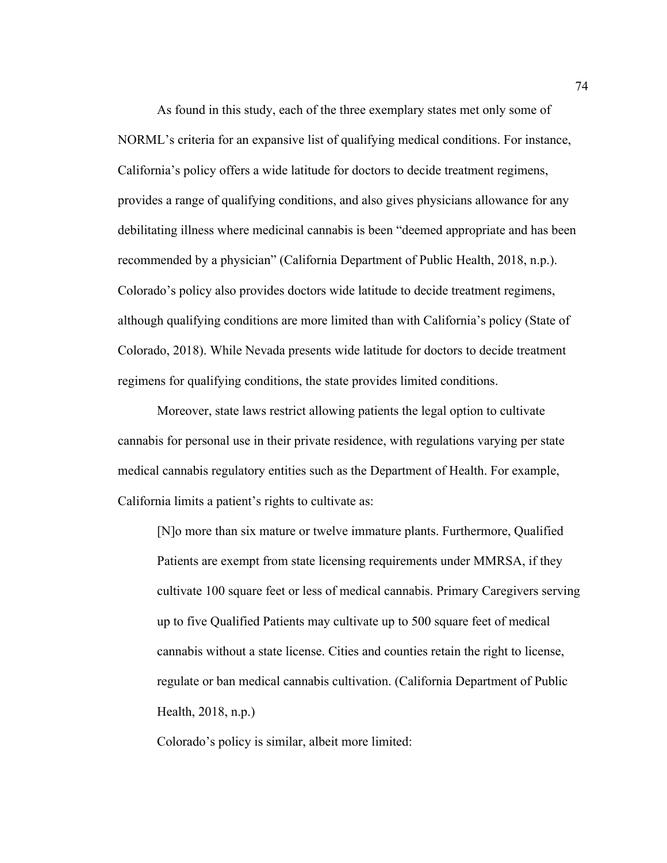As found in this study, each of the three exemplary states met only some of NORML's criteria for an expansive list of qualifying medical conditions. For instance, California's policy offers a wide latitude for doctors to decide treatment regimens, provides a range of qualifying conditions, and also gives physicians allowance for any debilitating illness where medicinal cannabis is been "deemed appropriate and has been recommended by a physician" (California Department of Public Health, 2018, n.p.). Colorado's policy also provides doctors wide latitude to decide treatment regimens, although qualifying conditions are more limited than with California's policy (State of Colorado, 2018). While Nevada presents wide latitude for doctors to decide treatment regimens for qualifying conditions, the state provides limited conditions.

Moreover, state laws restrict allowing patients the legal option to cultivate cannabis for personal use in their private residence, with regulations varying per state medical cannabis regulatory entities such as the Department of Health. For example, California limits a patient's rights to cultivate as:

[N]o more than six mature or twelve immature plants. Furthermore, Qualified Patients are exempt from state licensing requirements under MMRSA, if they cultivate 100 square feet or less of medical cannabis. Primary Caregivers serving up to five Qualified Patients may cultivate up to 500 square feet of medical cannabis without a state license. Cities and counties retain the right to license, regulate or ban medical cannabis cultivation. (California Department of Public Health, 2018, n.p.)

Colorado's policy is similar, albeit more limited: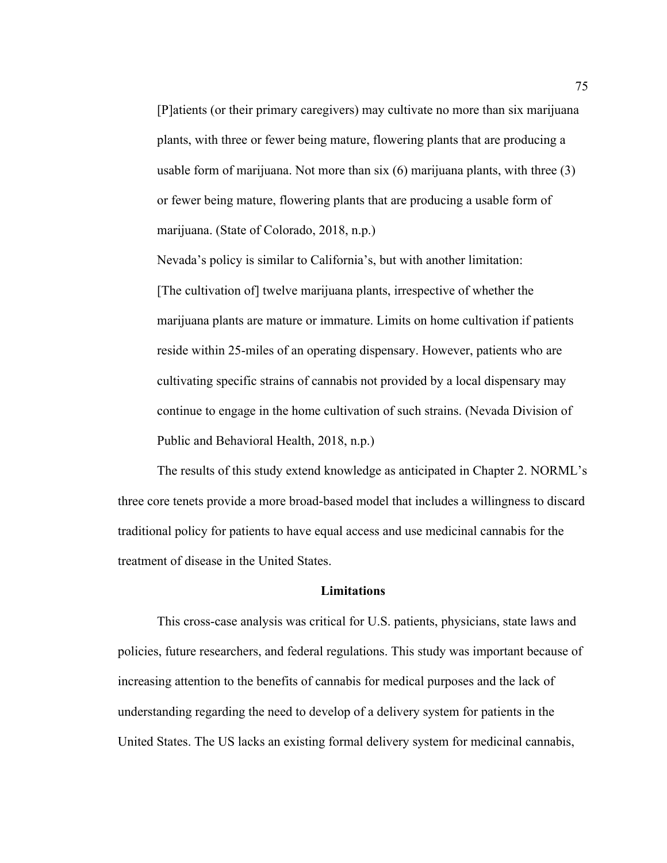[P]atients (or their primary caregivers) may cultivate no more than six marijuana plants, with three or fewer being mature, flowering plants that are producing a usable form of marijuana. Not more than six (6) marijuana plants, with three (3) or fewer being mature, flowering plants that are producing a usable form of marijuana. (State of Colorado, 2018, n.p.)

Nevada's policy is similar to California's, but with another limitation: [The cultivation of] twelve marijuana plants, irrespective of whether the marijuana plants are mature or immature. Limits on home cultivation if patients reside within 25-miles of an operating dispensary. However, patients who are cultivating specific strains of cannabis not provided by a local dispensary may continue to engage in the home cultivation of such strains. (Nevada Division of Public and Behavioral Health, 2018, n.p.)

The results of this study extend knowledge as anticipated in Chapter 2. NORML's three core tenets provide a more broad-based model that includes a willingness to discard traditional policy for patients to have equal access and use medicinal cannabis for the treatment of disease in the United States.

# **Limitations**

This cross-case analysis was critical for U.S. patients, physicians, state laws and policies, future researchers, and federal regulations. This study was important because of increasing attention to the benefits of cannabis for medical purposes and the lack of understanding regarding the need to develop of a delivery system for patients in the United States. The US lacks an existing formal delivery system for medicinal cannabis,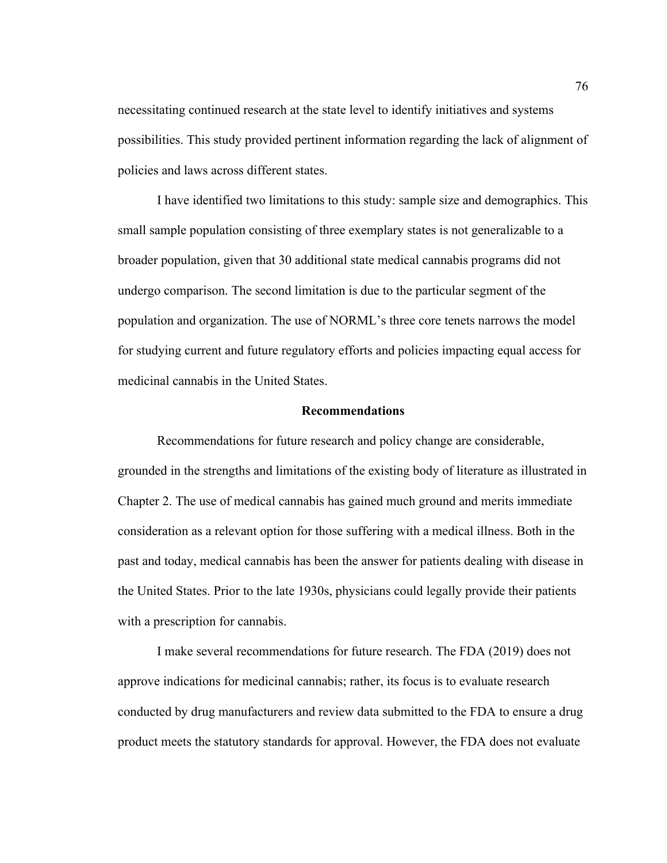necessitating continued research at the state level to identify initiatives and systems possibilities. This study provided pertinent information regarding the lack of alignment of policies and laws across different states.

I have identified two limitations to this study: sample size and demographics. This small sample population consisting of three exemplary states is not generalizable to a broader population, given that 30 additional state medical cannabis programs did not undergo comparison. The second limitation is due to the particular segment of the population and organization. The use of NORML's three core tenets narrows the model for studying current and future regulatory efforts and policies impacting equal access for medicinal cannabis in the United States.

### **Recommendations**

Recommendations for future research and policy change are considerable, grounded in the strengths and limitations of the existing body of literature as illustrated in Chapter 2. The use of medical cannabis has gained much ground and merits immediate consideration as a relevant option for those suffering with a medical illness. Both in the past and today, medical cannabis has been the answer for patients dealing with disease in the United States. Prior to the late 1930s, physicians could legally provide their patients with a prescription for cannabis.

I make several recommendations for future research. The FDA (2019) does not approve indications for medicinal cannabis; rather, its focus is to evaluate research conducted by drug manufacturers and review data submitted to the FDA to ensure a drug product meets the statutory standards for approval. However, the FDA does not evaluate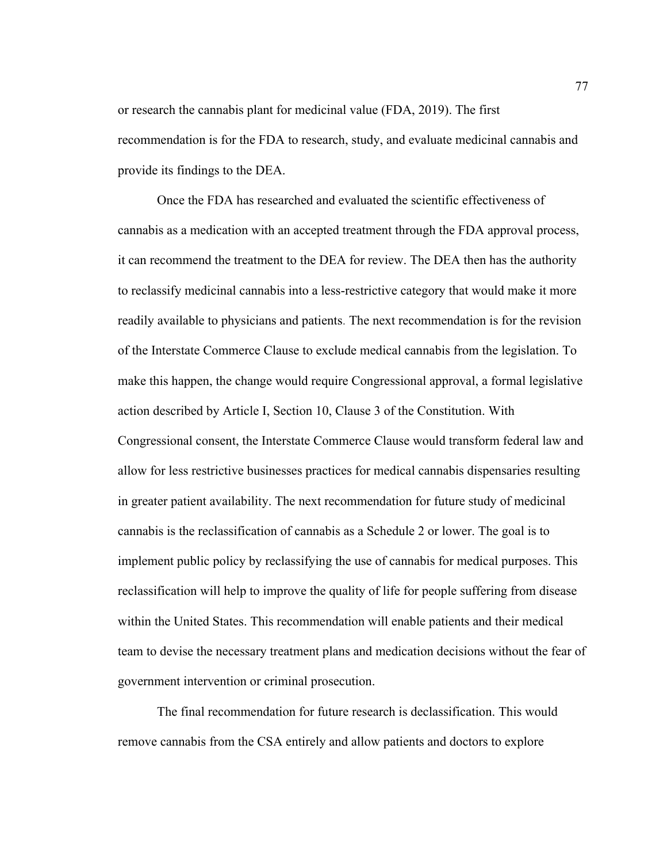or research the cannabis plant for medicinal value (FDA, 2019). The first recommendation is for the FDA to research, study, and evaluate medicinal cannabis and provide its findings to the DEA.

Once the FDA has researched and evaluated the scientific effectiveness of cannabis as a medication with an accepted treatment through the FDA approval process, it can recommend the treatment to the DEA for review. The DEA then has the authority to reclassify medicinal cannabis into a less-restrictive category that would make it more readily available to physicians and patients. The next recommendation is for the revision of the Interstate Commerce Clause to exclude medical cannabis from the legislation. To make this happen, the change would require Congressional approval, a formal legislative action described by Article I, Section 10, Clause 3 of the Constitution. With Congressional consent, the Interstate Commerce Clause would transform federal law and allow for less restrictive businesses practices for medical cannabis dispensaries resulting in greater patient availability. The next recommendation for future study of medicinal cannabis is the reclassification of cannabis as a Schedule 2 or lower. The goal is to implement public policy by reclassifying the use of cannabis for medical purposes. This reclassification will help to improve the quality of life for people suffering from disease within the United States. This recommendation will enable patients and their medical team to devise the necessary treatment plans and medication decisions without the fear of government intervention or criminal prosecution.

The final recommendation for future research is declassification. This would remove cannabis from the CSA entirely and allow patients and doctors to explore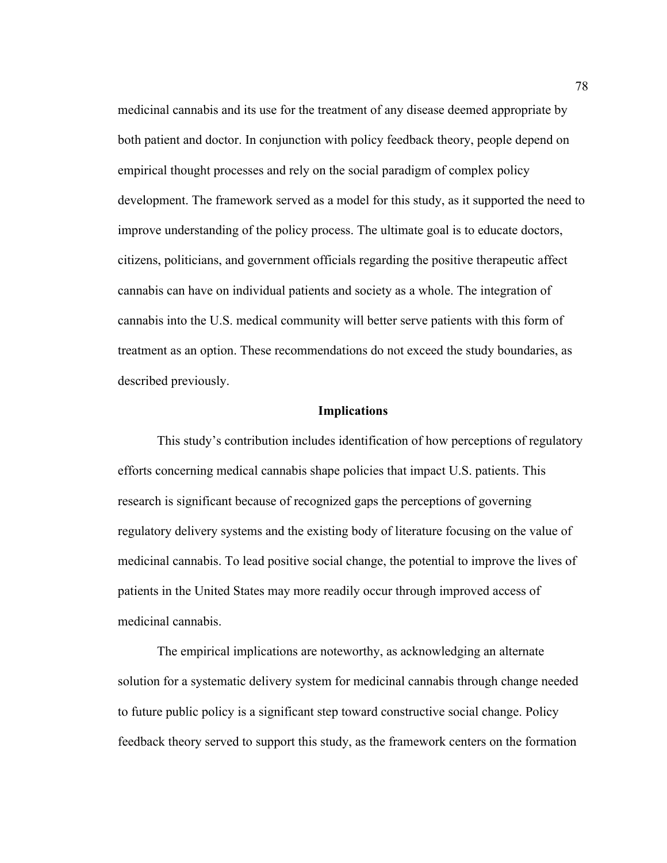medicinal cannabis and its use for the treatment of any disease deemed appropriate by both patient and doctor. In conjunction with policy feedback theory, people depend on empirical thought processes and rely on the social paradigm of complex policy development. The framework served as a model for this study, as it supported the need to improve understanding of the policy process. The ultimate goal is to educate doctors, citizens, politicians, and government officials regarding the positive therapeutic affect cannabis can have on individual patients and society as a whole. The integration of cannabis into the U.S. medical community will better serve patients with this form of treatment as an option. These recommendations do not exceed the study boundaries, as described previously.

# **Implications**

This study's contribution includes identification of how perceptions of regulatory efforts concerning medical cannabis shape policies that impact U.S. patients. This research is significant because of recognized gaps the perceptions of governing regulatory delivery systems and the existing body of literature focusing on the value of medicinal cannabis. To lead positive social change, the potential to improve the lives of patients in the United States may more readily occur through improved access of medicinal cannabis.

The empirical implications are noteworthy, as acknowledging an alternate solution for a systematic delivery system for medicinal cannabis through change needed to future public policy is a significant step toward constructive social change. Policy feedback theory served to support this study, as the framework centers on the formation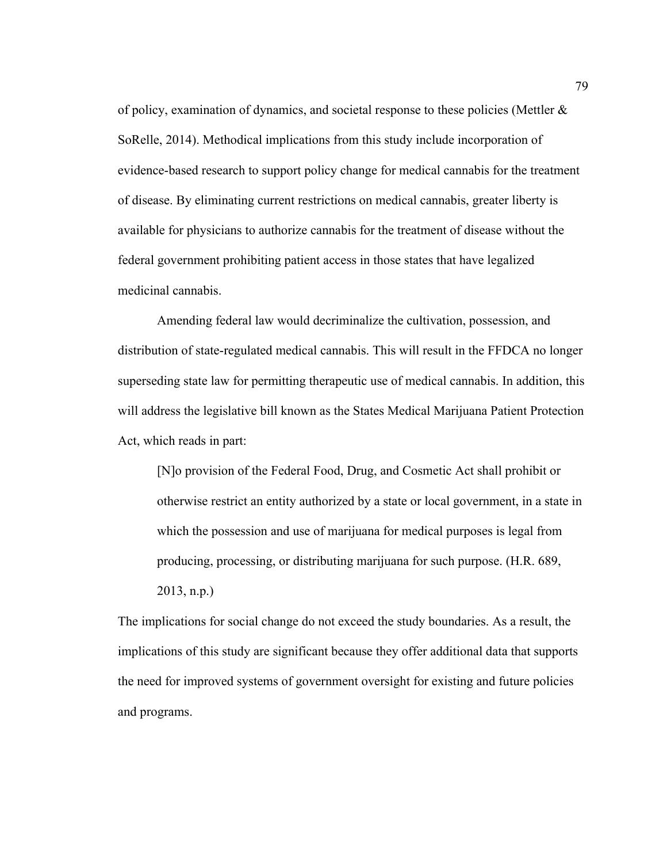of policy, examination of dynamics, and societal response to these policies (Mettler  $\&$ SoRelle, 2014). Methodical implications from this study include incorporation of evidence-based research to support policy change for medical cannabis for the treatment of disease. By eliminating current restrictions on medical cannabis, greater liberty is available for physicians to authorize cannabis for the treatment of disease without the federal government prohibiting patient access in those states that have legalized medicinal cannabis.

Amending federal law would decriminalize the cultivation, possession, and distribution of state-regulated medical cannabis. This will result in the FFDCA no longer superseding state law for permitting therapeutic use of medical cannabis. In addition, this will address the legislative bill known as the States Medical Marijuana Patient Protection Act, which reads in part:

[N]o provision of the Federal Food, Drug, and Cosmetic Act shall prohibit or otherwise restrict an entity authorized by a state or local government, in a state in which the possession and use of marijuana for medical purposes is legal from producing, processing, or distributing marijuana for such purpose. (H.R. 689, 2013, n.p.)

The implications for social change do not exceed the study boundaries. As a result, the implications of this study are significant because they offer additional data that supports the need for improved systems of government oversight for existing and future policies and programs.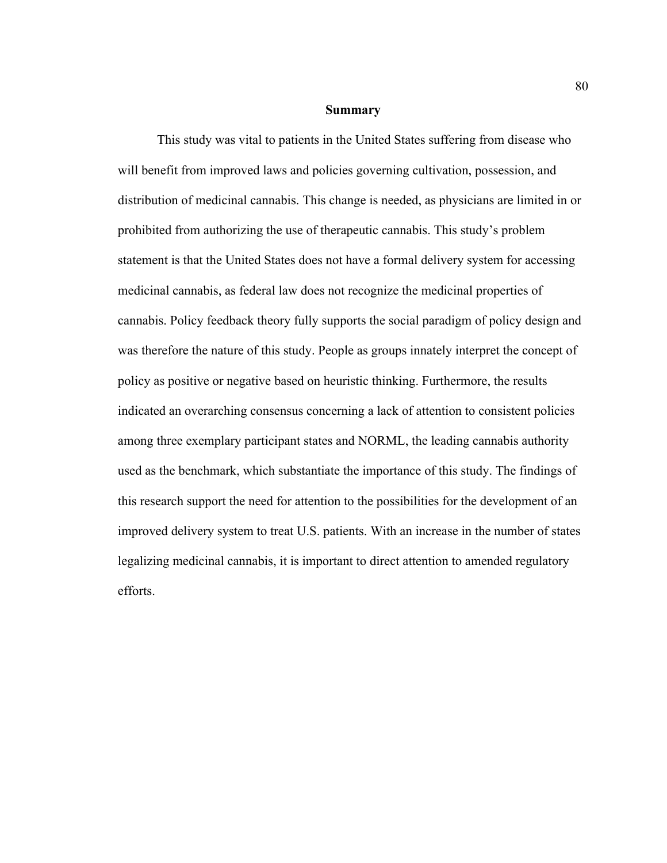#### **Summary**

This study was vital to patients in the United States suffering from disease who will benefit from improved laws and policies governing cultivation, possession, and distribution of medicinal cannabis. This change is needed, as physicians are limited in or prohibited from authorizing the use of therapeutic cannabis. This study's problem statement is that the United States does not have a formal delivery system for accessing medicinal cannabis, as federal law does not recognize the medicinal properties of cannabis. Policy feedback theory fully supports the social paradigm of policy design and was therefore the nature of this study. People as groups innately interpret the concept of policy as positive or negative based on heuristic thinking. Furthermore, the results indicated an overarching consensus concerning a lack of attention to consistent policies among three exemplary participant states and NORML, the leading cannabis authority used as the benchmark, which substantiate the importance of this study. The findings of this research support the need for attention to the possibilities for the development of an improved delivery system to treat U.S. patients. With an increase in the number of states legalizing medicinal cannabis, it is important to direct attention to amended regulatory efforts.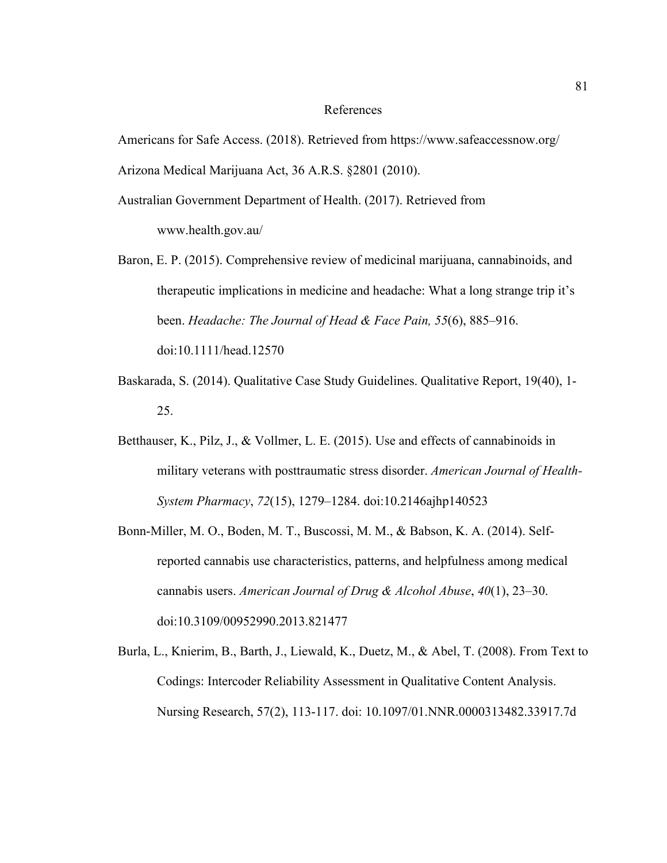#### References

Americans for Safe Access. (2018). Retrieved from https://www.safeaccessnow.org/

Arizona Medical Marijuana Act, 36 A.R.S. §2801 (2010).

- Australian Government Department of Health. (2017). Retrieved from www.health.gov.au/
- Baron, E. P. (2015). Comprehensive review of medicinal marijuana, cannabinoids, and therapeutic implications in medicine and headache: What a long strange trip it's been. *Headache: The Journal of Head & Face Pain, 55*(6), 885–916. doi:10.1111/head.12570
- Baskarada, S. (2014). Qualitative Case Study Guidelines. Qualitative Report, 19(40), 1- 25.
- Betthauser, K., Pilz, J., & Vollmer, L. E. (2015). Use and effects of cannabinoids in military veterans with posttraumatic stress disorder. *American Journal of Health-System Pharmacy*, *72*(15), 1279–1284. doi:10.2146ajhp140523
- Bonn-Miller, M. O., Boden, M. T., Buscossi, M. M., & Babson, K. A. (2014). Selfreported cannabis use characteristics, patterns, and helpfulness among medical cannabis users. *American Journal of Drug & Alcohol Abuse*, *40*(1), 23–30. doi:10.3109/00952990.2013.821477
- Burla, L., Knierim, B., Barth, J., Liewald, K., Duetz, M., & Abel, T. (2008). From Text to Codings: Intercoder Reliability Assessment in Qualitative Content Analysis. Nursing Research, 57(2), 113-117. doi: 10.1097/01.NNR.0000313482.33917.7d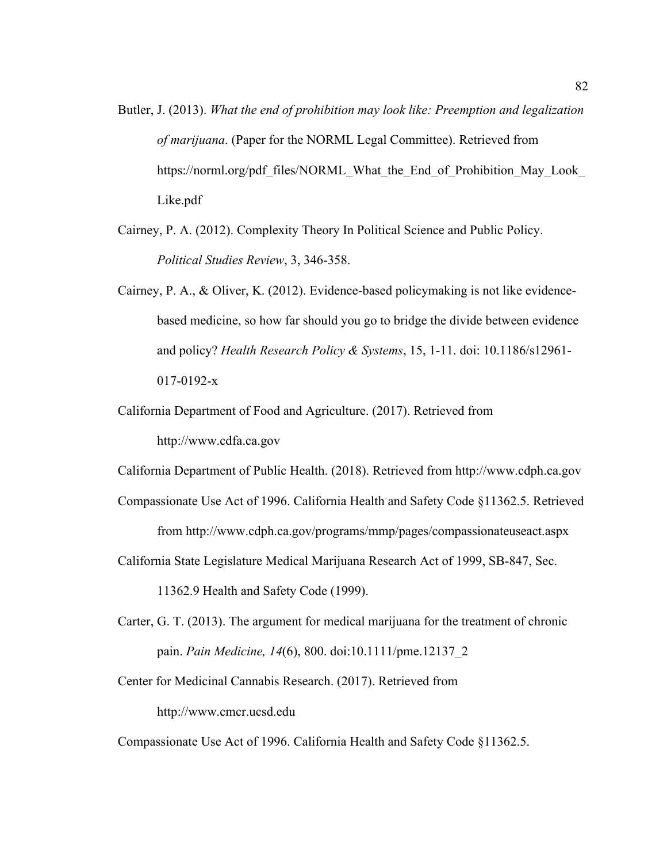- Butler, J. (2013). *What the end of prohibition may look like: Preemption and legalization of marijuana*. (Paper for the NORML Legal Committee). Retrieved from https://norml.org/pdf\_files/NORML\_What\_the\_End\_of\_Prohibition\_May\_Look Like.pdf
- Cairney, P. A. (2012). Complexity Theory In Political Science and Public Policy. *Political Studies Review*, 3, 346-358.
- Cairney, P. A., & Oliver, K. (2012). Evidence-based policymaking is not like evidencebased medicine, so how far should you go to bridge the divide between evidence and policy? *Health Research Policy & Systems*, 15, 1-11. doi: 10.1186/s12961- 017-0192-x
- California Department of Food and Agriculture. (2017). Retrieved from http://www.cdfa.ca.gov

California Department of Public Health. (2018). Retrieved from http://www.cdph.ca.gov

Compassionate Use Act of 1996. California Health and Safety Code §11362.5. Retrieved from http://www.cdph.ca.gov/programs/mmp/pages/compassionateuseact.aspx

California State Legislature Medical Marijuana Research Act of 1999, SB-847, Sec.

11362.9 Health and Safety Code (1999).

Carter, G. T. (2013). The argument for medical marijuana for the treatment of chronic pain. *Pain Medicine, 14*(6), 800. doi:10.1111/pme.12137\_2

Center for Medicinal Cannabis Research. (2017). Retrieved from http://www.cmcr.ucsd.edu

Compassionate Use Act of 1996. California Health and Safety Code §11362.5.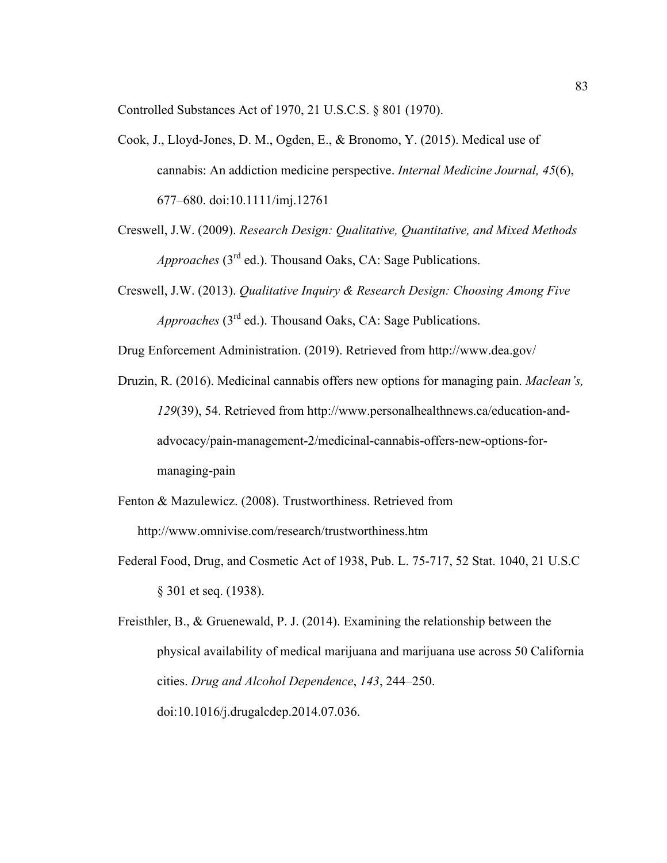Controlled Substances Act of 1970, 21 U.S.C.S. § 801 (1970).

- Cook, J., Lloyd-Jones, D. M., Ogden, E., & Bronomo, Y. (2015). Medical use of cannabis: An addiction medicine perspective. *Internal Medicine Journal, 45*(6), 677–680. doi:10.1111/imj.12761
- Creswell, J.W. (2009). *Research Design: Qualitative, Quantitative, and Mixed Methods Approaches* (3<sup>rd</sup> ed.). Thousand Oaks, CA: Sage Publications.
- Creswell, J.W. (2013). *Qualitative Inquiry & Research Design: Choosing Among Five Approaches* (3rd ed.). Thousand Oaks, CA: Sage Publications.

Drug Enforcement Administration. (2019). Retrieved from http://www.dea.gov/

- Druzin, R. (2016). Medicinal cannabis offers new options for managing pain. *Maclean's, 129*(39), 54. Retrieved from http://www.personalhealthnews.ca/education-andadvocacy/pain-management-2/medicinal-cannabis-offers-new-options-formanaging-pain
- Fenton & Mazulewicz. (2008). Trustworthiness. Retrieved from http://www.omnivise.com/research/trustworthiness.htm
- Federal Food, Drug, and Cosmetic Act of 1938, Pub. L. 75-717, 52 Stat. 1040, 21 U.S.C § 301 et seq. (1938).
- Freisthler, B., & Gruenewald, P. J. (2014). Examining the relationship between the physical availability of medical marijuana and marijuana use across 50 California cities. *Drug and Alcohol Dependence*, *143*, 244–250. doi:10.1016/j.drugalcdep.2014.07.036.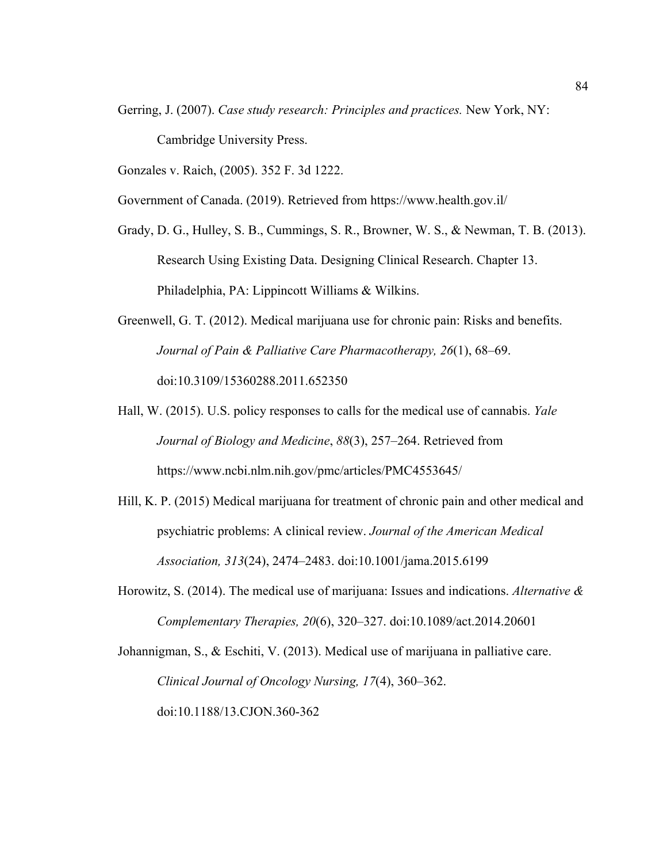- Gerring, J. (2007). *Case study research: Principles and practices.* New York, NY: Cambridge University Press.
- Gonzales v. Raich, (2005). 352 F. 3d 1222.

Government of Canada. (2019). Retrieved from https://www.health.gov.il/

- Grady, D. G., Hulley, S. B., Cummings, S. R., Browner, W. S., & Newman, T. B. (2013). Research Using Existing Data. Designing Clinical Research. Chapter 13. Philadelphia, PA: Lippincott Williams & Wilkins.
- Greenwell, G. T. (2012). Medical marijuana use for chronic pain: Risks and benefits. *Journal of Pain & Palliative Care Pharmacotherapy, 26*(1), 68–69. doi:10.3109/15360288.2011.652350
- Hall, W. (2015). U.S. policy responses to calls for the medical use of cannabis. *Yale Journal of Biology and Medicine*, *88*(3), 257–264. Retrieved from https://www.ncbi.nlm.nih.gov/pmc/articles/PMC4553645/
- Hill, K. P. (2015) Medical marijuana for treatment of chronic pain and other medical and psychiatric problems: A clinical review. *Journal of the American Medical Association, 313*(24), 2474–2483. doi:10.1001/jama.2015.6199
- Horowitz, S. (2014). The medical use of marijuana: Issues and indications. *Alternative & Complementary Therapies, 20*(6), 320–327. doi:10.1089/act.2014.20601

Johannigman, S., & Eschiti, V. (2013). Medical use of marijuana in palliative care. *Clinical Journal of Oncology Nursing, 17*(4), 360–362. doi:10.1188/13.CJON.360-362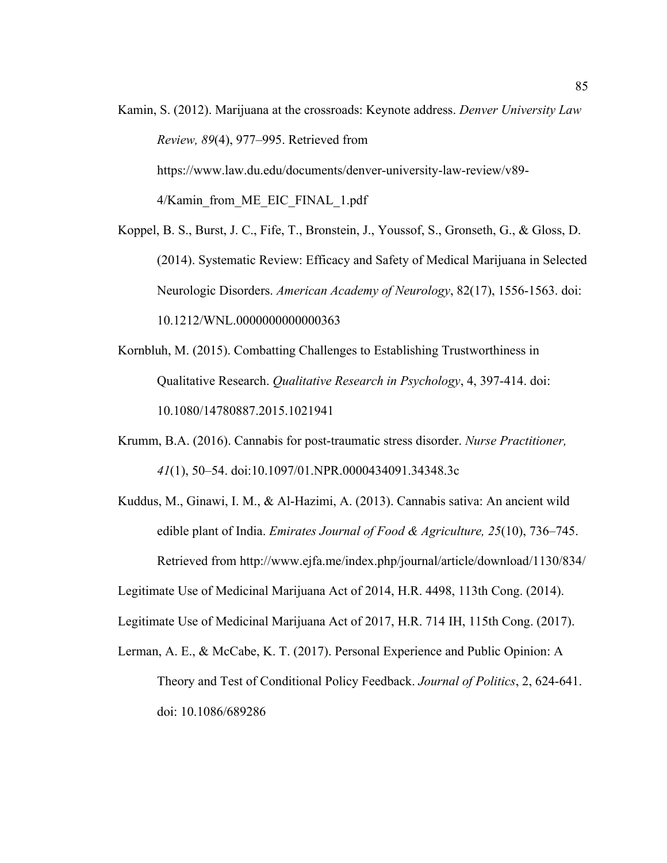Kamin, S. (2012). Marijuana at the crossroads: Keynote address. *Denver University Law Review, 89*(4), 977–995. Retrieved from https://www.law.du.edu/documents/denver-university-law-review/v89- 4/Kamin\_from\_ME\_EIC\_FINAL\_1.pdf

Koppel, B. S., Burst, J. C., Fife, T., Bronstein, J., Youssof, S., Gronseth, G., & Gloss, D. (2014). Systematic Review: Efficacy and Safety of Medical Marijuana in Selected Neurologic Disorders. *American Academy of Neurology*, 82(17), 1556-1563. doi: 10.1212/WNL.0000000000000363

- Kornbluh, M. (2015). Combatting Challenges to Establishing Trustworthiness in Qualitative Research. *Qualitative Research in Psychology*, 4, 397-414. doi: 10.1080/14780887.2015.1021941
- Krumm, B.A. (2016). Cannabis for post-traumatic stress disorder. *Nurse Practitioner, 41*(1), 50–54. doi:10.1097/01.NPR.0000434091.34348.3c
- Kuddus, M., Ginawi, I. M., & Al-Hazimi, A. (2013). Cannabis sativa: An ancient wild edible plant of India. *Emirates Journal of Food & Agriculture, 25*(10), 736–745. Retrieved from http://www.ejfa.me/index.php/journal/article/download/1130/834/

Legitimate Use of Medicinal Marijuana Act of 2014, H.R. 4498, 113th Cong. (2014).

Legitimate Use of Medicinal Marijuana Act of 2017, H.R. 714 IH, 115th Cong. (2017).

Lerman, A. E., & McCabe, K. T. (2017). Personal Experience and Public Opinion: A Theory and Test of Conditional Policy Feedback. *Journal of Politics*, 2, 624-641. doi: 10.1086/689286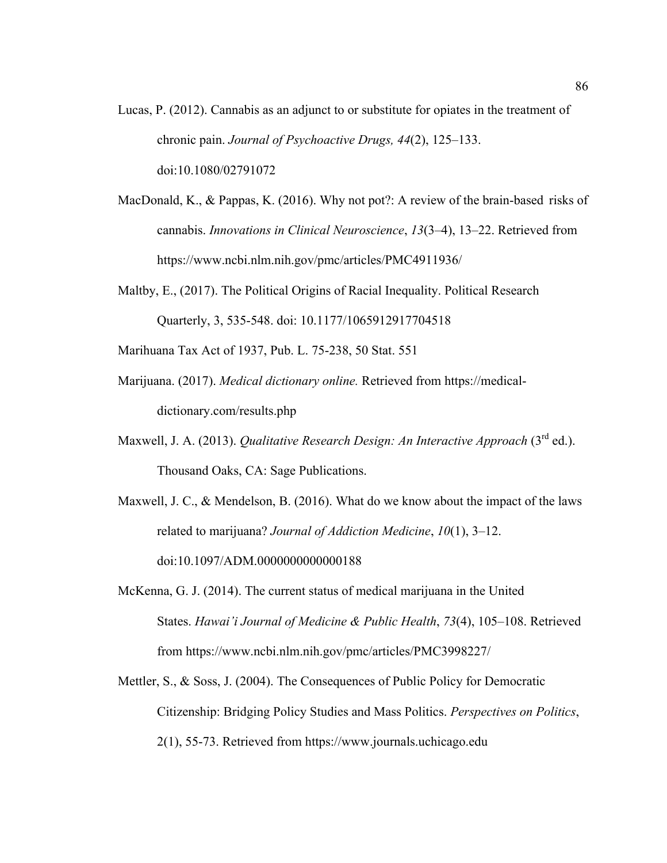- Lucas, P. (2012). Cannabis as an adjunct to or substitute for opiates in the treatment of chronic pain. *Journal of Psychoactive Drugs, 44*(2), 125–133. doi:10.1080/02791072
- MacDonald, K., & Pappas, K. (2016). Why not pot?: A review of the brain-based risks of cannabis. *Innovations in Clinical Neuroscience*, *13*(3–4), 13–22. Retrieved from https://www.ncbi.nlm.nih.gov/pmc/articles/PMC4911936/
- Maltby, E., (2017). The Political Origins of Racial Inequality. Political Research Quarterly, 3, 535-548. doi: 10.1177/1065912917704518
- Marihuana Tax Act of 1937, Pub. L. 75-238, 50 Stat. 551
- Marijuana. (2017). *Medical dictionary online.* Retrieved from https://medicaldictionary.com/results.php
- Maxwell, J. A. (2013). *Qualitative Research Design: An Interactive Approach* (3rd ed.). Thousand Oaks, CA: Sage Publications.
- Maxwell, J. C., & Mendelson, B. (2016). What do we know about the impact of the laws related to marijuana? *Journal of Addiction Medicine*, *10*(1), 3–12. doi:10.1097/ADM.0000000000000188
- McKenna, G. J. (2014). The current status of medical marijuana in the United States. *Hawai'i Journal of Medicine & Public Health*, *73*(4), 105–108. Retrieved from https://www.ncbi.nlm.nih.gov/pmc/articles/PMC3998227/
- Mettler, S., & Soss, J. (2004). The Consequences of Public Policy for Democratic Citizenship: Bridging Policy Studies and Mass Politics. *Perspectives on Politics*, 2(1), 55-73. Retrieved from https://www.journals.uchicago.edu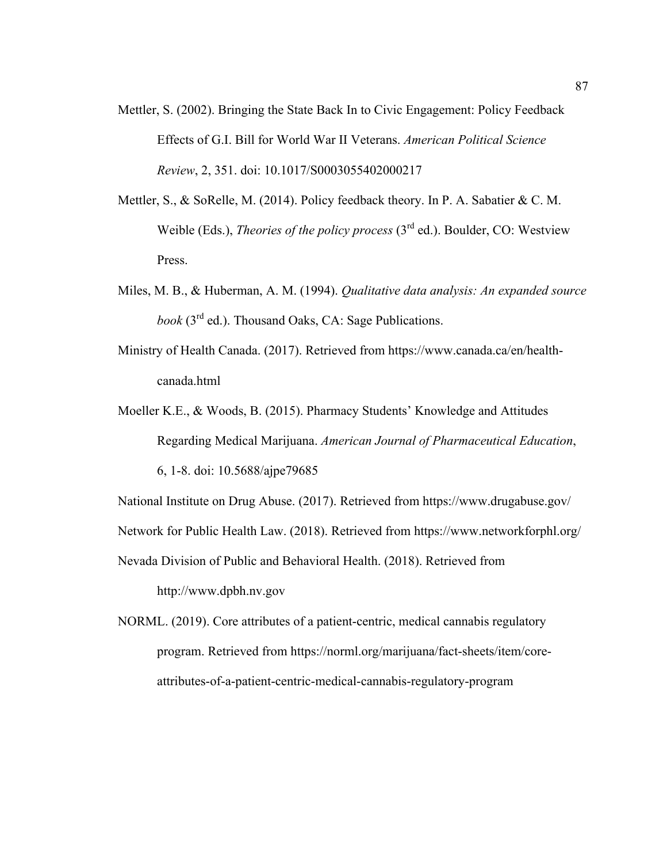- Mettler, S. (2002). Bringing the State Back In to Civic Engagement: Policy Feedback Effects of G.I. Bill for World War II Veterans. *American Political Science Review*, 2, 351. doi: 10.1017/S0003055402000217
- Mettler, S., & SoRelle, M. (2014). Policy feedback theory. In P. A. Sabatier & C. M. Weible (Eds.), *Theories of the policy process* (3<sup>rd</sup> ed.). Boulder, CO: Westview Press.
- Miles, M. B., & Huberman, A. M. (1994). *Qualitative data analysis: An expanded source book* (3rd ed.). Thousand Oaks, CA: Sage Publications.
- Ministry of Health Canada. (2017). Retrieved from https://www.canada.ca/en/healthcanada.html
- Moeller K.E., & Woods, B. (2015). Pharmacy Students' Knowledge and Attitudes Regarding Medical Marijuana. *American Journal of Pharmaceutical Education*, 6, 1-8. doi: 10.5688/ajpe79685

National Institute on Drug Abuse. (2017). Retrieved from https://www.drugabuse.gov/

Network for Public Health Law. (2018). Retrieved from https://www.networkforphl.org/

Nevada Division of Public and Behavioral Health. (2018). Retrieved from

http://www.dpbh.nv.gov

NORML. (2019). Core attributes of a patient-centric, medical cannabis regulatory program. Retrieved from https://norml.org/marijuana/fact-sheets/item/coreattributes-of-a-patient-centric-medical-cannabis-regulatory-program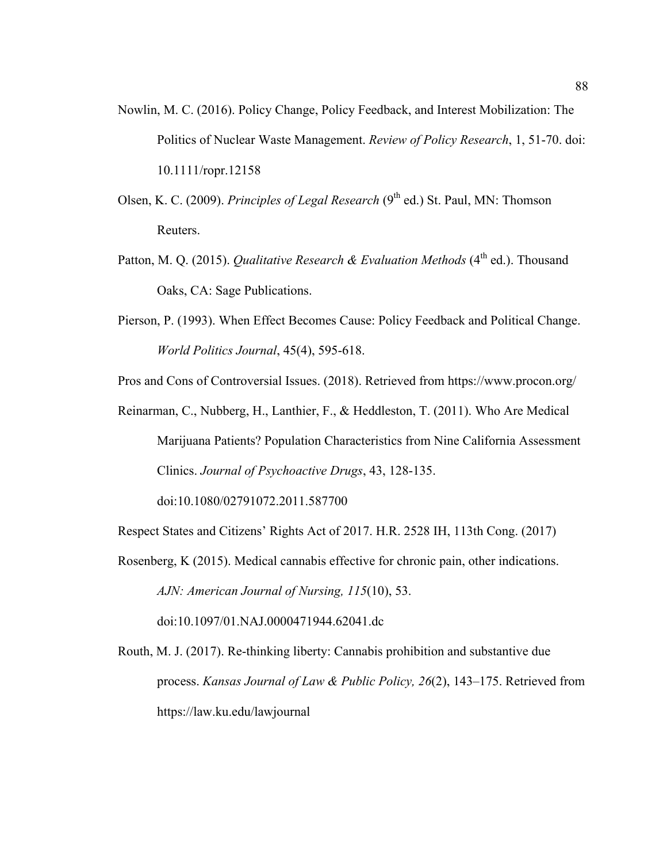- Nowlin, M. C. (2016). Policy Change, Policy Feedback, and Interest Mobilization: The Politics of Nuclear Waste Management. *Review of Policy Research*, 1, 51-70. doi: 10.1111/ropr.12158
- Olsen, K. C. (2009). *Principles of Legal Research* (9<sup>th</sup> ed.) St. Paul, MN: Thomson Reuters.
- Patton, M. Q. (2015). *Qualitative Research & Evaluation Methods* (4<sup>th</sup> ed.). Thousand Oaks, CA: Sage Publications.
- Pierson, P. (1993). When Effect Becomes Cause: Policy Feedback and Political Change. *World Politics Journal*, 45(4), 595-618.

Pros and Cons of Controversial Issues. (2018). Retrieved from https://www.procon.org/

Reinarman, C., Nubberg, H., Lanthier, F., & Heddleston, T. (2011). Who Are Medical Marijuana Patients? Population Characteristics from Nine California Assessment Clinics. *Journal of Psychoactive Drugs*, 43, 128-135.

doi:10.1080/02791072.2011.587700

Respect States and Citizens' Rights Act of 2017. H.R. 2528 IH, 113th Cong. (2017)

- Rosenberg, K (2015). Medical cannabis effective for chronic pain, other indications. *AJN: American Journal of Nursing, 115*(10), 53. doi:10.1097/01.NAJ.0000471944.62041.dc
- Routh, M. J. (2017). Re-thinking liberty: Cannabis prohibition and substantive due process. *Kansas Journal of Law & Public Policy, 26*(2), 143–175. Retrieved from https://law.ku.edu/lawjournal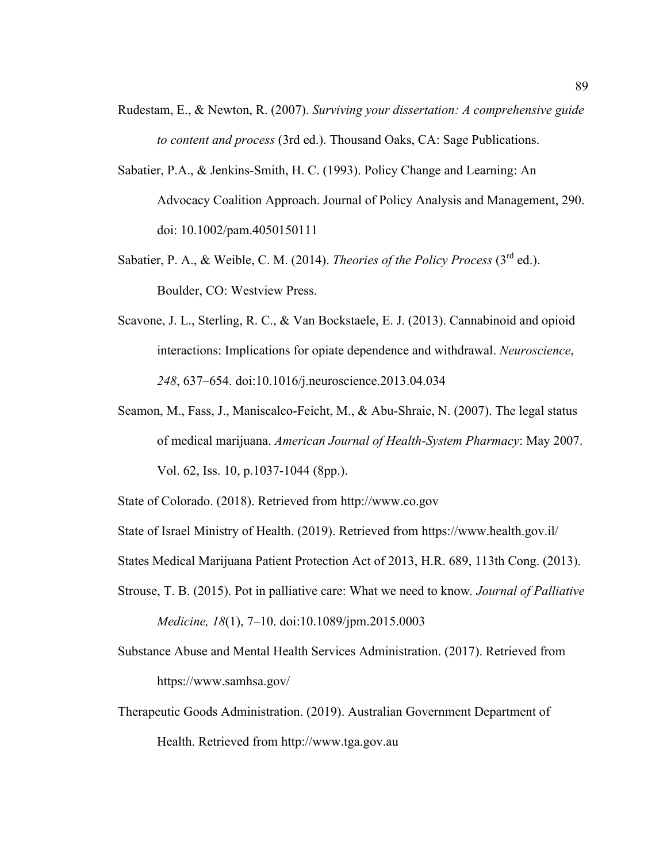- Rudestam, E., & Newton, R. (2007). *Surviving your dissertation: A comprehensive guide to content and process* (3rd ed.). Thousand Oaks, CA: Sage Publications.
- Sabatier, P.A., & Jenkins-Smith, H. C. (1993). Policy Change and Learning: An Advocacy Coalition Approach. Journal of Policy Analysis and Management, 290. doi: 10.1002/pam.4050150111
- Sabatier, P. A., & Weible, C. M. (2014). *Theories of the Policy Process* (3<sup>rd</sup> ed.). Boulder, CO: Westview Press.
- Scavone, J. L., Sterling, R. C., & Van Bockstaele, E. J. (2013). Cannabinoid and opioid interactions: Implications for opiate dependence and withdrawal. *Neuroscience*, *248*, 637–654. doi:10.1016/j.neuroscience.2013.04.034
- Seamon, M., Fass, J., Maniscalco-Feicht, M., & Abu-Shraie, N. (2007). The legal status of medical marijuana. *American Journal of Health-System Pharmacy*: May 2007. Vol. 62, Iss. 10, p.1037-1044 (8pp.).

State of Colorado. (2018). Retrieved from http://www.co.gov

State of Israel Ministry of Health. (2019). Retrieved from https://www.health.gov.il/

States Medical Marijuana Patient Protection Act of 2013, H.R. 689, 113th Cong. (2013).

- Strouse, T. B. (2015). Pot in palliative care: What we need to know*. Journal of Palliative Medicine, 18*(1), 7–10. doi:10.1089/jpm.2015.0003
- Substance Abuse and Mental Health Services Administration. (2017). Retrieved from https://www.samhsa.gov/
- Therapeutic Goods Administration. (2019). Australian Government Department of Health. Retrieved from http://www.tga.gov.au